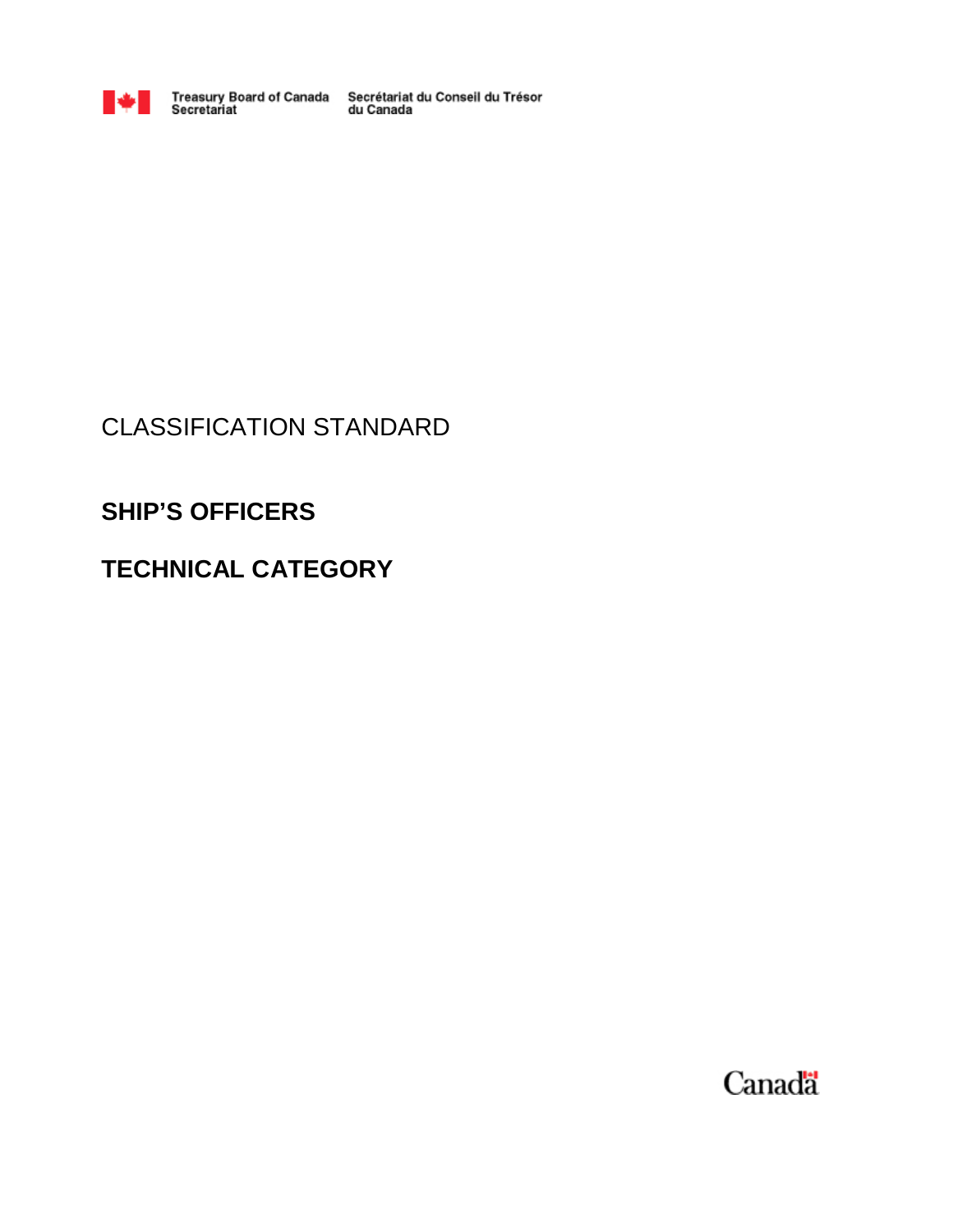

Treasury Board of Canada Secrétariat du Conseil du Trésor<br>Secretariat du Canada

# CLASSIFICATION STANDARD

# **SHIP'S OFFICERS**

# **TECHNICAL CATEGORY**

Canada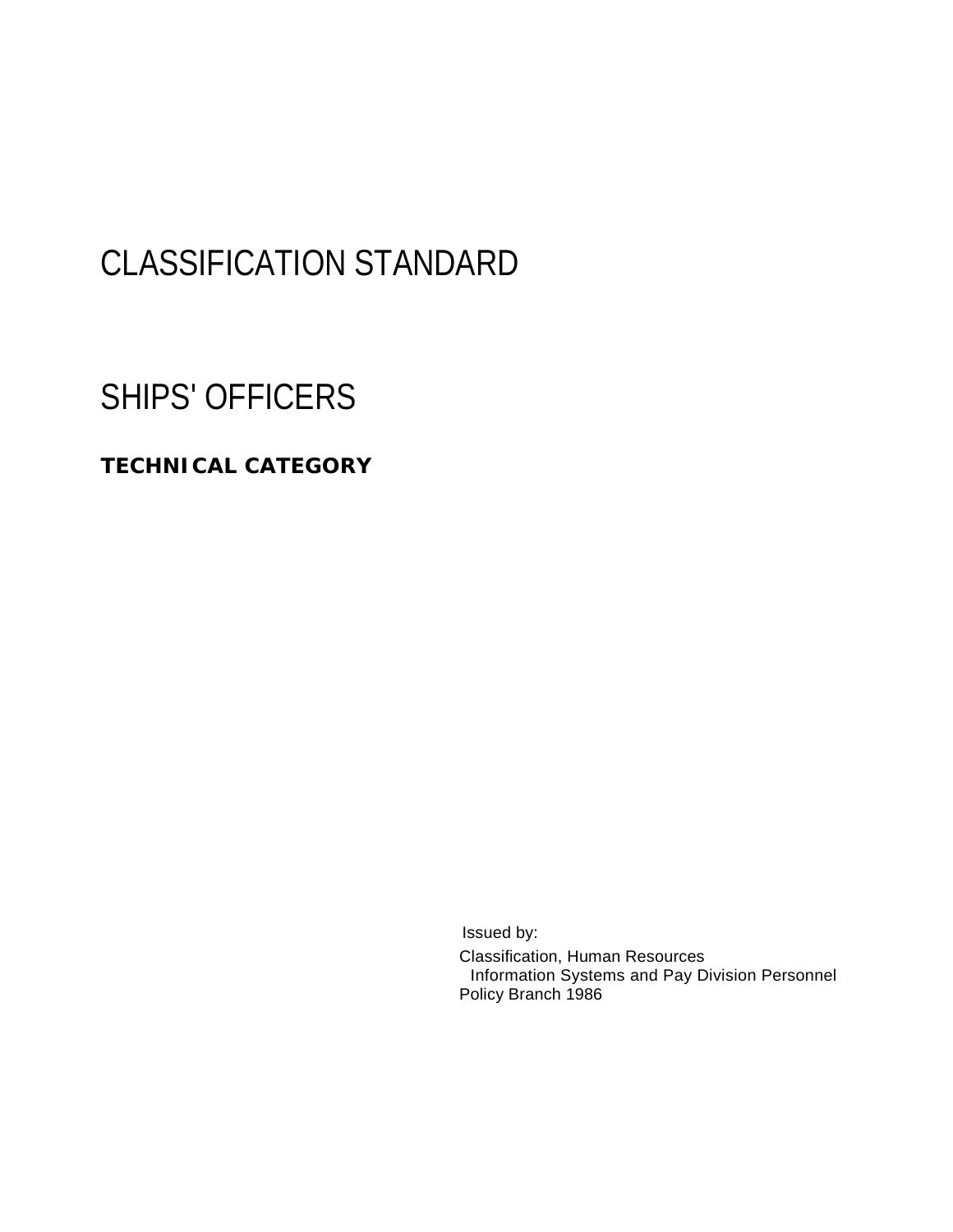# CLASSIFICATION STANDARD

# SHIPS' OFFICERS

## **TECHNICAL CATEGORY**

Issued by:

Classification, Human Resources Information Systems and Pay Division Personnel Policy Branch 1986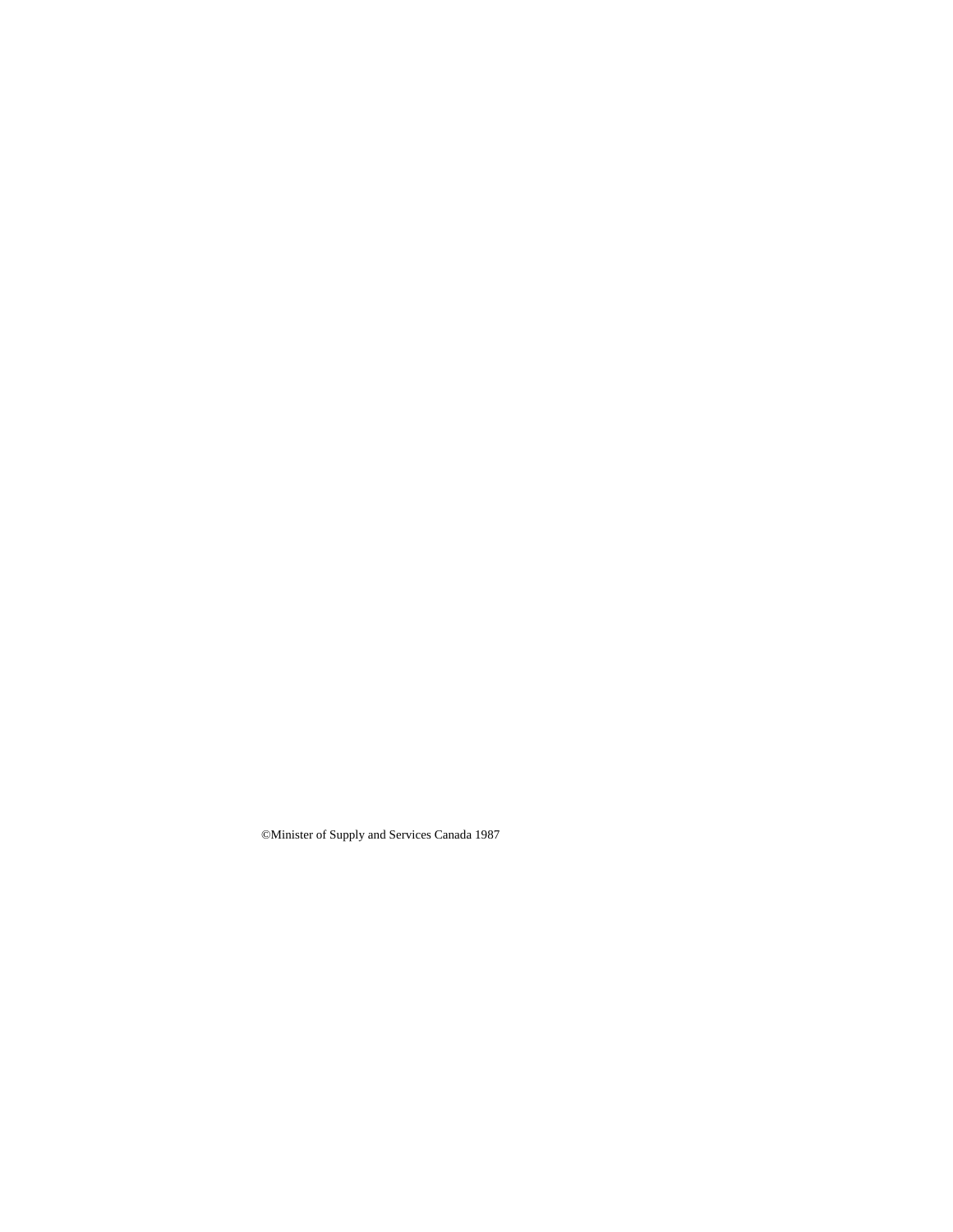©Minister of Supply and Services Canada 1987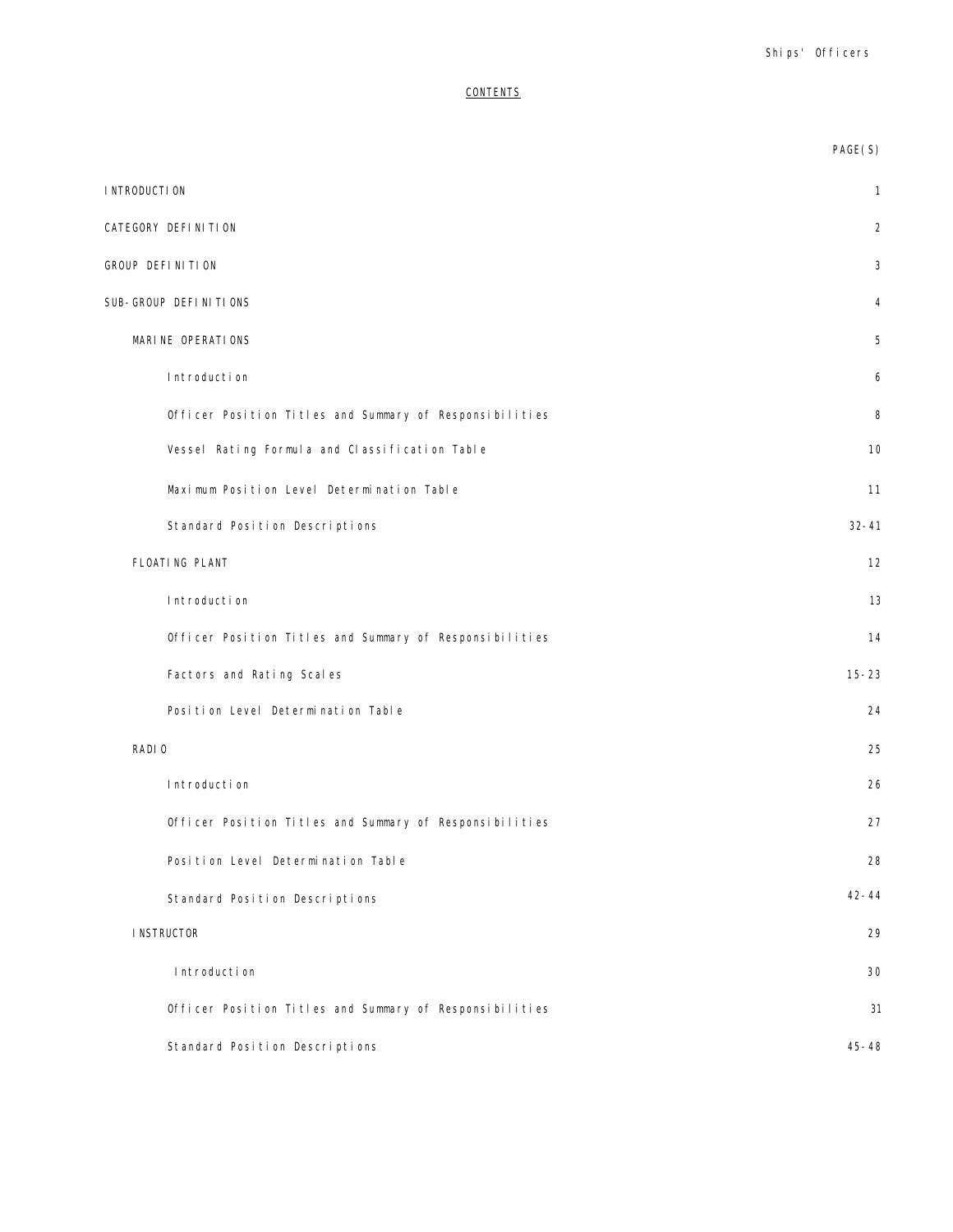## **CONTENTS**

|                                                         | PAGE(S)        |
|---------------------------------------------------------|----------------|
| I NTRODUCTI ON                                          | $\mathbf{1}$   |
| CATEGORY DEFINITION                                     | $\overline{2}$ |
| GROUP DEFINITION                                        | 3              |
| SUB-GROUP DEFINITIONS                                   | 4              |
| MARINE OPERATIONS                                       | 5              |
| Introduction                                            | 6              |
| Officer Position Titles and Summary of Responsibilities | 8              |
| Vessel Rating Formula and Classification Table          | 10             |
| Maximum Position Level Determination Table              | 11             |
| Standard Position Descriptions                          | $32 - 41$      |
| FLOATING PLANT                                          | 12             |
| Introduction                                            | 13             |
| Officer Position Titles and Summary of Responsibilities | 14             |
| Factors and Rating Scales                               | $15 - 23$      |
| Position Level Determination Table                      | 24             |
| RADI 0                                                  | 25             |
| Introduction                                            | 26             |
| Officer Position Titles and Summary of Responsibilities | 27             |
| Position Level Determination Table                      | 28             |
| Standard Position Descriptions                          | $42 - 44$      |
| <b>INSTRUCTOR</b>                                       | 29             |
| Introduction                                            | 30             |
| Officer Position Titles and Summary of Responsibilities | 31             |
| Standard Position Descriptions                          | $45 - 48$      |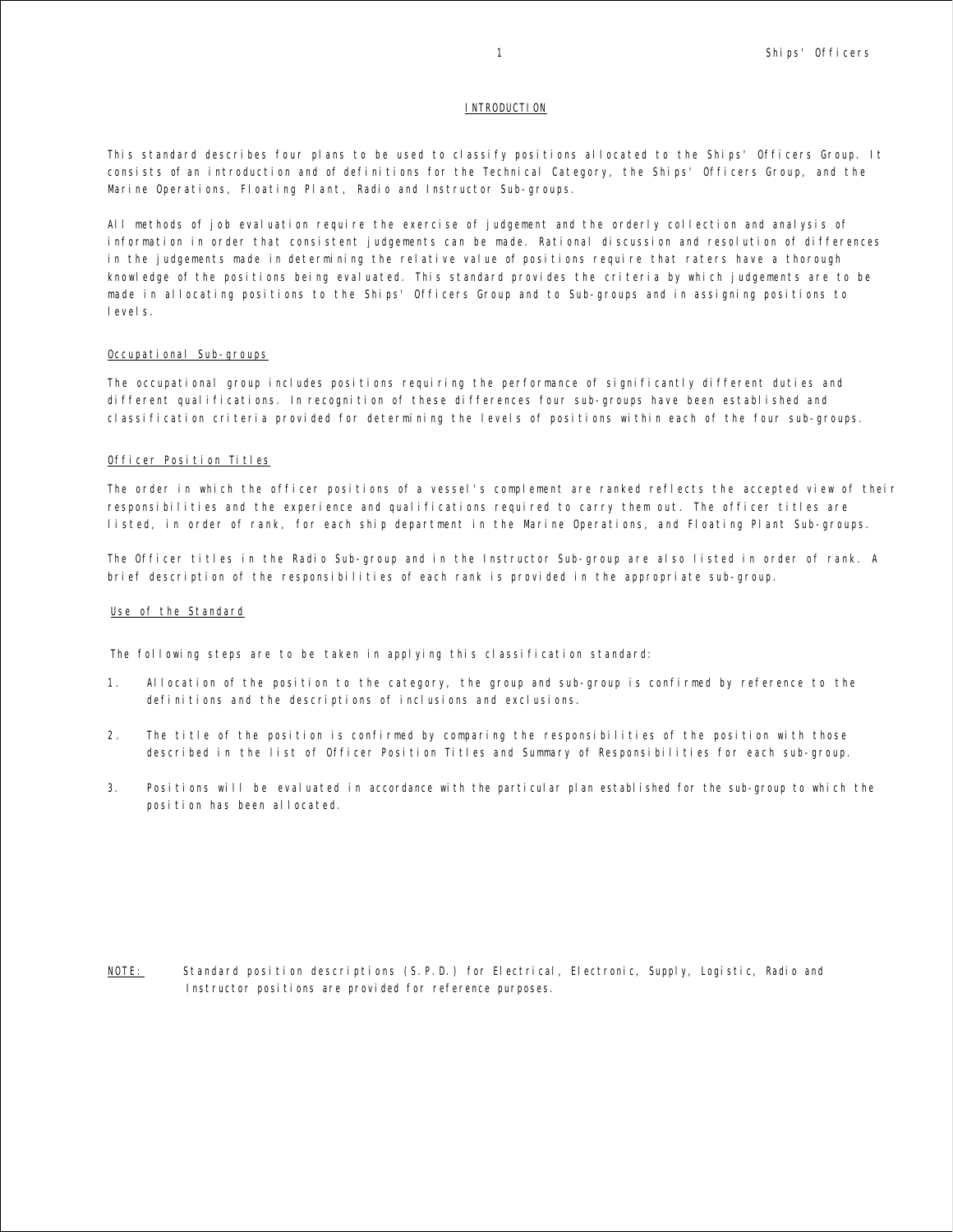## **INTRODUCTION**

This standard describes four plans to be used to classify positions allocated to the Ships' Officers Group. It consists of an introduction and of definitions for the Technical Category, the Ships' Officers Group, and the Marine Operations, Floating Plant, Radio and Instructor Sub-groups.

All methods of job evaluation require the exercise of judgement and the orderly collection and analysis of information in order that consistent judgements can be made. Rational discussion and resolution of differences in the judgements made in determining the relative value of positions require that raters have a thorough knowledge of the positions being evaluated. This standard provides the criteria by which judgements are to be made in allocating positions to the Ships' Officers Group and to Sub-groups and in assigning positions to levels.

## Occupational Sub-groups

The occupational group includes positions requiring the performance of significantly different duties and different qualifications. In recognition of these differences four sub-groups have been established and classification criteria provided for determining the levels of positions within each of the four sub-groups.

#### Officer Position Titles

The order in which the officer positions of a vessel's complement are ranked reflects the accepted view of their responsibilities and the experience and qualifications required to carry them out. The officer titles are listed, in order of rank, for each ship department in the Marine Operations, and Floating Plant Sub-groups.

The Officer titles in the Radio Sub-group and in the Instructor Sub-group are also listed in order of rank. A brief description of the responsibilities of each rank is provided in the appropriate sub-group.

### Use of the Standard

The following steps are to be taken in applying this classification standard:

- 1. Allocation of the position to the category, the group and sub-group is confirmed by reference to the definitions and the descriptions of inclusions and exclusions.
- 2 . The title of the position is confirmed by comparing the responsibilities of the position with those described in the list of Officer Position Titles and Summary of Responsibilities for each sub-group.
- 3. Positions will be evaluated in accordance with the particular plan established for the sub-group to which the position has been allocated.

NOTE: Standard position descriptions (S.P.D.) for Electrical, Electronic, Supply, Logistic, Radio and Instructor positions are provided for reference purposes.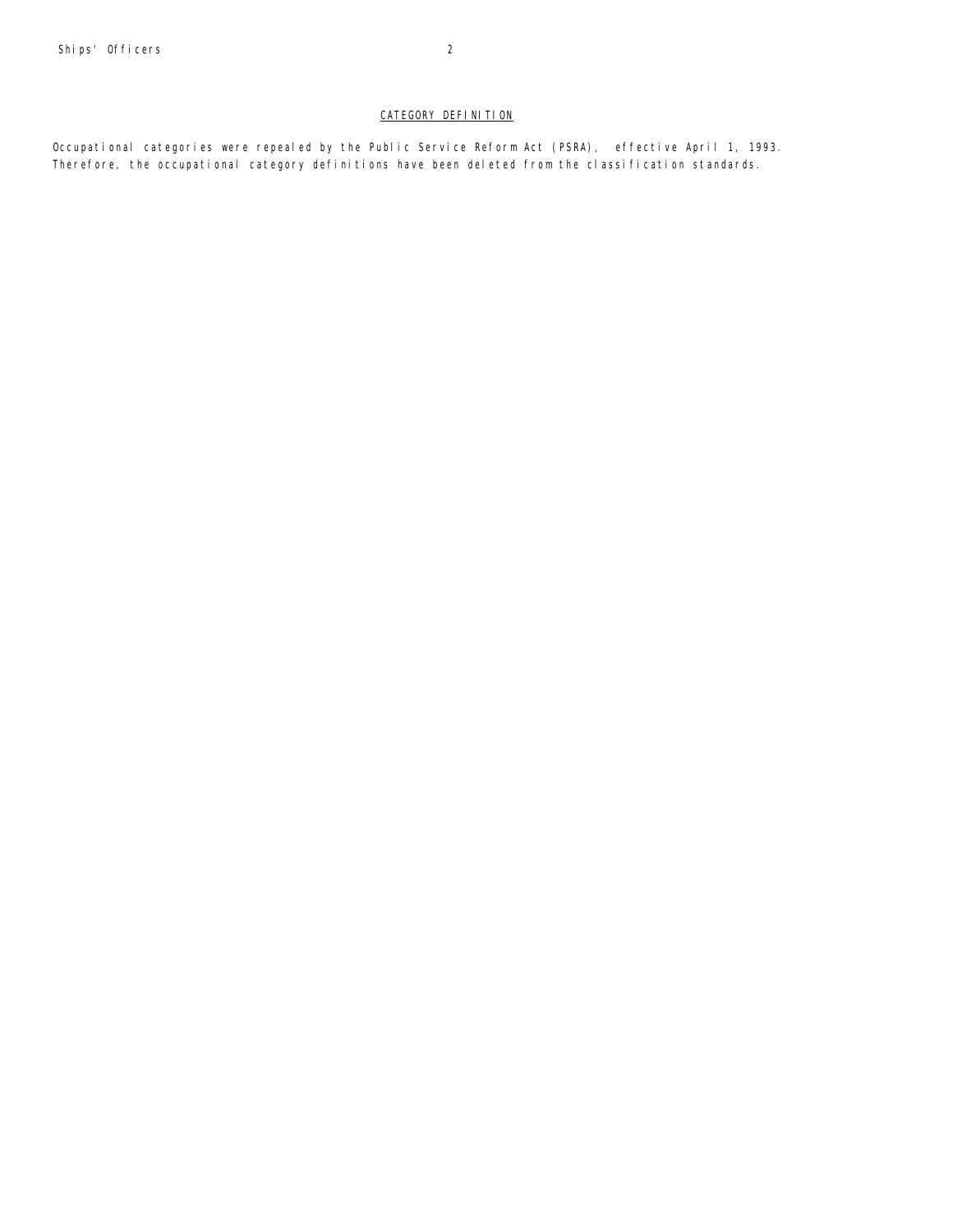## CATEGORY DEFINITION

Occupational categories were repealed by the Public Service Reform Act (PSRA), effective April 1, 1993. Therefore, the occupational category definitions have been deleted from the classification standards.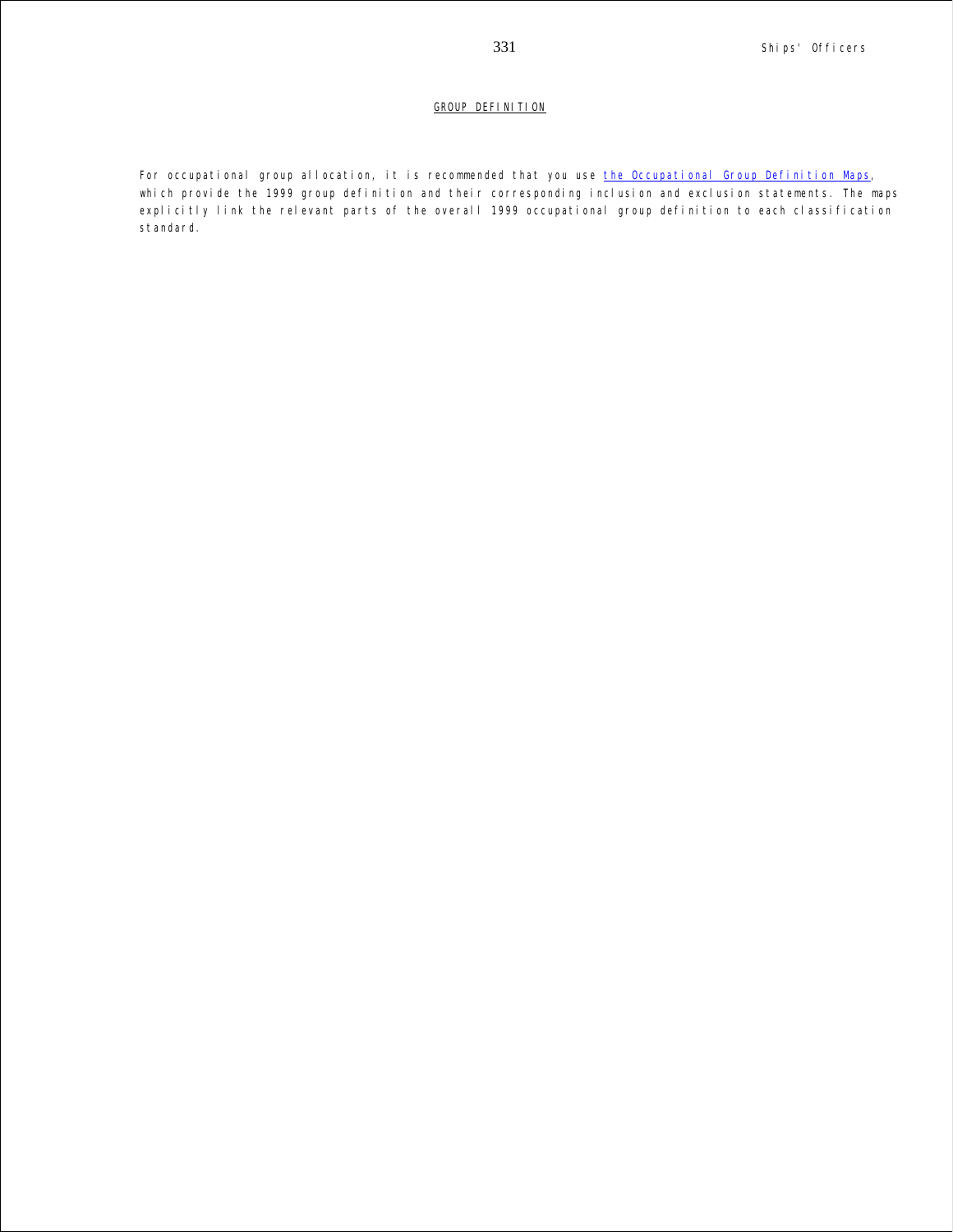## GROUP DEFINITION

For occupational group allocation, it is recommended that you use the Occupational Group Definition Maps, which provide the 1999 group definition and their corresponding inclusion and exclusion statements. The maps explicitly link the relevant parts of the overall 1999 occupational group definition to each classification standard.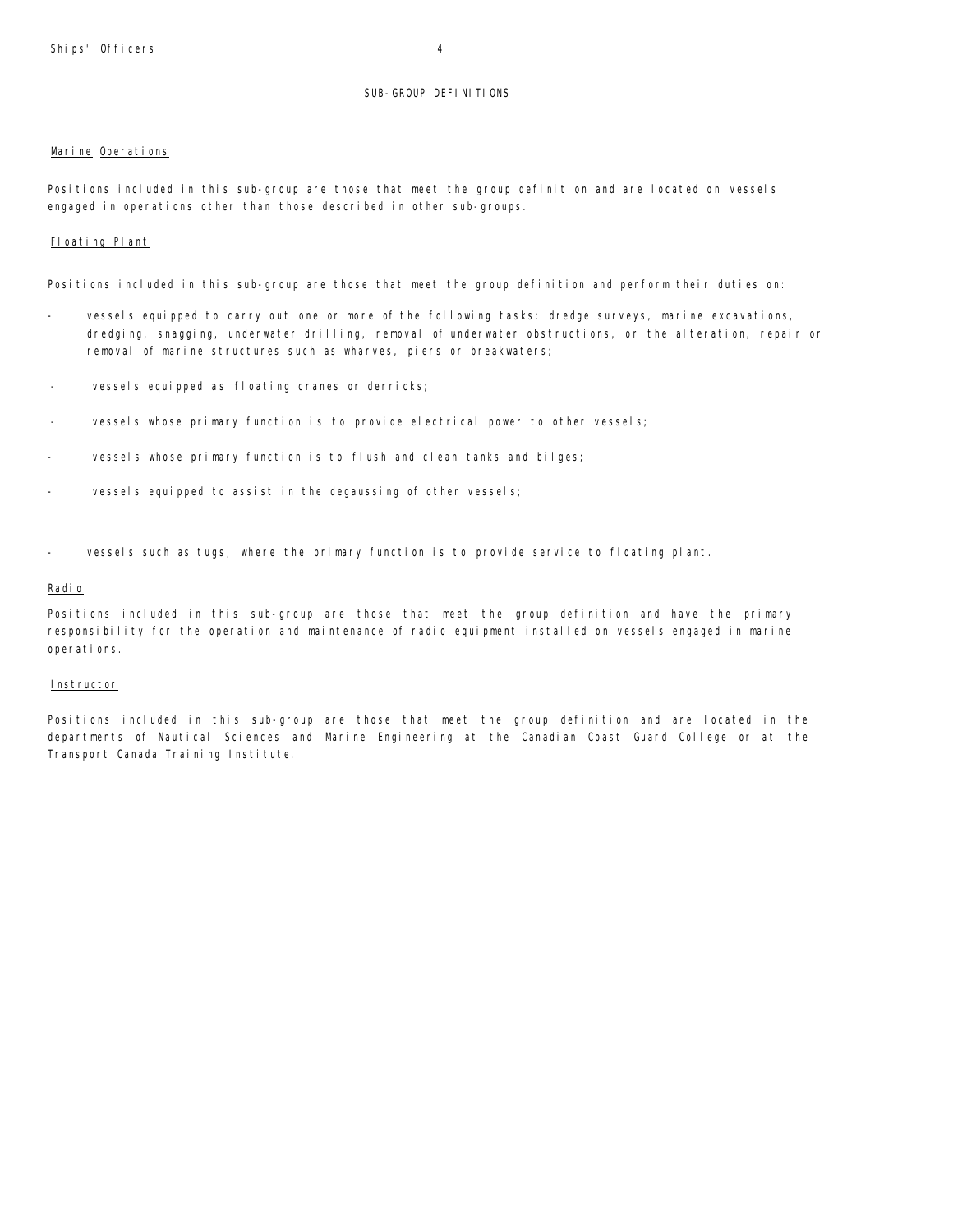## SUB-GROUP DEFINITIONS

## Marine Operations

Positions included in this sub-group are those that meet the group definition and are located on vessels engaged in operations other than those described in other sub-groups.

## Floating Plant

Positions included in this sub-group are those that meet the group definition and perform their duties on:

- vessels equipped to carry out one or more of the following tasks: dredge surveys, marine excavations, dredging, snagging, underwater drilling, removal of underwater obstructions, or the alteration, repair or removal of marine structures such as wharves, piers or breakwaters;
- vessels equipped as floating cranes or derricks;
- vessels whose primary function is to provide electrical power to other vessels;
- vessels whose primary function is to flush and clean tanks and bilges;
- vessels equipped to assist in the degaussing of other vessels;
- vessels such as tugs, where the primary function is to provide service to floating plant.

## Radio

Positions included in this sub-group are those that meet the group definition and have the primary responsibility for the operation and maintenance of radio equipment installed on vessels engaged in marine operations.

#### **Instructor**

Positions included in this sub-group are those that meet the group definition and are located in the departments of Nautical Sciences and Marine Engineering at the Canadian Coast Guard College or at the Transport Canada Training Institute.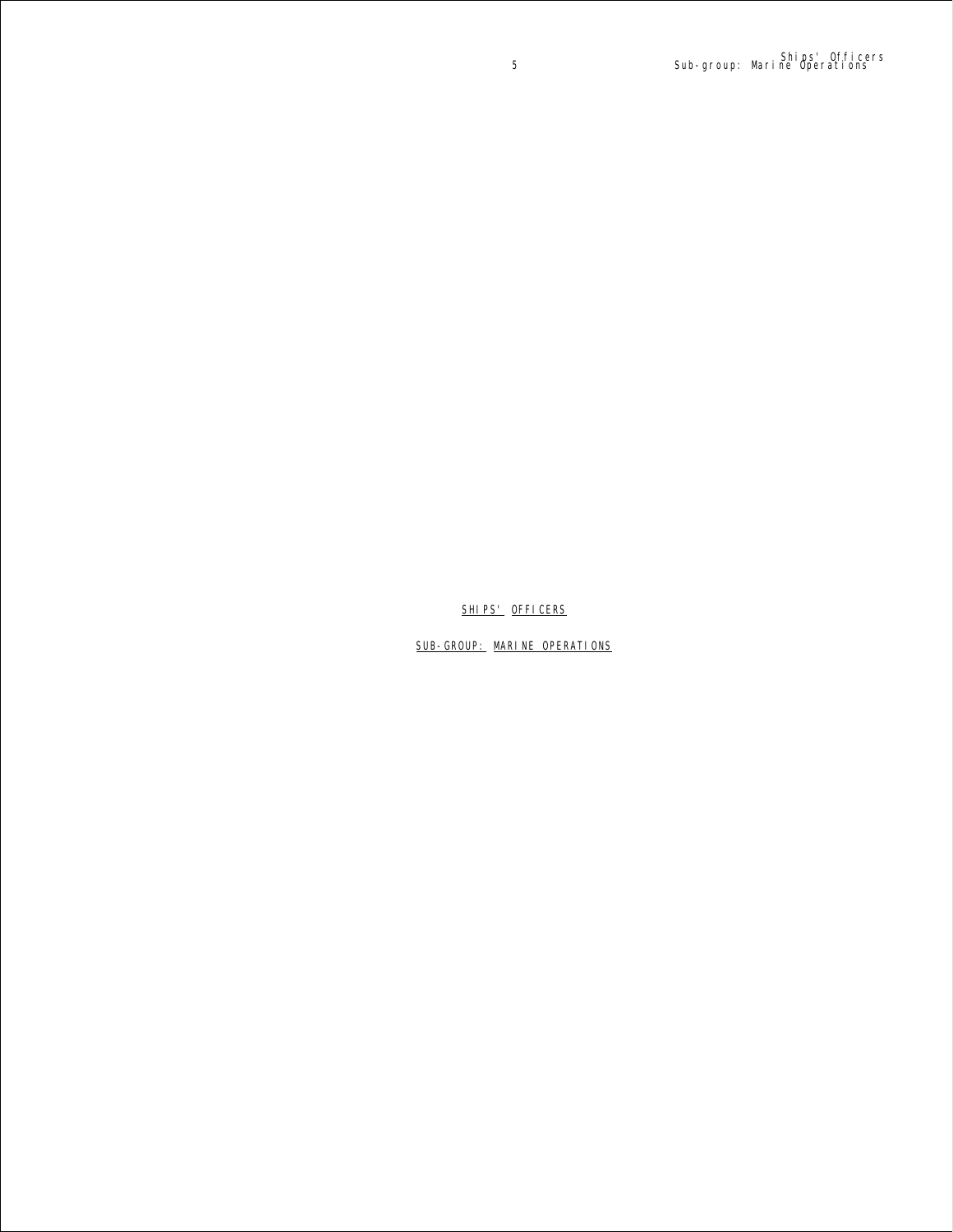SHIPS' OFFICERS

SUB-GROUP: MARINE OPERATIONS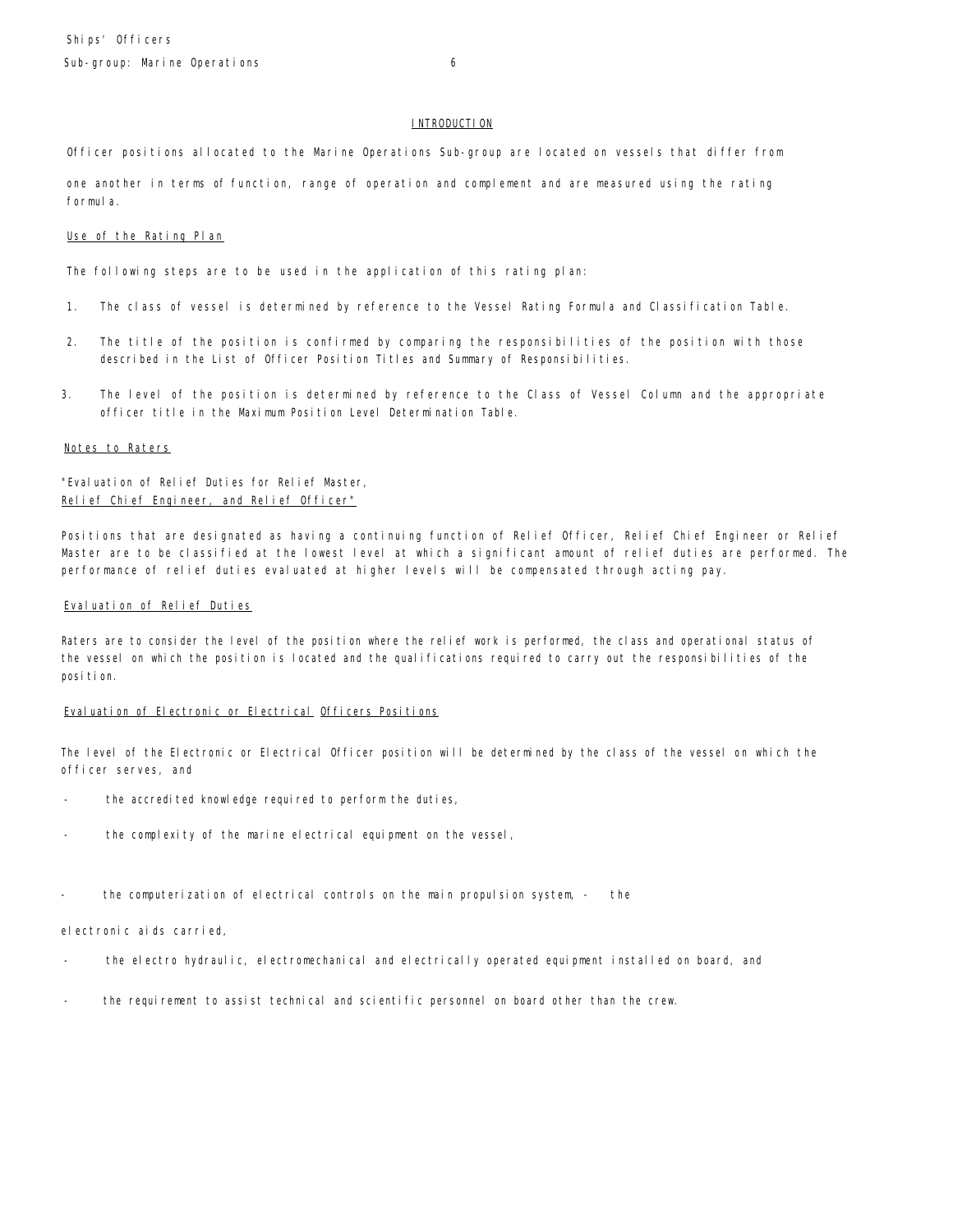## **INTRODUCTION**

Officer positions allocated to the Marine Operations Sub-group are located on vessels that differ from

one another in terms of function, range of operation and complement and are measured using the rating formula.

### Use of the Rating Plan

The following steps are to be used in the application of this rating plan:

- 1. The class of vessel is determined by reference to the Vessel Rating Formula and Classification Table.
- 2. The title of the position is confirmed by comparing the responsibilities of the position with those described in the List of Officer Position Titles and Summary of Responsibilities.
- 3. The level of the position is determined by reference to the Class of Vessel Column and the appropriate officer title in the Maximum Position Level Determination Table.

## Notes to Raters

"Evaluation of Relief Duties for Relief Master, Relief Chief Engineer, and Relief Officer"

Positions that are designated as having a continuing function of Relief Officer, Relief Chief Engineer or Relief Master are to be classified at the lowest level at which a significant amount of relief duties are performed. The performance of relief duties evaluated at higher levels will be compensated through acting pay.

## Evaluation of Relief Duties

Raters are to consider the level of the position where the relief work is performed, the class and operational status of the vessel on which the position is located and the qualifications required to carry out the responsibilities of the position.

## Evaluation of Electronic or Electrical Officers Positions

The level of the Electronic or Electrical Officer position will be determined by the class of the vessel on which the officer serves, and

- the accredited knowledge required to perform the duties,
- the complexity of the marine electrical equipment on the vessel,
- the computerization of electrical controls on the main propulsion system, the

electronic aids carried,

- the electro hydraulic, electromechanical and electrically operated equipment installed on board, and
- the requirement to assist technical and scientific personnel on board other than the crew.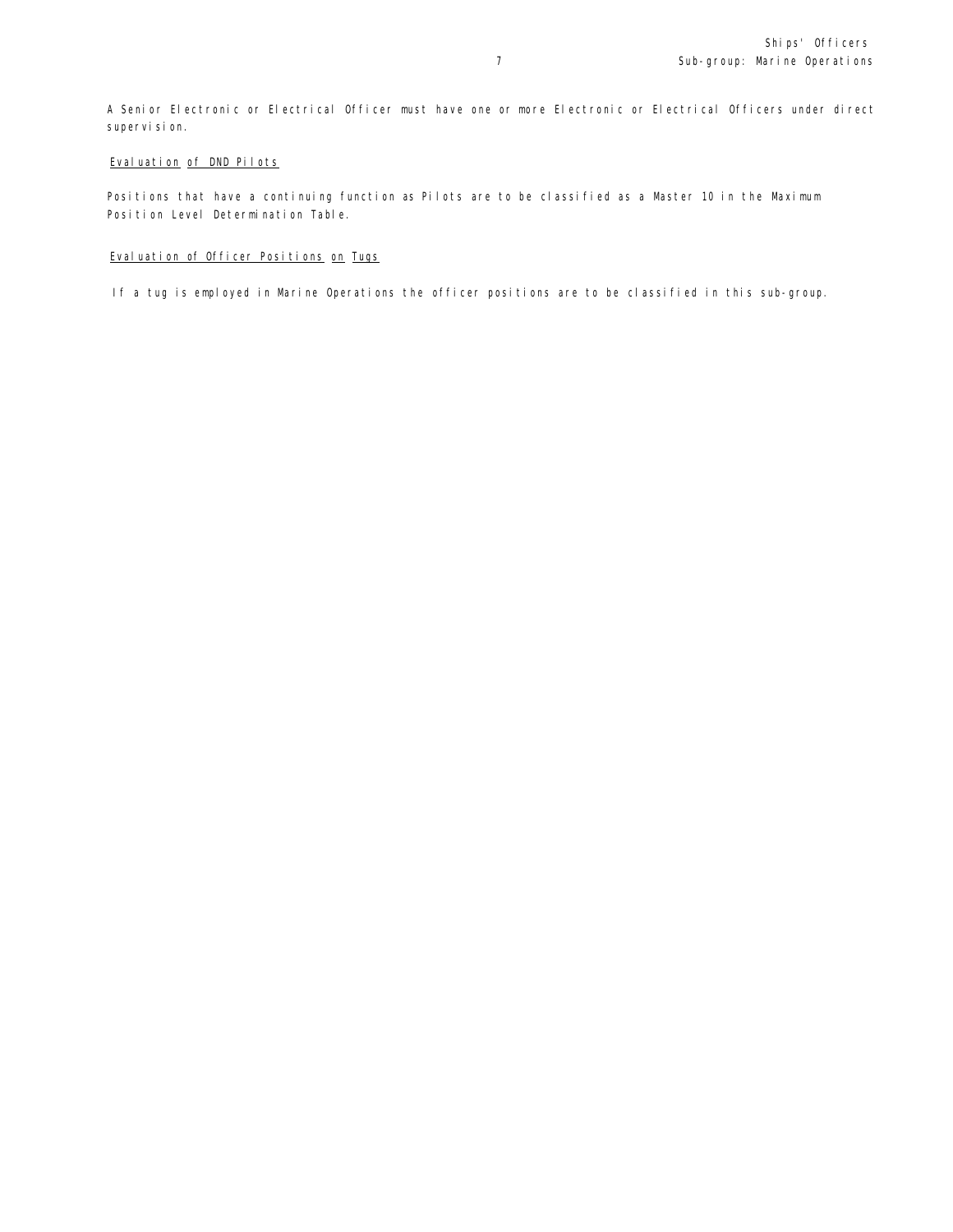A Senior Electronic or Electrical Officer must have one or more Electronic or Electrical Officers under direct supervision.

## Evaluation of DND Pilots

Positions that have a continuing function as Pilots are to be classified as a Master 10 in the Maximum Position Level Determination Table.

## Evaluation of Officer Positions on Tugs

If a tug is employed in Marine Operations the officer positions are to be classified in this sub-group.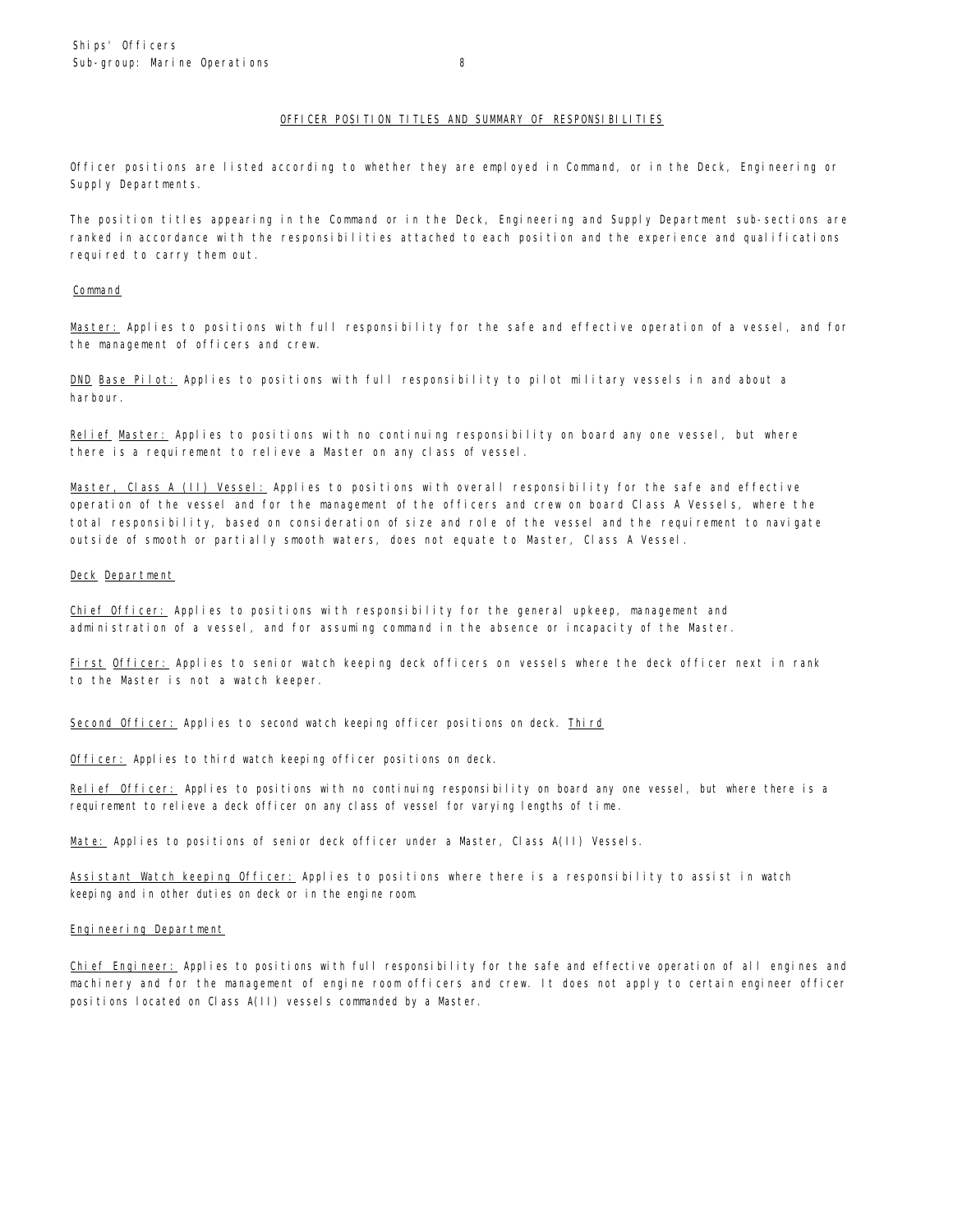## OFFICER POSITION TITLES AND SUMMARY OF RESPONSIBILITIES

Officer positions are listed according to whether they are employed in Command, or in the Deck, Engineering or Supply Departments.

The position titles appearing in the Command or in the Deck, Engineering and Supply Department sub-sections are ranked in accordance with the responsibilities attached to each position and the experience and qualifications required to carry them out.

#### **Command**

Master: Applies to positions with full responsibility for the safe and effective operation of a vessel, and for the management of officers and crew.

DND Base Pilot: Applies to positions with full responsibility to pilot military vessels in and about a harbour.

Relief Master: Applies to positions with no continuing responsibility on board any one vessel, but where there is a requirement to relieve a Master on any class of vessel.

Master, Class A (II) Vessel: Applies to positions with overall responsibility for the safe and effective operation of the vessel and for the management of the officers and crew on board Class A Vessels, where the total responsibility, based on consideration of size and role of the vessel and the requirement to navigate outside of smooth or partially smooth waters, does not equate to Master, Class A Vessel.

## Deck Department

Chief Officer: Applies to positions with responsibility for the general upkeep, management and administration of a vessel, and for assuming command in the absence or incapacity of the Master.

First Officer: Applies to senior watch keeping deck officers on vessels where the deck officer next in rank to the Master is not a watch keeper.

Second Officer: Applies to second watch keeping officer positions on deck. Third

Officer: Applies to third watch keeping officer positions on deck.

Relief Officer: Applies to positions with no continuing responsibility on board any one vessel, but where there is a requirement to relieve a deck officer on any class of vessel for varying lengths of time.

Mate: Applies to positions of senior deck officer under a Master, Class A(II) Vessels.

Assistant Watch keeping Officer: Applies to positions where there is a responsibility to assist in watch keeping and in other duties on deck or in the engine room.

## Engineering Department

Chief Engineer: Applies to positions with full responsibility for the safe and effective operation of all engines and machinery and for the management of engine room officers and crew. It does not apply to certain engineer officer positions located on Class A(II) vessels commanded by a Master.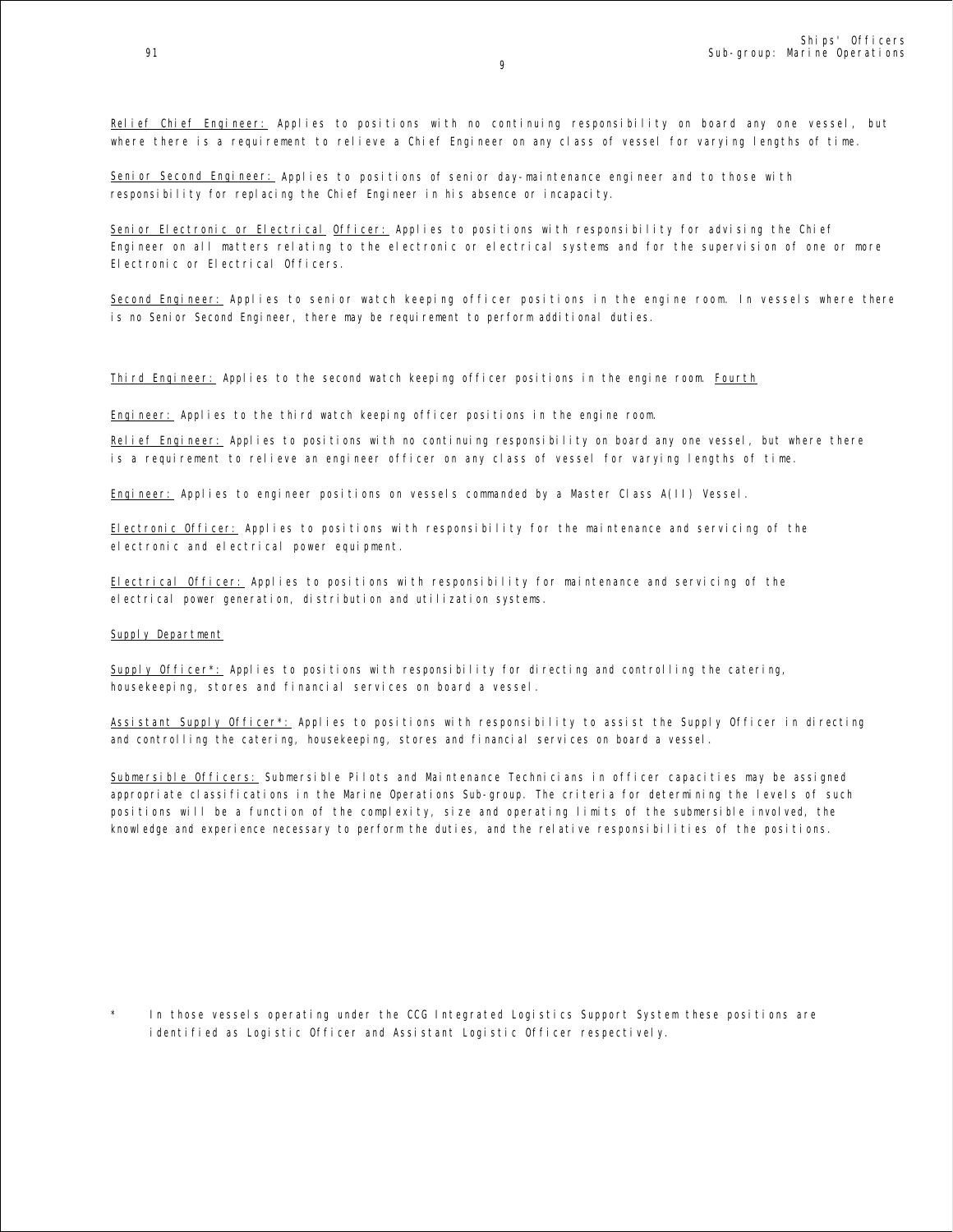Relief Chief Engineer: Applies to positions with no continuing responsibility on board any one vessel, but where there is a requirement to relieve a Chief Engineer on any class of vessel for varying lengths of time.

Senior Second Engineer: Applies to positions of senior day-maintenance engineer and to those with responsibility for replacing the Chief Engineer in his absence or incapacity.

Senior Electronic or Electrical Officer: Applies to positions with responsibility for advising the Chief Engineer on all matters relating to the electronic or electrical systems and for the supervision of one or more Electronic or Electrical Officers.

Second Engineer: Applies to senior watch keeping officer positions in the engine room. In vessels where there is no Senior Second Engineer, there may be requirement to perform additional duties.

Third Engineer: Applies to the second watch keeping officer positions in the engine room. Fourth

Engineer: Applies to the third watch keeping officer positions in the engine room.

Relief Engineer: Applies to positions with no continuing responsibility on board any one vessel, but where there is a requirement to relieve an engineer officer on any class of vessel for varying lengths of time.

Engineer: Applies to engineer positions on vessels commanded by a Master Class A(II) Vessel.

Electronic Officer: Applies to positions with responsibility for the maintenance and servicing of the electronic and electrical power equipment.

Electrical Officer: Applies to positions with responsibility for maintenance and servicing of the electrical power generation, distribution and utilization systems.

## Supply Department

Supply Officer\*: Applies to positions with responsibility for directing and controlling the catering, housekeeping, stores and financial services on board a vessel.

Assistant Supply Officer\*: Applies to positions with responsibility to assist the Supply Officer in directing and controlling the catering, housekeeping, stores and financial services on board a vessel.

Submersible Officers: Submersible Pilots and Maintenance Technicians in officer capacities may be assigned appropriate classifications in the Marine Operations Sub-group. The criteria for determining the levels of such positions will be a function of the complexity, size and operating limits of the submersible involved, the knowledge and experience necessary to perform the duties, and the relative responsibilities of the positions.

In those vessels operating under the CCG Integrated Logistics Support System these positions are identified as Logistic Officer and Assistant Logistic Officer respectively.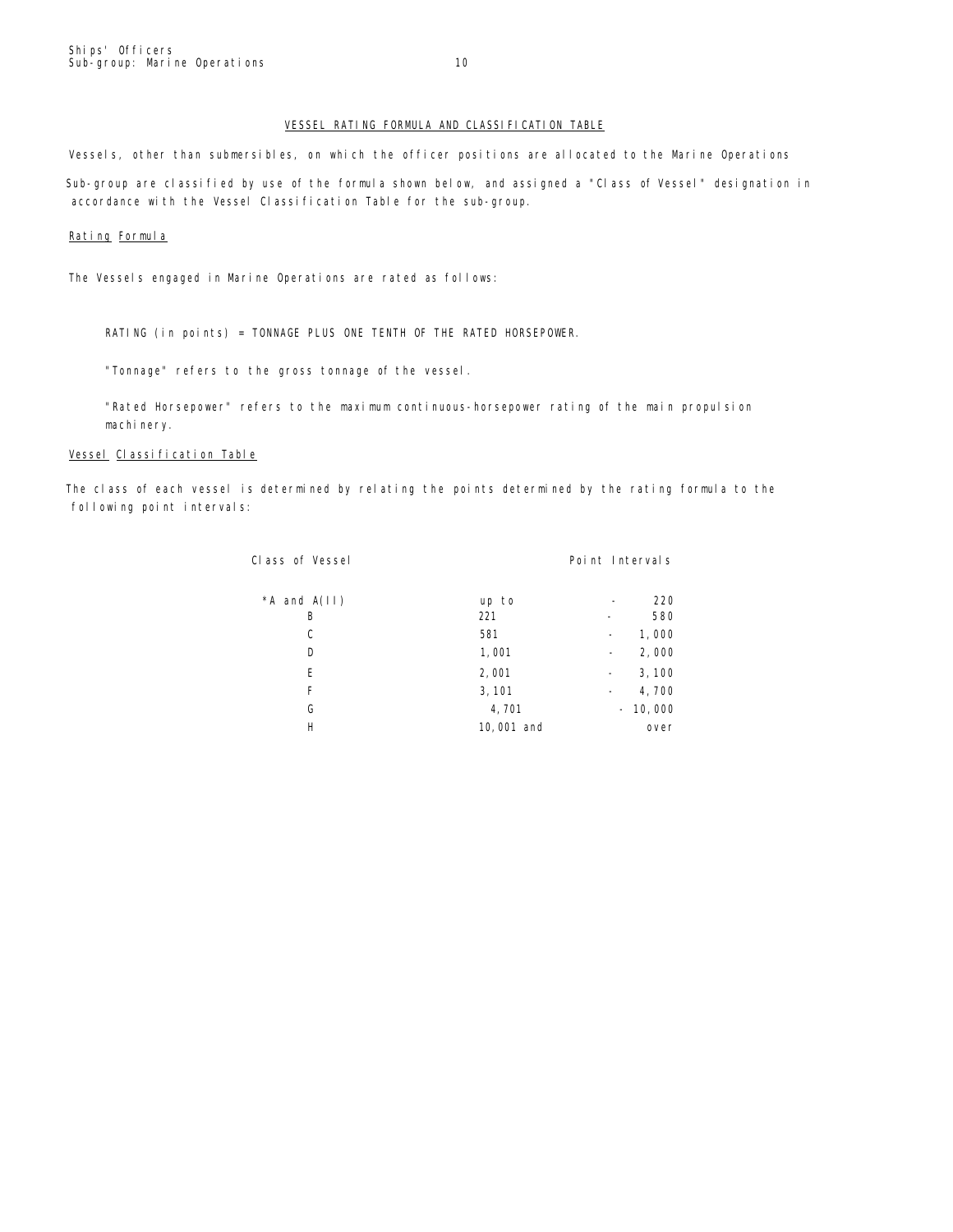## VESSEL RATING FORMULA AND CLASSIFICATION TABLE

Vessels, other than submersibles, on which the officer positions are allocated to the Marine Operations Sub-group are classified by use of the formula shown below, and assigned a "Class of Vessel" designation in accordance with the Vessel Classification Table for the sub-group.

#### Rating Formula

The Vessels engaged in Marine Operations are rated as follows:

RATING (in points) = TONNAGE PLUS ONE TENTH OF THE RATED HORSEPOWER.

"Tonnage" refers to the gross tonnage of the vessel.

"Rated Horsepower" refers to the maximum continuous-horsepower rating of the main propulsion machi nery.

## Vessel Classification Table

The class of each vessel is determined by relating the points determined by the rating formula to the following point intervals:

| Class of Vessel |            | Point Intervals                   |
|-----------------|------------|-----------------------------------|
| *A and $A(11)$  | up to      | 220                               |
| B               | 221        | 580                               |
| C               | 581        | 1,000                             |
| D               | 1,001      | 2,000<br>$\overline{\phantom{a}}$ |
| E               | 2,001      | 3,100<br>$\qquad \qquad -$        |
| F               | 3, 101     | 4,700<br>-                        |
| G               | 4,701      | $-10,000$                         |
| Н               | 10,001 and | over                              |
|                 |            |                                   |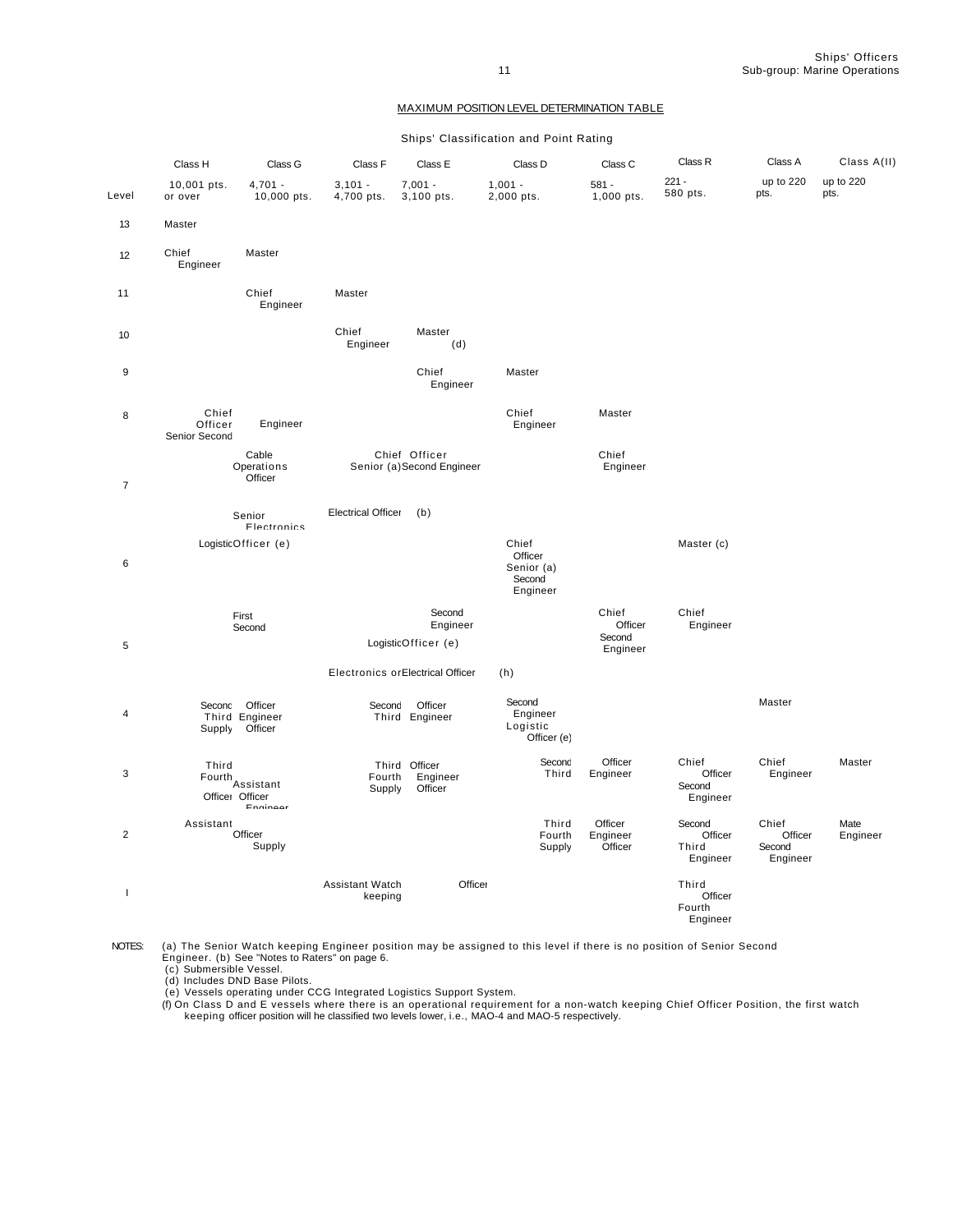Ships' Officers 11 Sub-group: Marine Operations

## MAXIMUM POSITION LEVEL DETERMINATION TABLE

Ships' Classification and Point Rating

|                | Class H                           | Class G                                     | Class F                    | Class E                                    | Class D                                              | Class C                        | Class R                                | Class A                                | Class A(II)       |
|----------------|-----------------------------------|---------------------------------------------|----------------------------|--------------------------------------------|------------------------------------------------------|--------------------------------|----------------------------------------|----------------------------------------|-------------------|
| Level          | 10,001 pts.<br>or over            | $4,701 -$<br>10,000 pts.                    | $3,101 -$<br>4,700 pts.    | $7,001 -$<br>3,100 pts.                    | $1,001 -$<br>2,000 pts.                              | $581 -$<br>1,000 pts.          | $221 -$<br>580 pts.                    | up to 220<br>pts.                      | up to 220<br>pts. |
| 13             | Master                            |                                             |                            |                                            |                                                      |                                |                                        |                                        |                   |
| 12             | Chief<br>Engineer                 | Master                                      |                            |                                            |                                                      |                                |                                        |                                        |                   |
| 11             |                                   | Chief<br>Engineer                           | Master                     |                                            |                                                      |                                |                                        |                                        |                   |
| 10             |                                   |                                             | Chief<br>Engineer          | Master<br>(d)                              |                                                      |                                |                                        |                                        |                   |
| 9              |                                   |                                             |                            | Chief<br>Engineer                          | Master                                               |                                |                                        |                                        |                   |
| 8              | Chief<br>Officer<br>Senior Second | Engineer                                    |                            |                                            | Chief<br>Engineer                                    | Master                         |                                        |                                        |                   |
| $\overline{7}$ |                                   | Cable<br>Operations<br>Officer              |                            | Chief Officer<br>Senior (a)Second Engineer |                                                      | Chief<br>Engineer              |                                        |                                        |                   |
|                |                                   | Senior<br>Flectronics                       | <b>Electrical Officer</b>  | (b)                                        |                                                      |                                |                                        |                                        |                   |
| $\,6\,$        |                                   | LogisticOfficer (e)                         |                            |                                            | Chief<br>Officer<br>Senior (a)<br>Second<br>Engineer |                                | Master (c)                             |                                        |                   |
| 5              |                                   | First<br>Second                             |                            | Second<br>Engineer<br>LogisticOfficer (e)  |                                                      | Chief<br>Officer<br>Second     | Chief<br>Engineer                      |                                        |                   |
|                |                                   |                                             |                            | Electronics or Electrical Officer          | (h)                                                  | Engineer                       |                                        |                                        |                   |
| $\overline{4}$ | Supply                            | Seconc Officer<br>Third Engineer<br>Officer | Second                     | Officer<br>Third Engineer                  | Second<br>Engineer<br>Logistic<br>Officer (e)        |                                |                                        | Master                                 |                   |
| 3              | Third<br>Officer Officer          | Fourth<br>Assistant<br>Engineer             | Fourth<br>Supply           | Third Officer<br>Engineer<br>Officer       | Second<br>Third                                      | Officer<br>Engineer            | Chief<br>Officer<br>Second<br>Engineer | Chief<br>Engineer                      | Master            |
| $\overline{2}$ | Assistant                         | Officer<br>Supply                           |                            |                                            | Third<br>Fourth<br>Supply                            | Officer<br>Engineer<br>Officer | Second<br>Officer<br>Third<br>Engineer | Chief<br>Officer<br>Second<br>Engineer | Mate<br>Engineer  |
| $\overline{1}$ |                                   |                                             | Assistant Watch<br>keeping | Officer                                    |                                                      |                                | Third<br>Officer<br>Fourth<br>Engineer |                                        |                   |

NOTES: (a) The Senior Watch keeping Engineer position may be assigned to this level if there is no position of Senior Second<br>Engineer. (b) See "Notes to Raters" on page 6.<br>(c) Submersible Vessel.<br>(d) Includes DND Base Pilo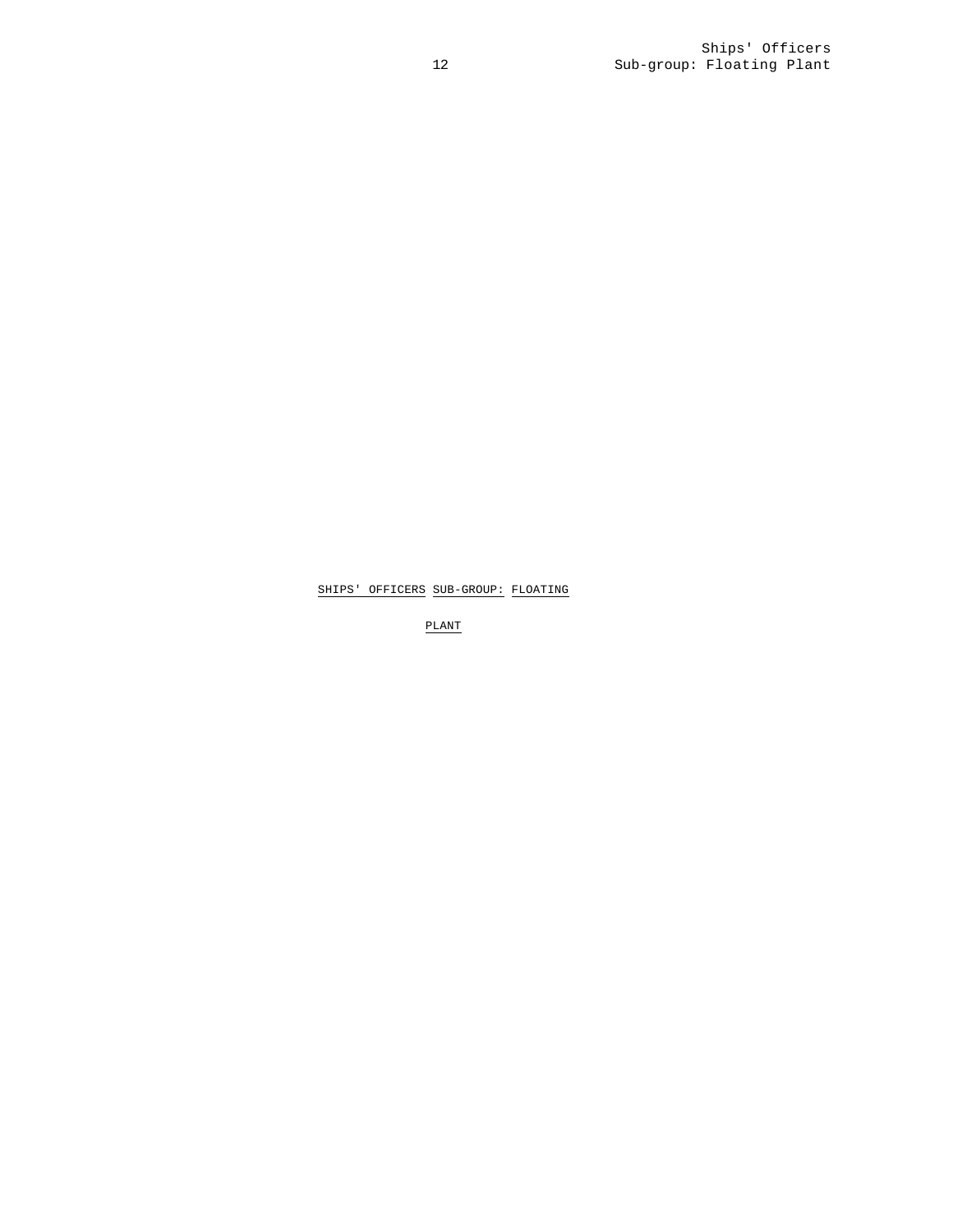PLANT

SHIPS' OFFICERS SUB-GROUP: FLOATING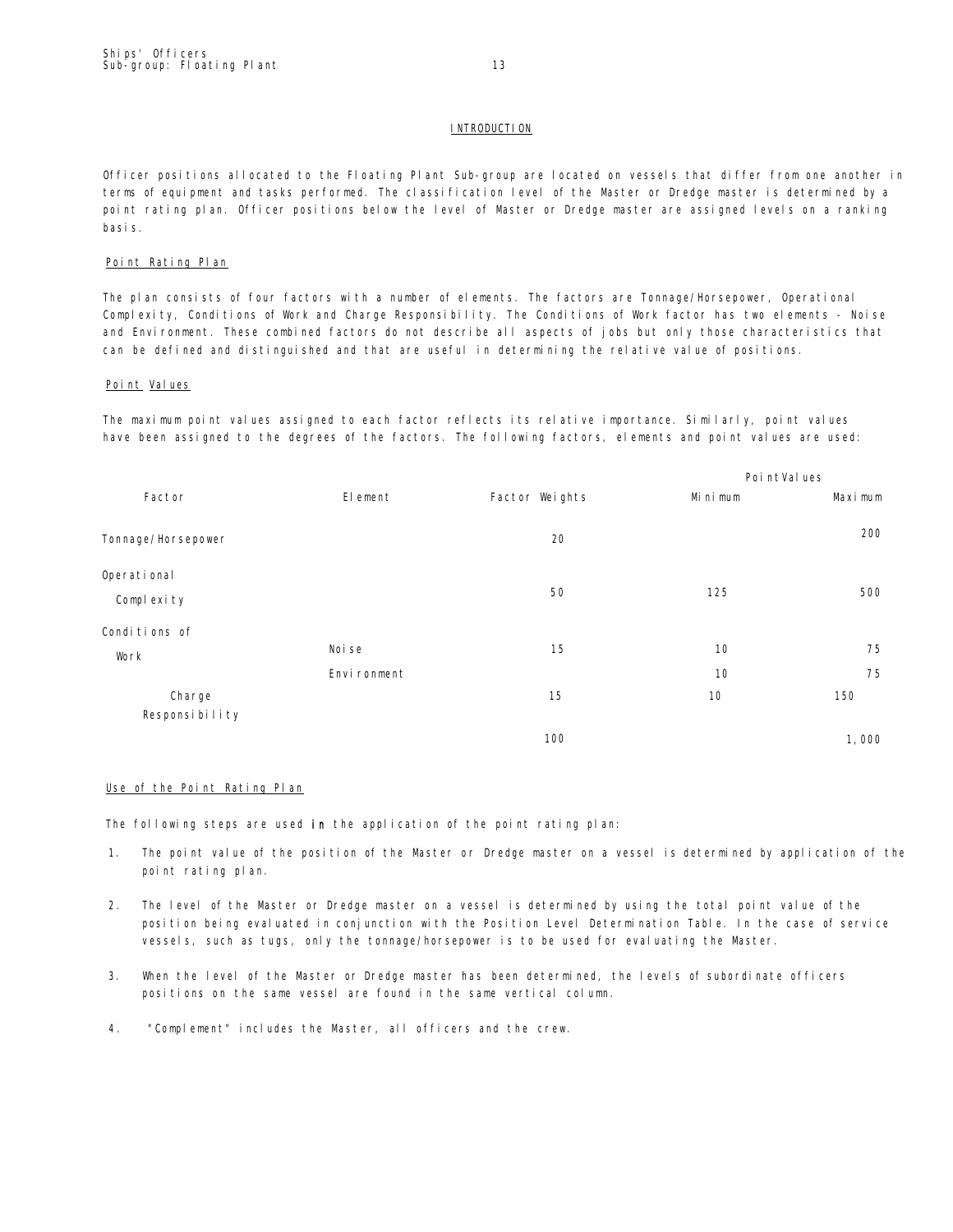## **INTRODUCTION**

Officer positions allocated to the Floating Plant Sub-group are located on vessels that differ from one another in terms of equipment and tasks performed. The classification level of the Master or Dredge master is determined by a point rating plan. Officer positions below the level of Master or Dredge master are assigned levels on a ranking basis.

## Point Rating Plan

The plan consists of four factors with a number of elements. The factors are Tonnage/Horsepower, Operational Complexity, Conditions of Work and Charge Responsibility. The Conditions of Work factor has two elements - Noise and Environment. These combined factors do not describe all aspects of jobs but only those characteristics that can be defined and distinguished and that are useful in determining the relative value of positions.

## Point Values

The maximum point values assigned to each factor reflects its relative importance. Similarly, point values have been assigned to the degrees of the factors. The following factors, elements and point values are used:

|                           |              |                | Poi ntVal ues |         |
|---------------------------|--------------|----------------|---------------|---------|
| Factor                    | El ement     | Factor Weights | Mi ni mum     | Maximum |
| Tonnage/Horsepower        |              | 20             |               | 200     |
| Operational<br>Complexity |              | 50             | 125           | 500     |
| Conditions of             |              |                |               |         |
| Work                      | Noi se       | 15             | 10            | 75      |
|                           | Envi ronment |                | 10            | 75      |
| Charge                    |              | 15             | 10            | 150     |
| Responsibility            |              |                |               |         |
|                           |              | 100            |               | 1,000   |

## Use of the Point Rating Plan

The following steps are used in the application of the point rating plan:

- 1. The point value of the position of the Master or Dredge master on a vessel is determined by application of the point rating plan.
- 2. The level of the Master or Dredge master on a vessel is determined by using the total point value of the position being evaluated in conjunction with the Position Level Determination Table. In the case of service vessels, such as tugs, only the tonnage/horsepower is to be used for evaluating the Master.
- 3. When the level of the Master or Dredge master has been determined, the levels of subordinate officers positions on the same vessel are found in the same vertical column.
- 4. "Complement" includes the Master, all officers and the crew.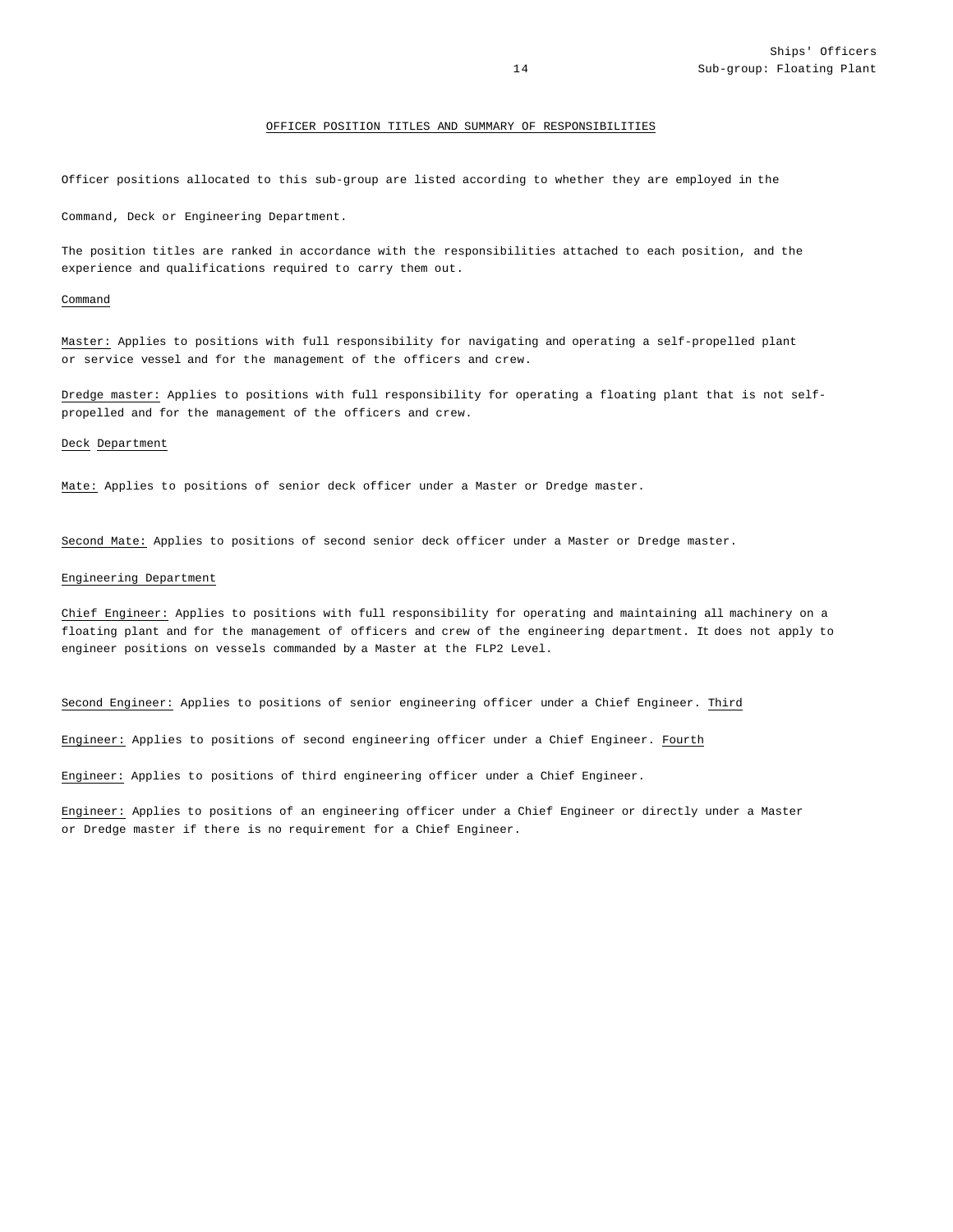## OFFICER POSITION TITLES AND SUMMARY OF RESPONSIBILITIES

Officer positions allocated to this sub-group are listed according to whether they are employed in the

Command, Deck or Engineering Department.

The position titles are ranked in accordance with the responsibilities attached to each position, and the experience and qualifications required to carry them out.

#### Command

Master: Applies to positions with full responsibility for navigating and operating a self-propelled plant or service vessel and for the management of the officers and crew.

Dredge master: Applies to positions with full responsibility for operating a floating plant that is not selfpropelled and for the management of the officers and crew.

#### Deck Department

Mate: Applies to positions of senior deck officer under a Master or Dredge master.

Second Mate: Applies to positions of second senior deck officer under a Master or Dredge master.

#### Engineering Department

Chief Engineer: Applies to positions with full responsibility for operating and maintaining all machinery on a floating plant and for the management of officers and crew of the engineering department. It does not apply to engineer positions on vessels commanded by a Master at the FLP2 Level.

Second Engineer: Applies to positions of senior engineering officer under a Chief Engineer. Third

Engineer: Applies to positions of second engineering officer under a Chief Engineer. Fourth

Engineer: Applies to positions of third engineering officer under a Chief Engineer.

Engineer: Applies to positions of an engineering officer under a Chief Engineer or directly under a Master or Dredge master if there is no requirement for a Chief Engineer.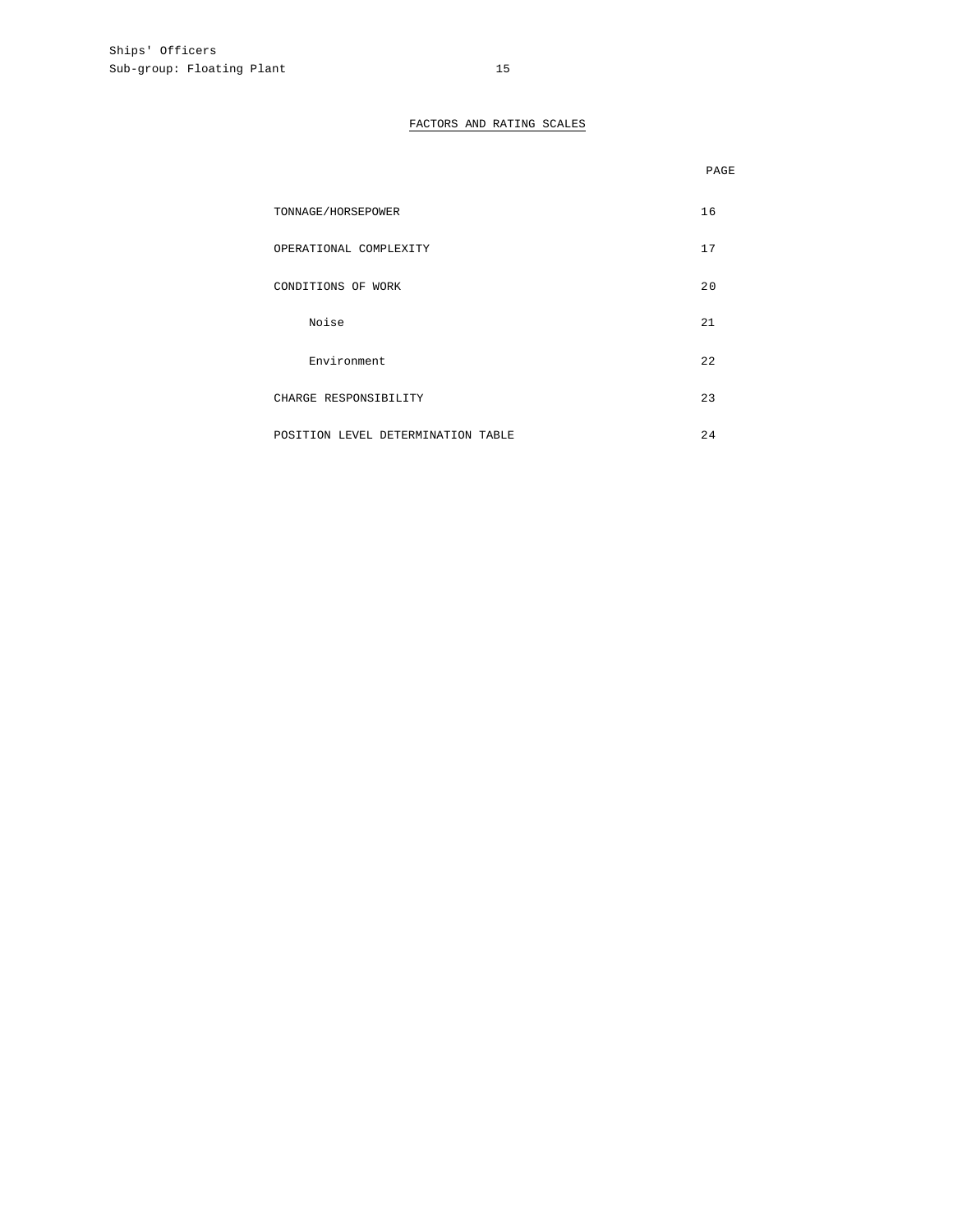## FACTORS AND RATING SCALES

|                                    | PAGE |
|------------------------------------|------|
| TONNAGE/HORSEPOWER                 | 16   |
| OPERATIONAL COMPLEXITY             | 17   |
| CONDITIONS OF WORK                 | 20   |
| Noise                              | 21   |
| Environment                        | 22   |
| CHARGE RESPONSIBILITY              | 23   |
| POSITION LEVEL DETERMINATION TABLE | 2.4  |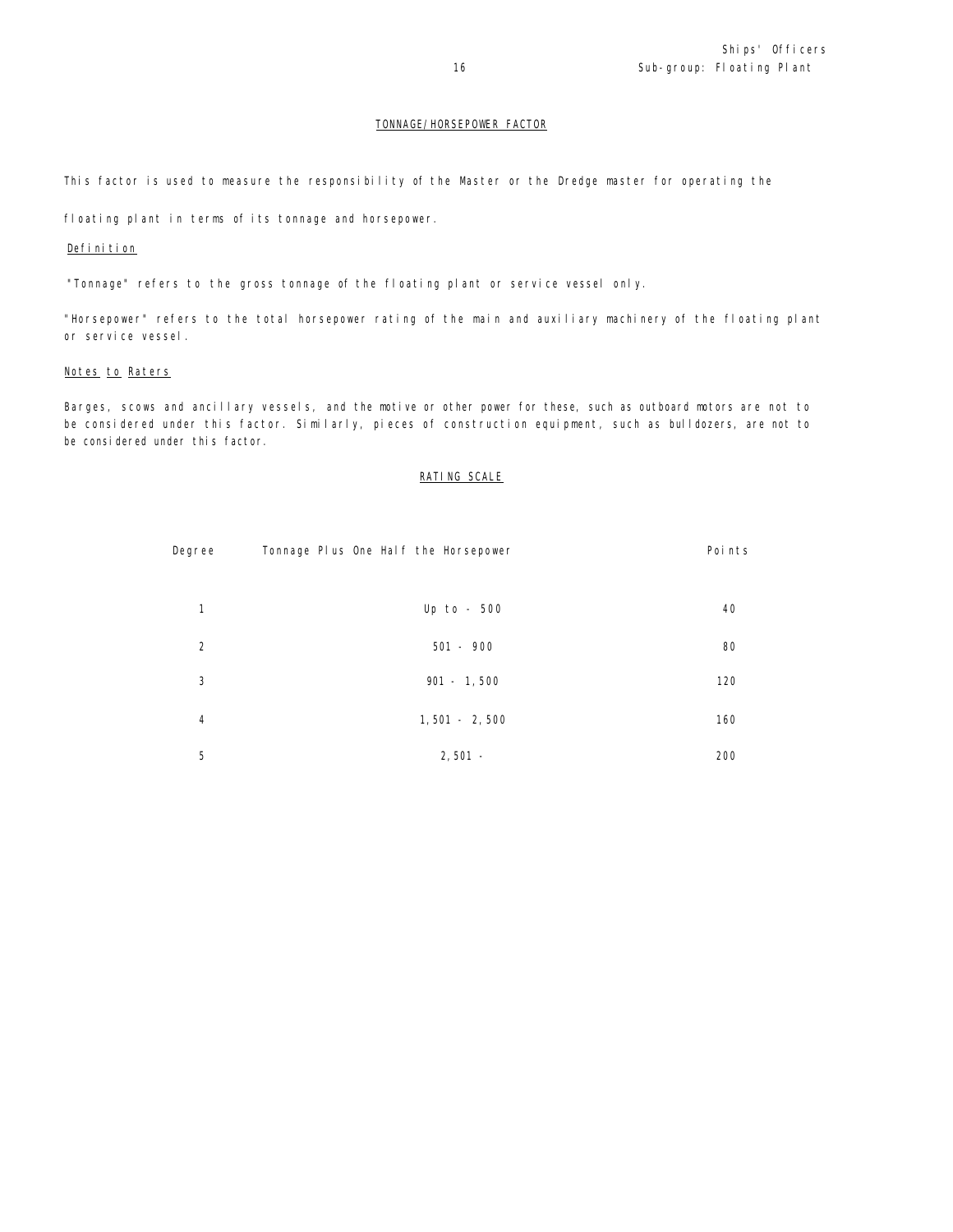## TONNAGE/HORSEPOWER FACTOR

This factor is used to measure the responsibility of the Master or the Dredge master for operating the

floating plant in terms of its tonnage and horsepower.

## Definition

"Tonnage" refers to the gross tonnage of the floating plant or service vessel only.

"Horsepower" refers to the total horsepower rating of the main and auxiliary machinery of the floating plant or service vessel.

## Notes to Raters

Barges, scows and ancillary vessels, and the motive or other power for these, such as outboard motors are not to be considered under this factor. Similarly, pieces of construction equipment, such as bulldozers, are not to be considered under this factor.

## RATING SCALE

| Degree         | Tonnage Plus One Half the Horsepower | Points |
|----------------|--------------------------------------|--------|
| 1              | Up to - $500$                        | 40     |
| 2              | $501 - 900$                          | 80     |
| 3              | $901 - 1,500$                        | 120    |
| $\overline{4}$ | $1,501 - 2,500$                      | 160    |
| 5              | $2,501 -$                            | 200    |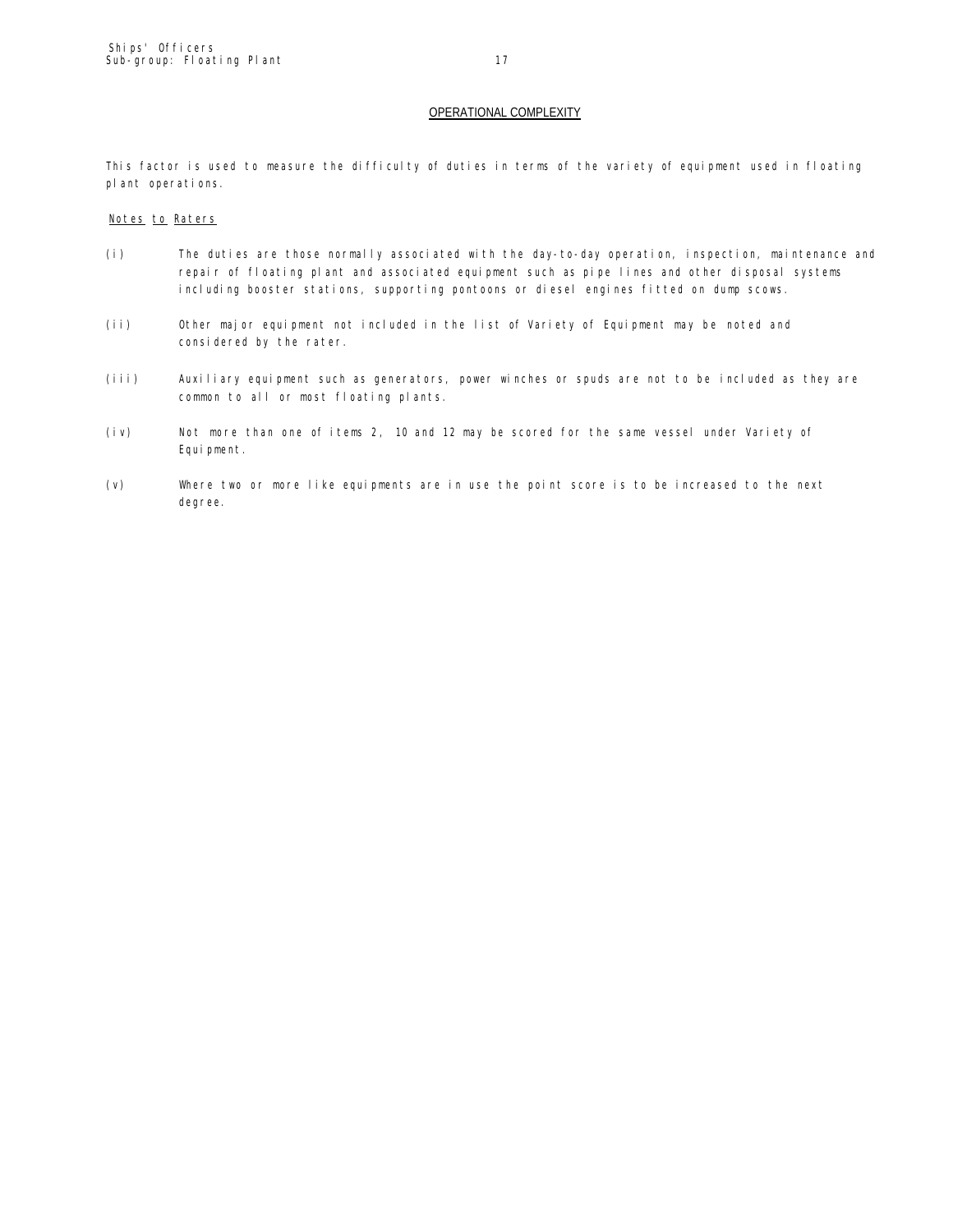This factor is used to measure the difficulty of duties in terms of the variety of equipment used in floating plant operations.

## Notes to Raters

- (i) The duties are those normally associated with the day-to-day operation, inspection, maintenance and repair of floating plant and associated equipment such as pipe lines and other disposal systems including booster stations, supporting pontoons or diesel engines fitted on dump scows.
- (ii) Other major equipment not included in the list of Variety of Equipment may be noted and considered by the rater.
- (iii) Auxiliary equipment such as generators, power winches or spuds are not to be included as they are common to all or most floating plants.
- (iv) Not more than one of items 2, 10 and 12 may be scored for the same vessel under Variety of Equi pment.
- (v) Where two or more like equipments are in use the point score is to be increased to the next degree.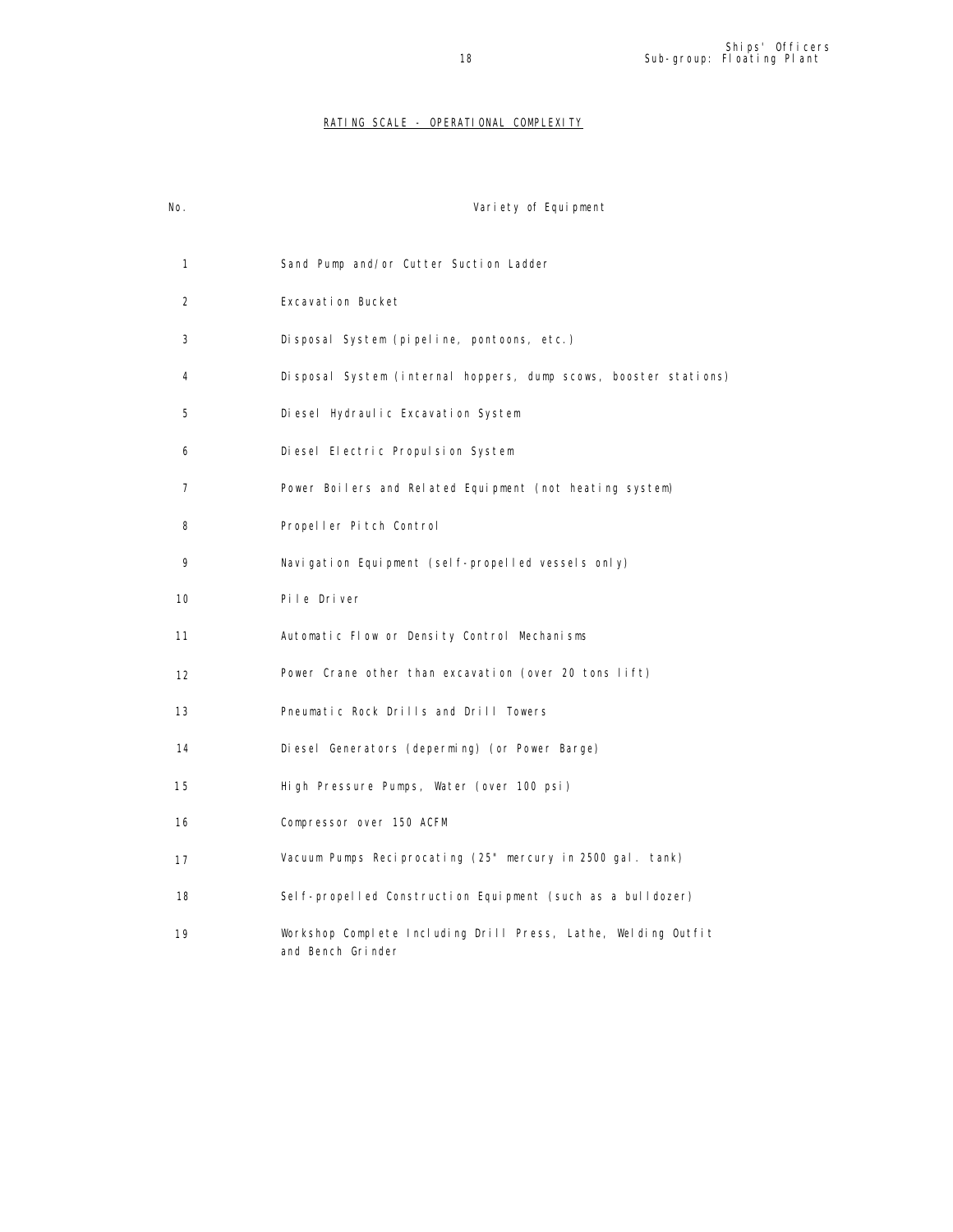## RATING SCALE - OPERATIONAL COMPLEXITY

| No. | Variety of Equipment                                                                |
|-----|-------------------------------------------------------------------------------------|
| 1   | Sand Pump and/or Cutter Suction Ladder                                              |
| 2   | Excavation Bucket                                                                   |
| 3   | Disposal System (pipeline, pontoons, etc.)                                          |
| 4   | Disposal System (internal hoppers, dump scows, booster stations)                    |
| 5   | Diesel Hydraulic Excavation System                                                  |
| 6   | Diesel Electric Propulsion System                                                   |
| 7   | Power Boilers and Related Equipment (not heating system)                            |
| 8   | Propeller Pitch Control                                                             |
| 9   | Navigation Equipment (self-propelled vessels only)                                  |
| 10  | Pile Driver                                                                         |
| 11  | Automatic Flow or Density Control Mechanisms                                        |
| 12  | Power Crane other than excavation (over 20 tons lift)                               |
| 13  | Pneumatic Rock Drills and Drill Towers                                              |
| 14  | Diesel Generators (deperming) (or Power Barge)                                      |
| 15  | High Pressure Pumps, Water (over 100 psi)                                           |
| 16  | Compressor over 150 ACFM                                                            |
| 17  | Vacuum Pumps Reciprocating (25" mercury in 2500 gal. tank)                          |
| 18  | Self-propelled Construction Equipment (such as a bulldozer)                         |
| 19  | Workshop Complete Including Drill Press, Lathe, Welding Outfit<br>and Bench Grinder |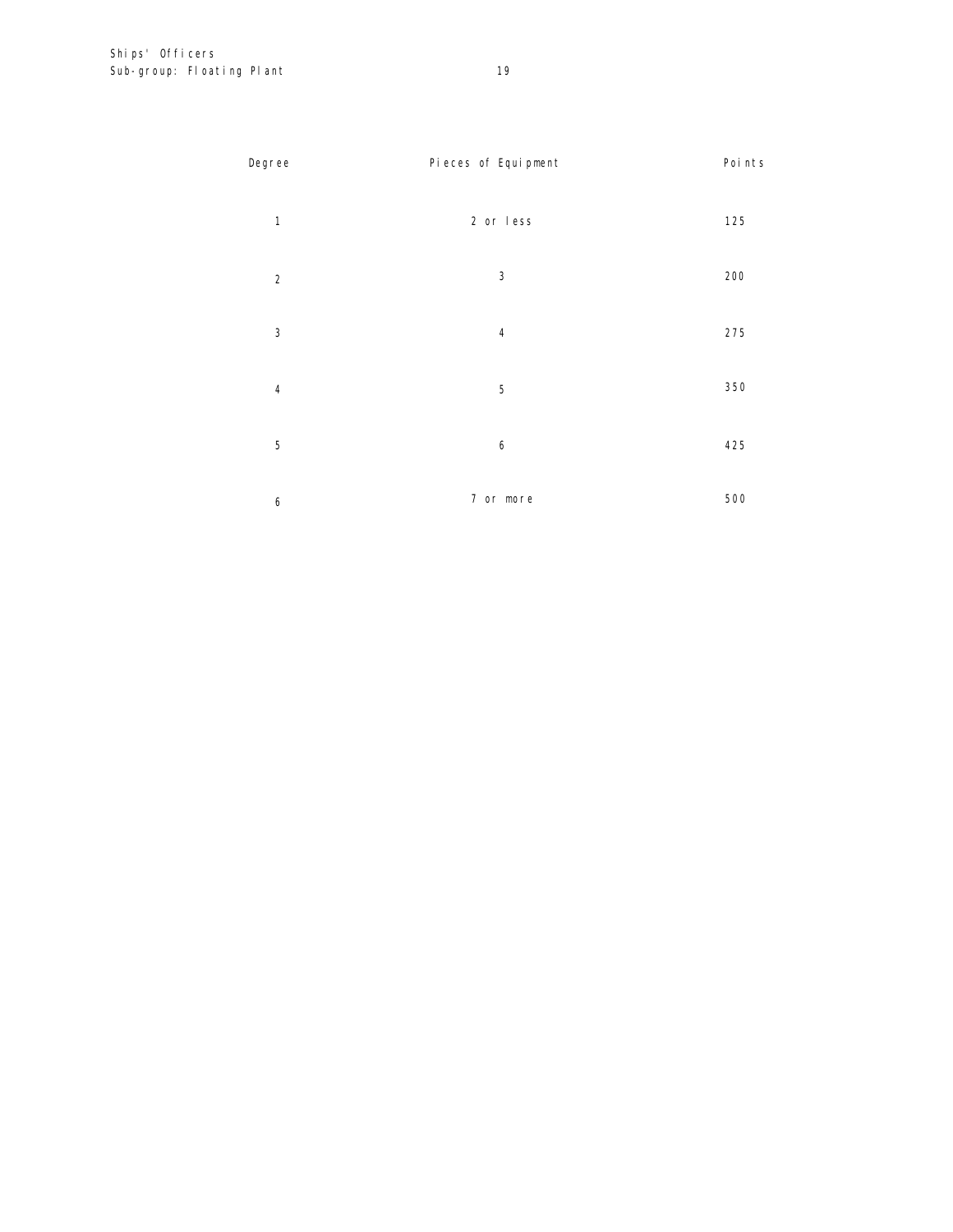| Degree         | Pieces of Equipment     | Poi nts |
|----------------|-------------------------|---------|
| $\mathbf{1}$   | 2 or less               | 125     |
| $\overline{2}$ | $\mathbf{3}$            | 200     |
| 3              | $\overline{\mathbf{4}}$ | 275     |
| $\sqrt{4}$     | 5                       | 350     |
| 5              | 6                       | 425     |
| 6              | 7 or more               | 500     |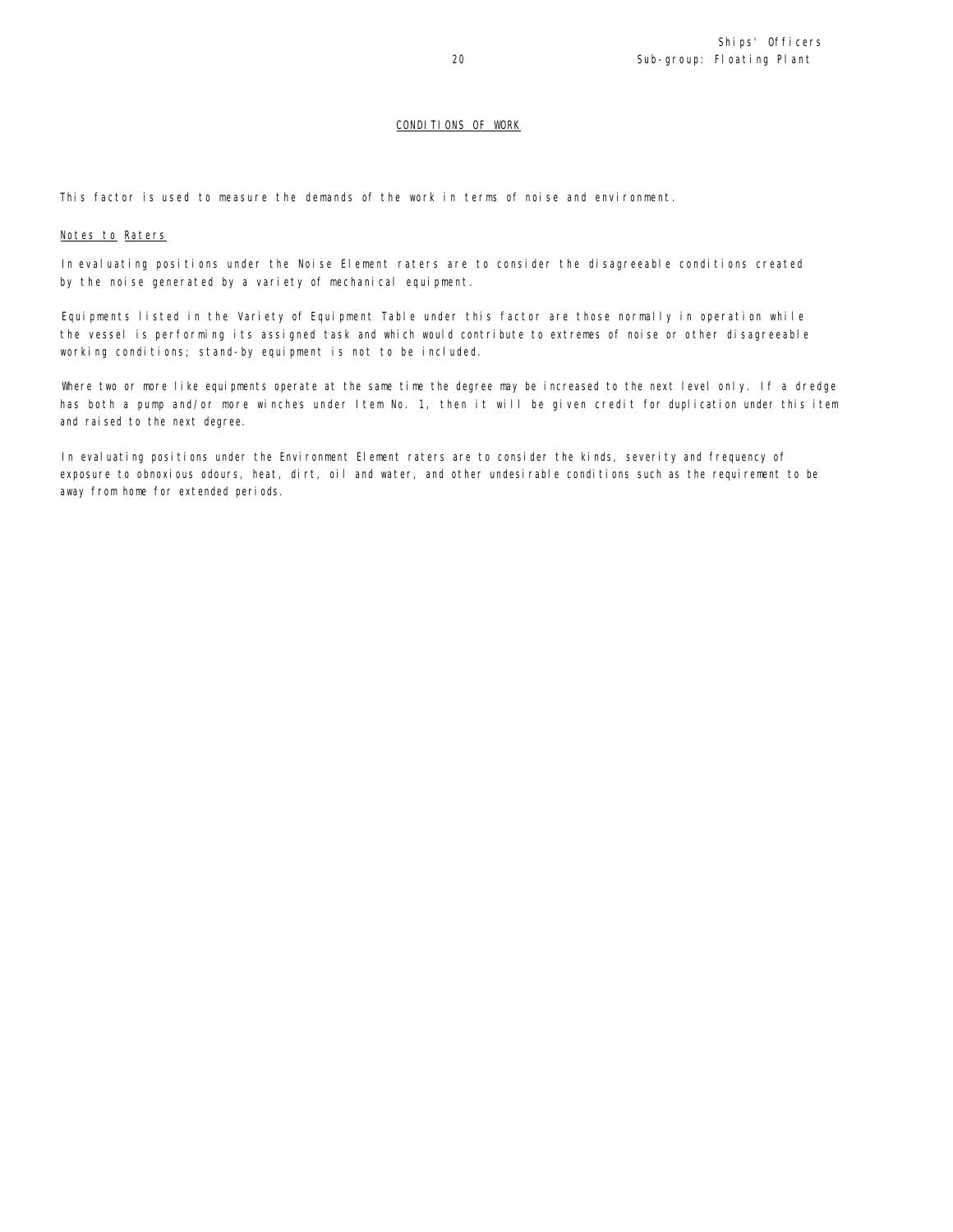## CONDITIONS OF WORK

This factor is used to measure the demands of the work in terms of noise and environment.

## Notes to Raters

In evaluating positions under the Noise Element raters are to consider the disagreeable conditions created by the noise generated by a variety of mechanical equipment.

Equipments listed in the Variety of Equipment Table under this factor are those normally in operation while the vessel is performing its assigned task and which would contribute to extremes of noise or other disagreeable working conditions; stand-by equipment is not to be included.

Where two or more like equipments operate at the same time the degree may be increased to the next level only. If a dredge has both a pump and/or more winches under Item No. 1, then it will be given credit for duplication under this item and raised to the next degree.

In evaluating positions under the Environment Element raters are to consider the kinds, severity and frequency of exposure to obnoxious odours, heat, dirt, oil and water, and other undesirable conditions such as the requirement to be away from home for extended periods.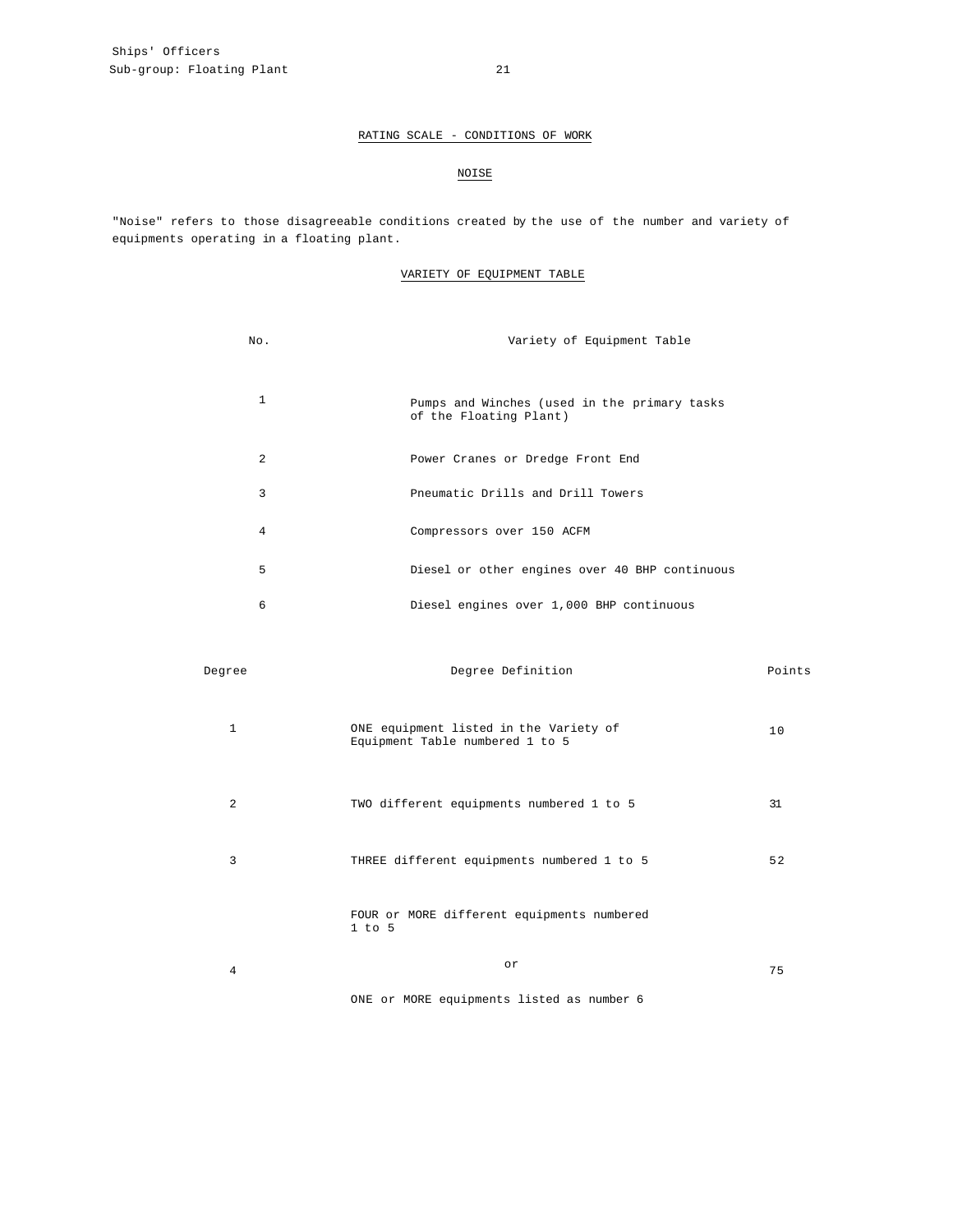## RATING SCALE - CONDITIONS OF WORK

## NOISE

"Noise" refers to those disagreeable conditions created by the use of the number and variety of equipments operating in a floating plant.

## VARIETY OF EQUIPMENT TABLE

| No.            | Variety of Equipment Table                                             |
|----------------|------------------------------------------------------------------------|
| $\mathbf{1}$   | Pumps and Winches (used in the primary tasks<br>of the Floating Plant) |
| $\overline{a}$ | Power Cranes or Dredge Front End                                       |
| 3              | Pneumatic Drills and Drill Towers                                      |
| 4              | Compressors over 150 ACFM                                              |
| 5              | Diesel or other engines over 40 BHP continuous                         |
| 6              | Diesel engines over 1,000 BHP continuous                               |

| Degree         | Degree Definition                                                         | Points |
|----------------|---------------------------------------------------------------------------|--------|
| $\mathbf{1}$   | ONE equipment listed in the Variety of<br>Equipment Table numbered 1 to 5 | 10     |
| $\overline{2}$ | TWO different equipments numbered 1 to 5                                  | 31     |
| 3              | THREE different equipments numbered 1 to 5                                | 52     |
|                | FOUR or MORE different equipments numbered<br>$1$ to $5$                  |        |
| 4              | or                                                                        | 75     |
|                | ONE or MORE equipments listed as number 6                                 |        |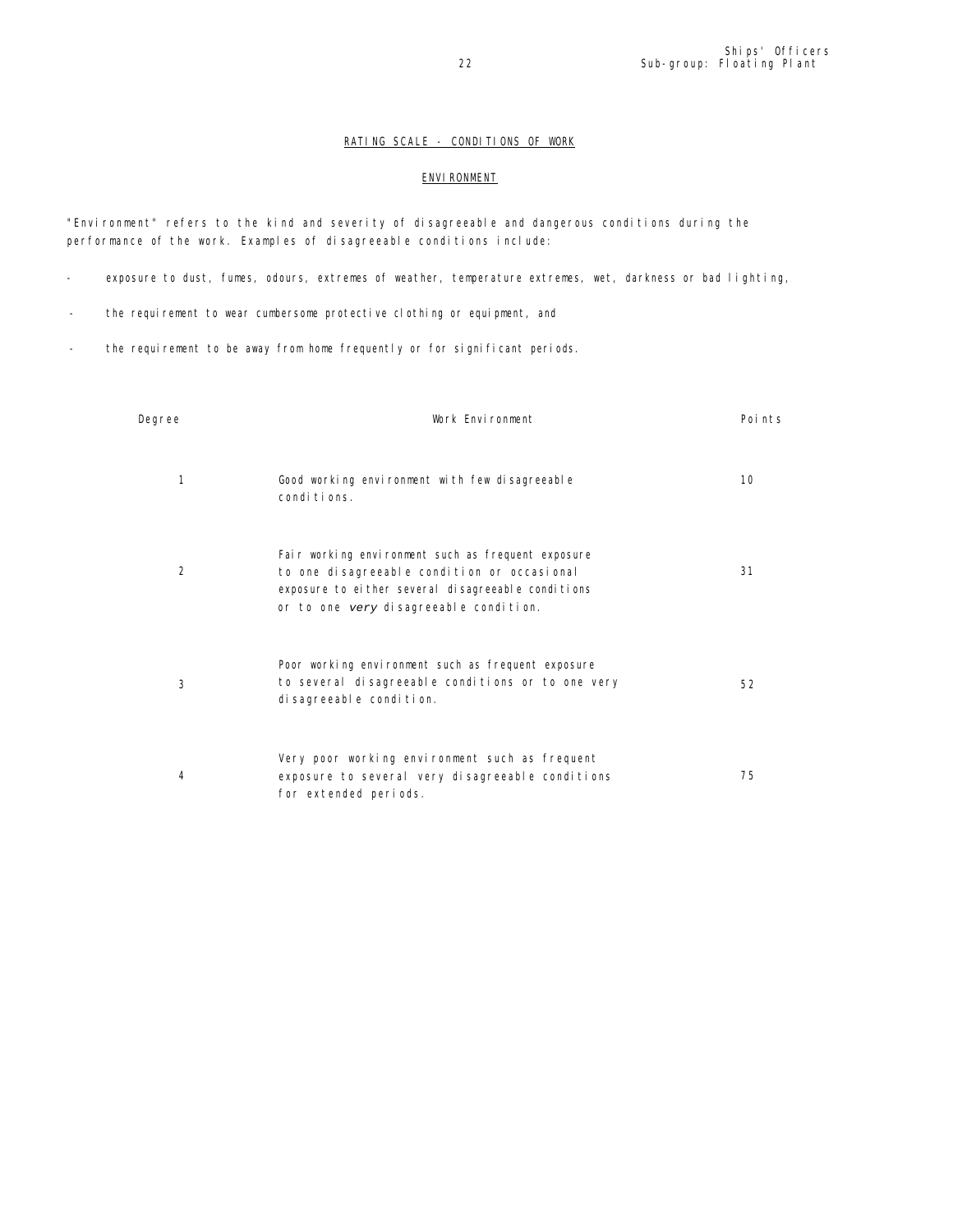## RATING SCALE - CONDITIONS OF WORK

## **ENVI RONMENT**

"Environment" refers to the kind and severity of disagreeable and dangerous conditions during the performance of the work. Examples of disagreeable conditions include:

- exposure to dust, fumes, odours, extremes of weather, temperature extremes, wet, darkness or bad lighting,
- the requirement to wear cumbersome protective clothing or equipment, and
- the requirement to be away from home frequently or for significant periods.

| Degree         | Work Environment                                                                                                                                                                                  | Poi nts |
|----------------|---------------------------------------------------------------------------------------------------------------------------------------------------------------------------------------------------|---------|
| 1              | Good working environment with few disagreeable<br>conditions.                                                                                                                                     | 10      |
| $\overline{2}$ | Fair working environment such as frequent exposure<br>to one disagreeable condition or occasional<br>exposure to either several disagreeable conditions<br>or to one very disagreeable condition. | 31      |
| 3              | Poor working environment such as frequent exposure<br>to several disagreeable conditions or to one very<br>di sagreeable condi ti on.                                                             | 52      |
| 4              | Very poor working environment such as frequent<br>exposure to several very disagreeable conditions<br>for extended periods.                                                                       | 75      |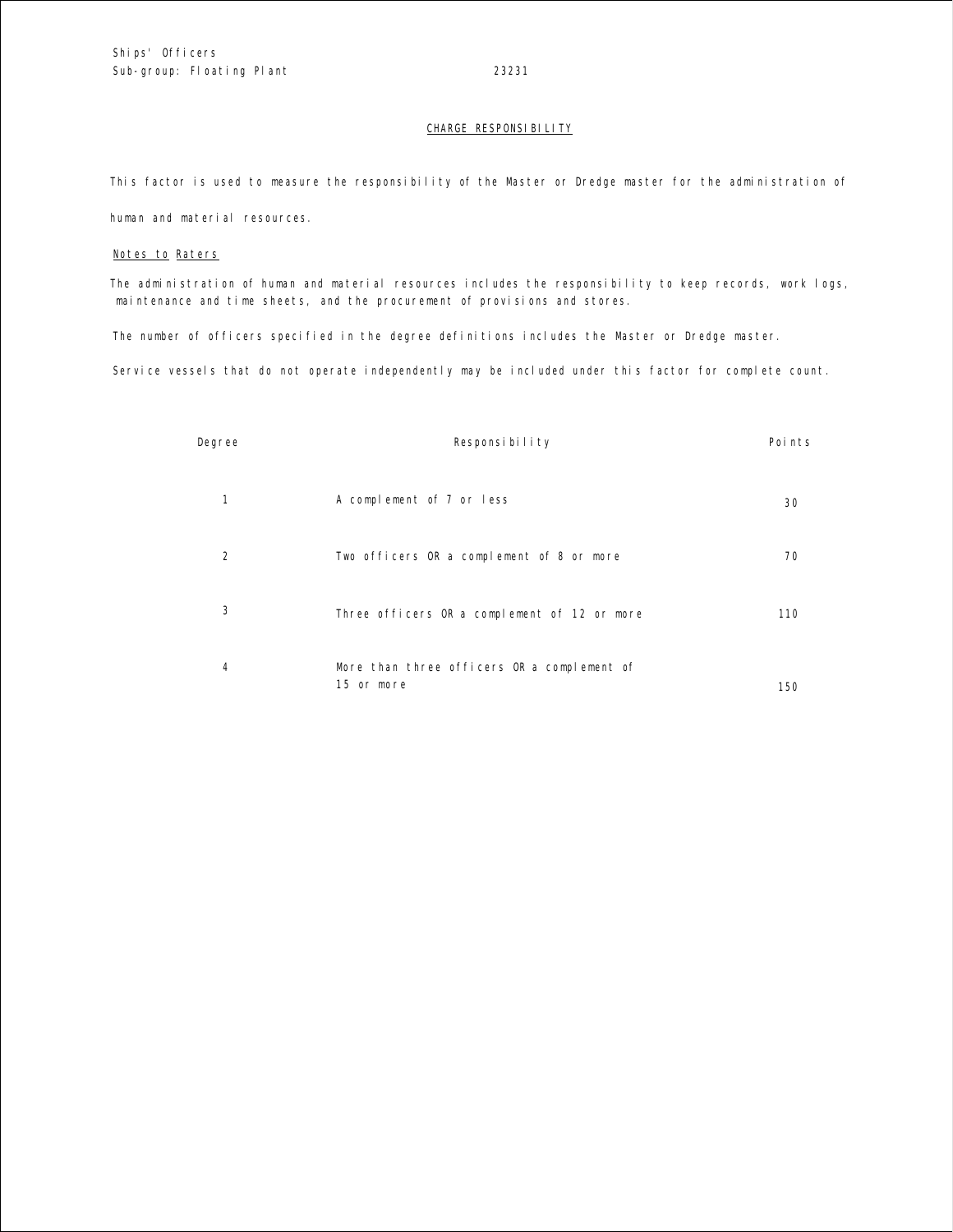## CHARGE RESPONSIBILITY

This factor is used to measure the responsibility of the Master or Dredge master for the administration of

human and material resources.

## Notes to Raters

The administration of human and material resources includes the responsibility to keep records, work logs, maintenance and time sheets, and the procurement of provisions and stores.

The number of officers specified in the degree definitions includes the Master or Dredge master.

Service vessels that do not operate independently may be included under this factor for complete count.

| Degree         | Responsibility                                            | Poi nts |
|----------------|-----------------------------------------------------------|---------|
| $\mathbf{1}$   | A complement of 7 or less                                 | 30      |
| 2              | Two officers OR a complement of 8 or more                 | 70      |
| 3              | Three officers OR a complement of 12 or more              | 110     |
| $\overline{4}$ | More than three officers OR a complement of<br>15 or more | 150     |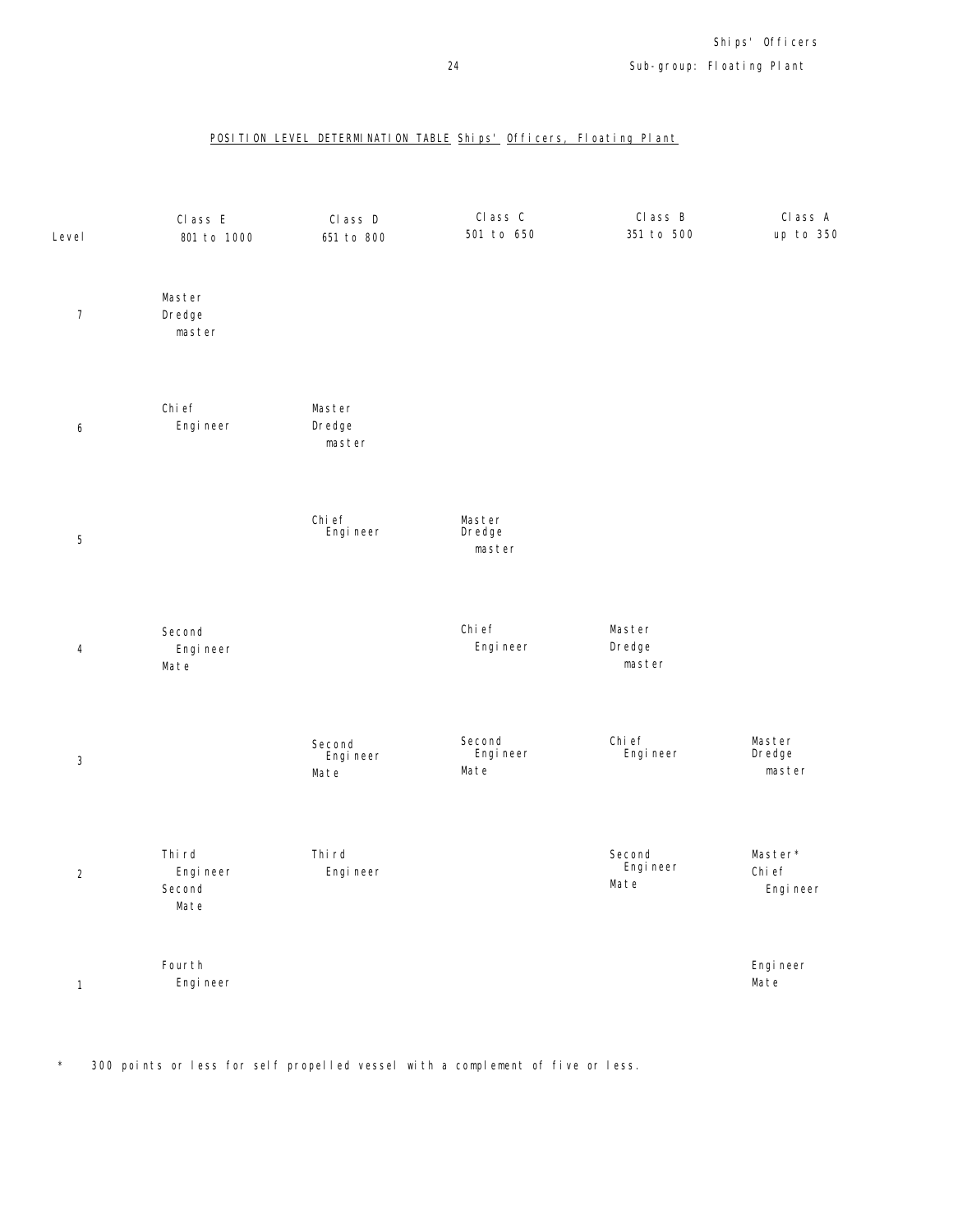## POSITION LEVEL DETERMINATION TABLE Ships' Officers, Floating Plant



\* 300 points or less for self propelled vessel with a complement of five or less.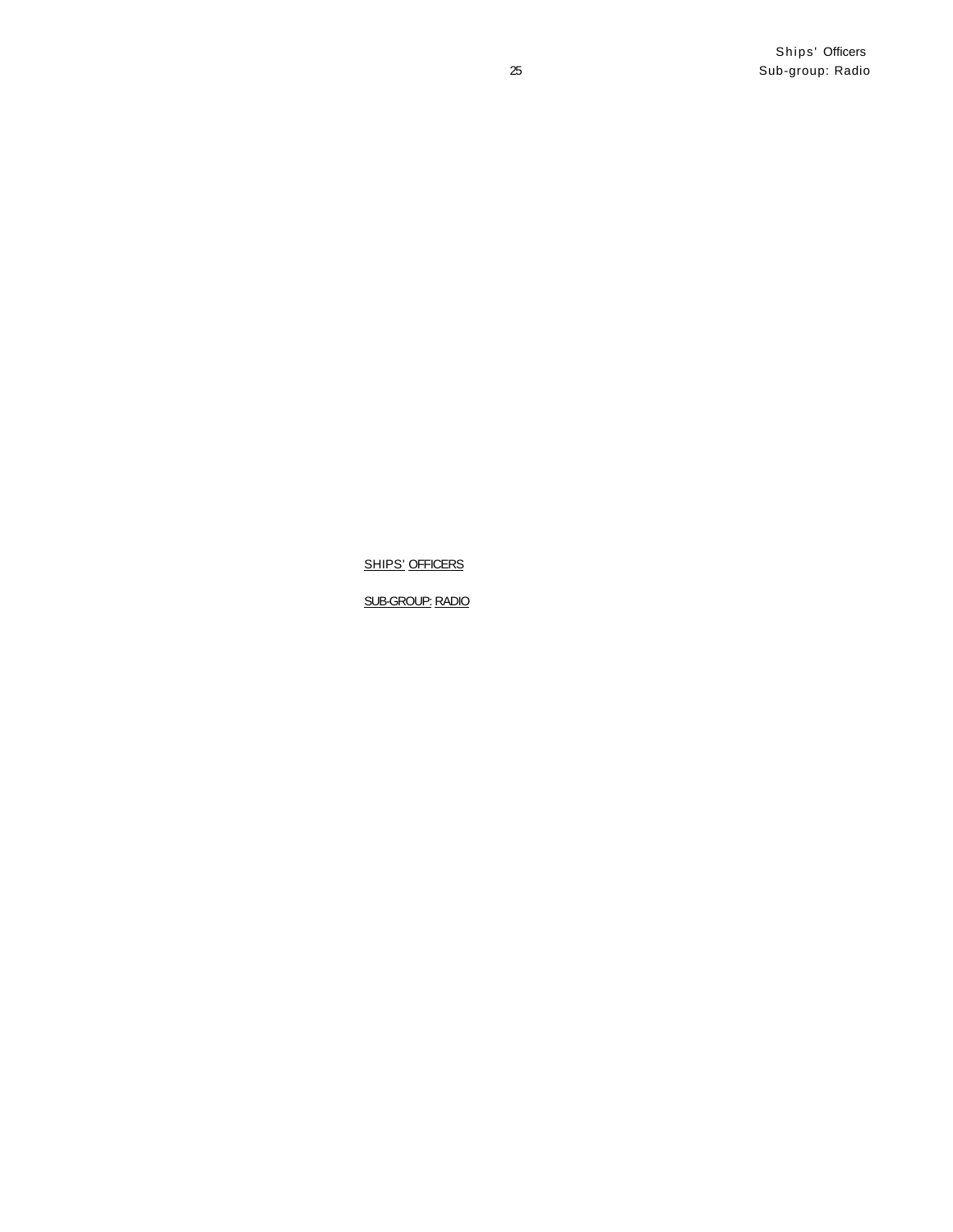**SHIPS' OFFICERS** 

SUB-GROUP: RADIO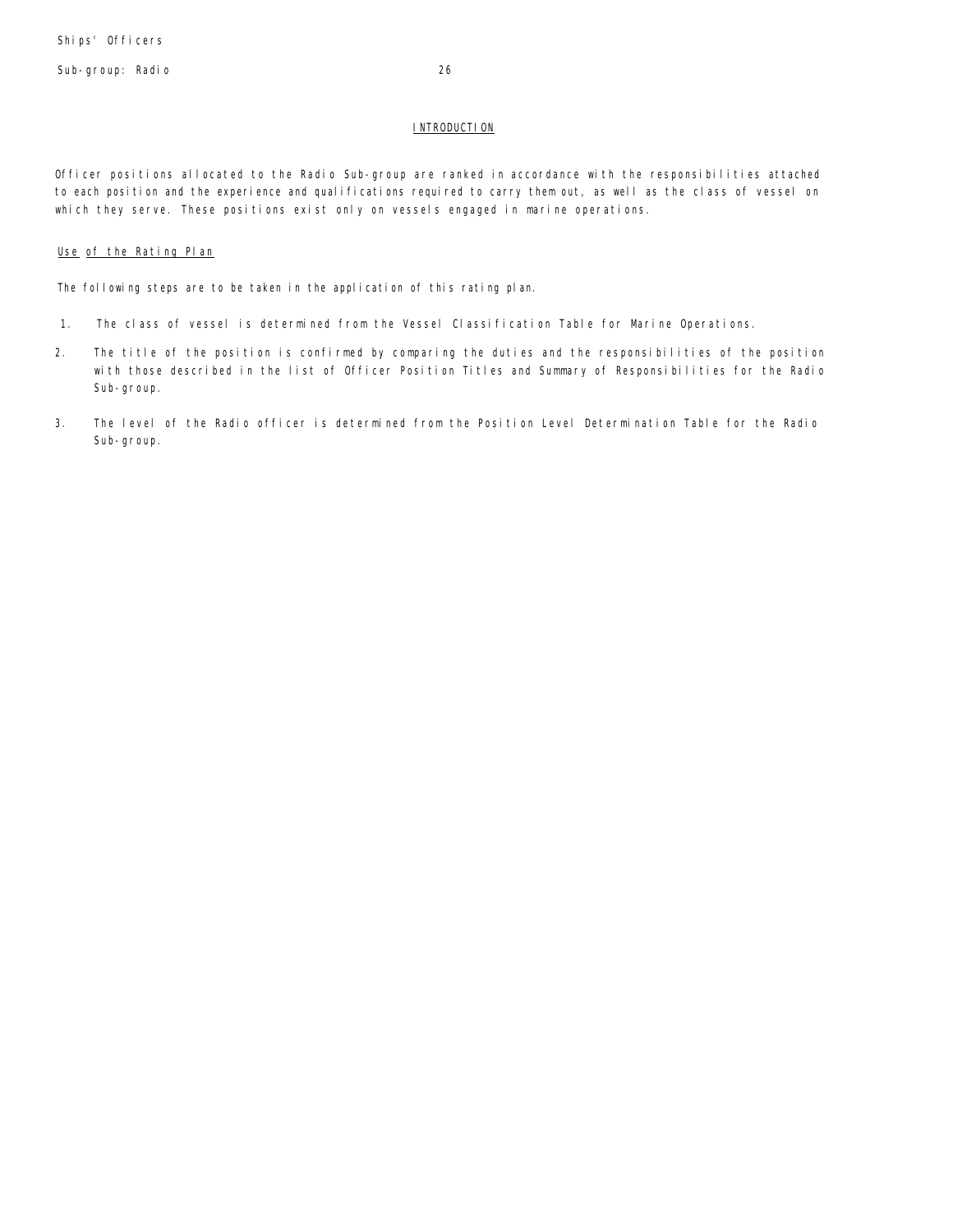Sub-group: Radio 26

## **INTRODUCTION**

Officer positions allocated to the Radio Sub-group are ranked in accordance with the responsibilities attached to each position and the experience and qualifications required to carry them out, as well as the class of vessel on which they serve. These positions exist only on vessels engaged in marine operations.

## Use of the Rating Plan

The following steps are to be taken in the application of this rating plan.

- 1. The class of vessel is determined from the Vessel Classification Table for Marine Operations.
- 2. The title of the position is confirmed by comparing the duties and the responsibilities of the position with those described in the list of Officer Position Titles and Summary of Responsibilities for the Radio Sub-group.
- 3. The level of the Radio officer is determined from the Position Level Determination Table for the Radio Sub-group.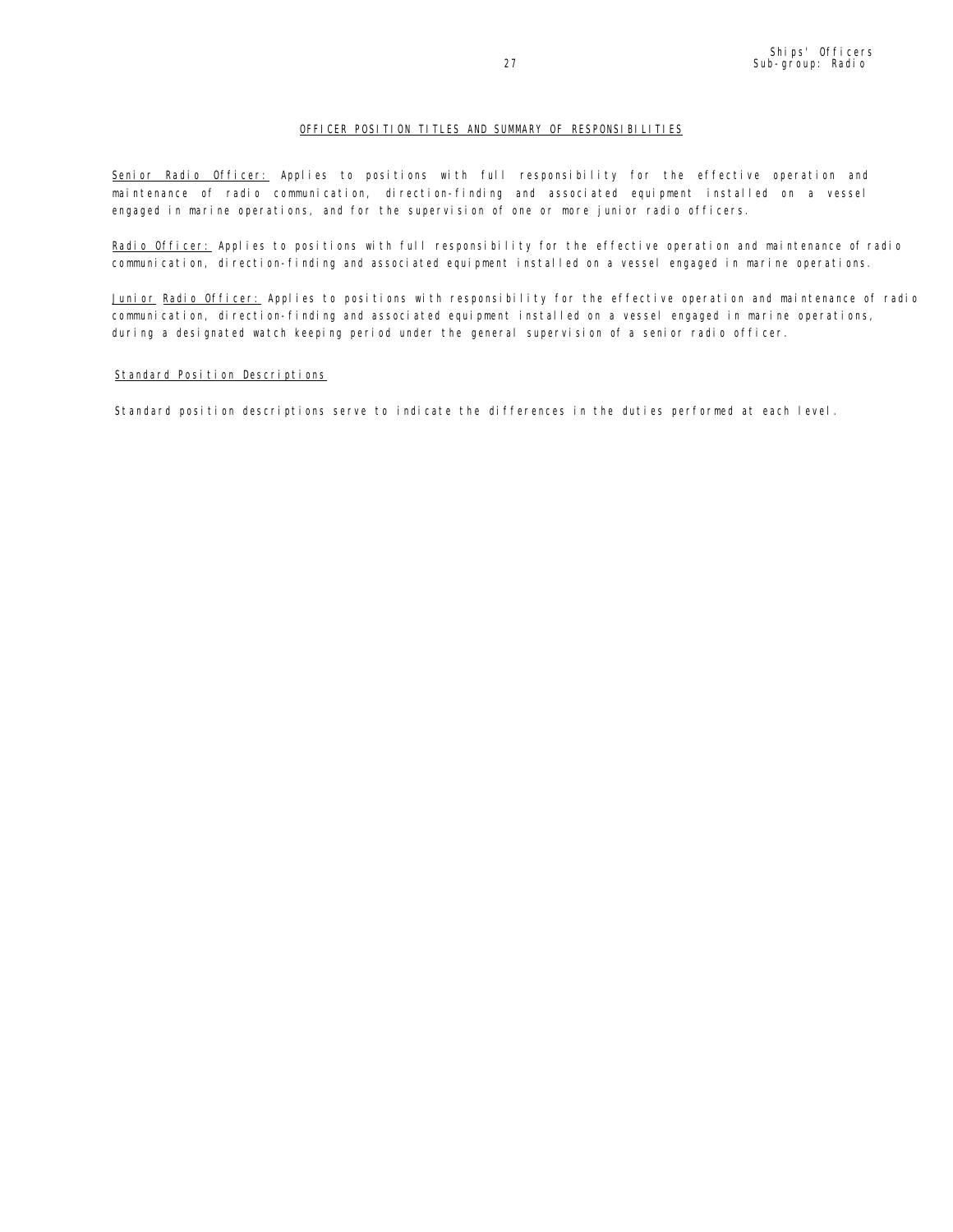## OFFICER POSITION TITLES AND SUMMARY OF RESPONSIBILITIES

Senior Radio Officer: Applies to positions with full responsibility for the effective operation and maintenance of radio communication, direction-finding and associated equipment installed on a vessel engaged in marine operations, and for the supervision of one or more junior radio officers.

Radio Officer: Applies to positions with full responsibility for the effective operation and maintenance of radio communication, direction-finding and associated equipment installed on a vessel engaged in marine operations.

Junior Radio Officer: Applies to positions with responsibility for the effective operation and maintenance of radio communication, direction-finding and associated equipment installed on a vessel engaged in marine operations, during a designated watch keeping period under the general supervision of a senior radio officer.

## Standard Position Descriptions

Standard position descriptions serve to indicate the differences in the duties performed at each level.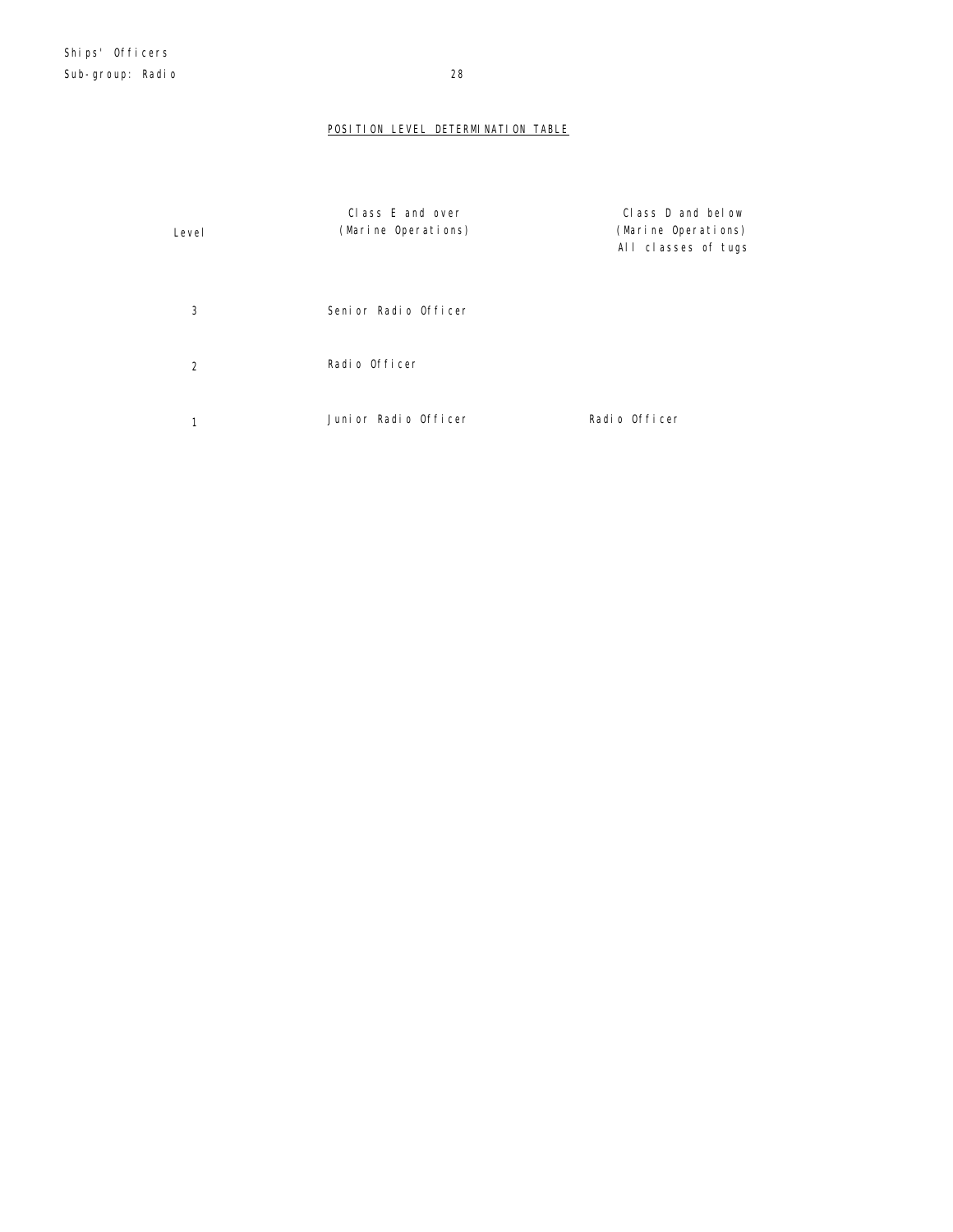## POSITION LEVEL DETERMINATION TABLE

| Level | Class E and over<br>(Marine Operations) | Class D and below<br>(Marine Operations)<br>All classes of tugs |
|-------|-----------------------------------------|-----------------------------------------------------------------|
| 3     | Seni or Radio Officer                   |                                                                 |
| 2     | Radio Officer                           |                                                                 |
|       | Junior Radio Officer                    | Radio Officer                                                   |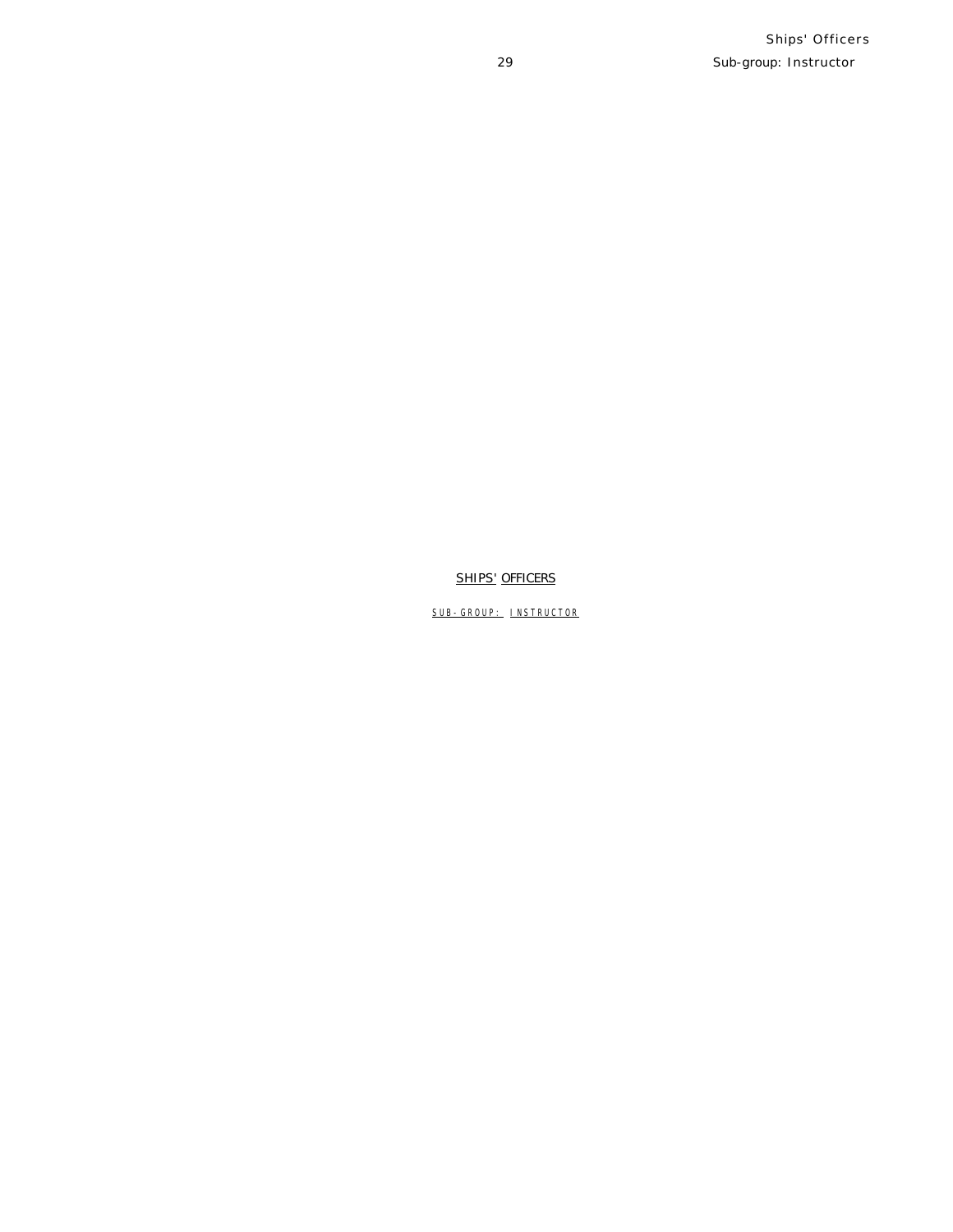## **SHIPS' OFFICERS**

SUB-GROUP: INSTRUCTOR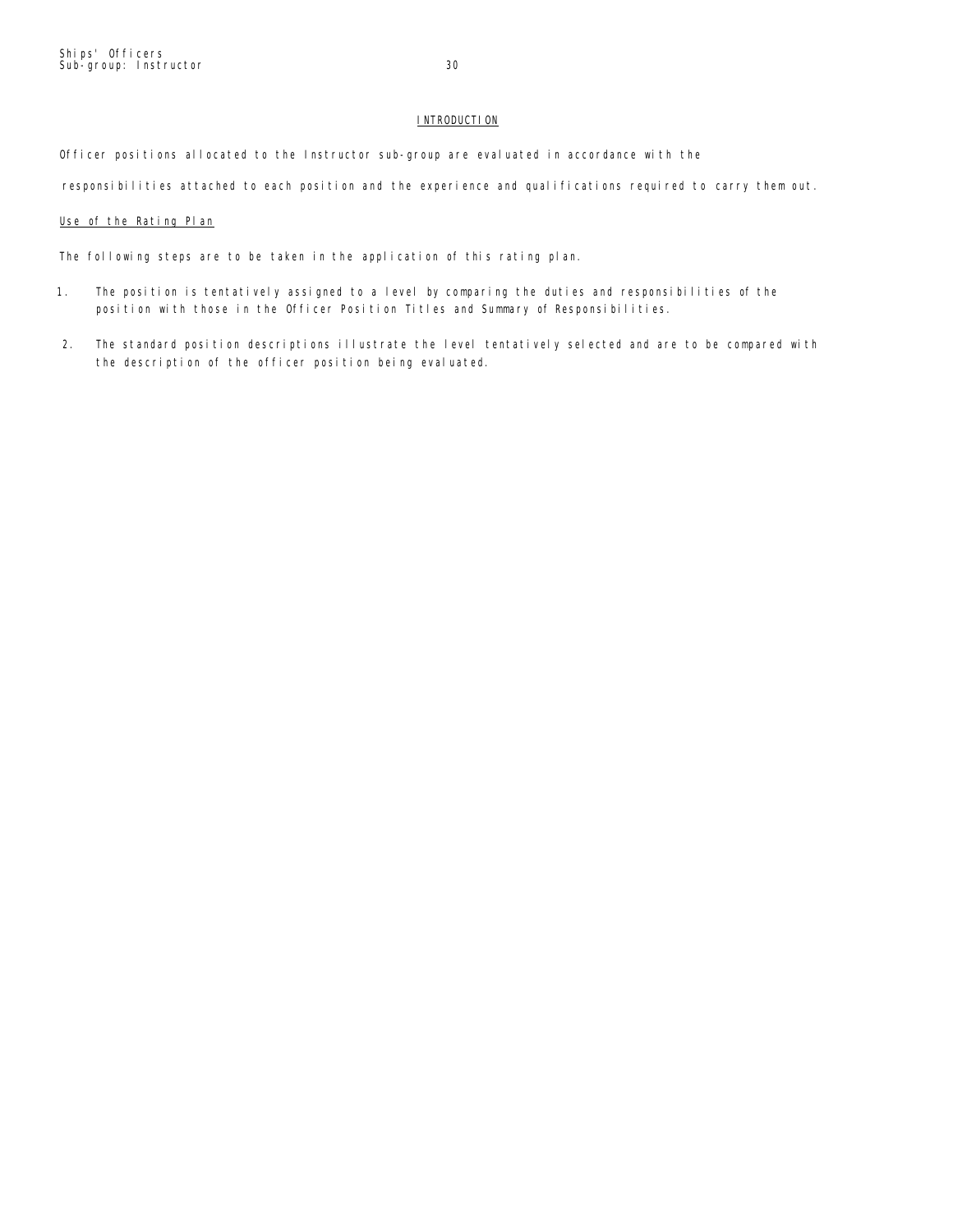## **INTRODUCTION**

Officer positions allocated to the Instructor sub-group are evaluated in accordance with the

responsibilities attached to each position and the experience and qualifications required to carry them out.

## Use of the Rating Plan

The following steps are to be taken in the application of this rating plan.

- 1. The position is tentatively assigned to a level by comparing the duties and responsibilities of the position with those in the Officer Position Titles and Summary of Responsibilities.
- 2. The standard position descriptions illustrate the level tentatively selected and are to be compared with the description of the officer position being evaluated.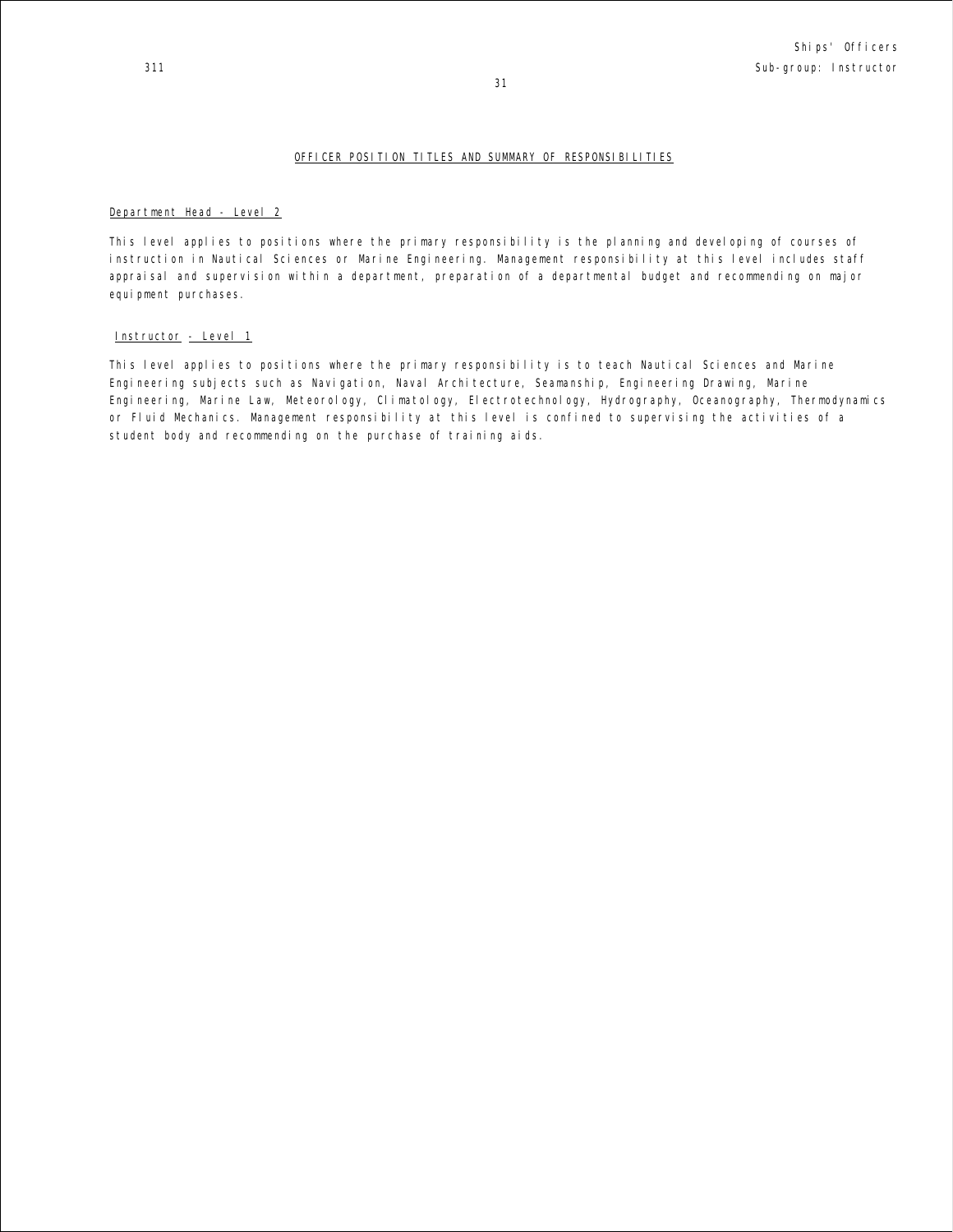## OFFICER POSITION TITLES AND SUMMARY OF RESPONSIBILITIES

## Department Head - Level 2

This level applies to positions where the primary responsibility is the planning and developing of courses of instruction in Nautical Sciences or Marine Engineering. Management responsibility at this level includes staff appraisal and supervision within a department, preparation of a departmental budget and recommending on major equi pment purchases.

#### Instructor - Level 1

This level applies to positions where the primary responsibility is to teach Nautical Sciences and Marine Engineering subjects such as Navigation, Naval Architecture, Seamanship, Engineering Drawing, Marine Engineering, Marine Law, Meteorology, Climatology, Electrotechnology, Hydrography, Oceanography, Thermodynamics or Fluid Mechanics. Management responsibility at this level is confined to supervising the activities of a student body and recommending on the purchase of training aids.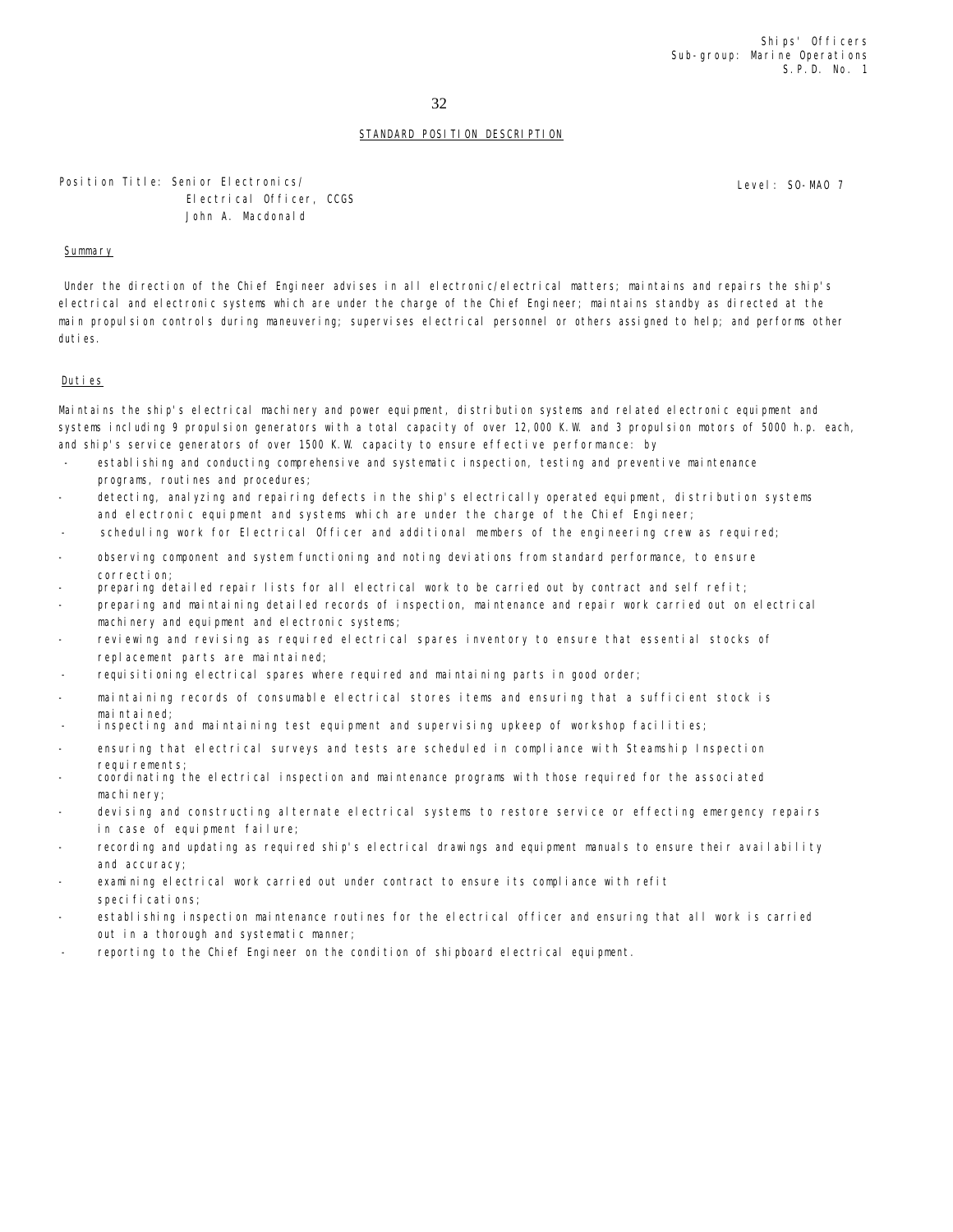32

## STANDARD POSITION DESCRIPTION

Position Title: Senior Electronics/ Electrical Officer, CCGS John A. Macdonald

## Summary

Under the direction of the Chief Engineer advises in all electronic/electrical matters; maintains and repairs the ship's electrical and electronic systems which are under the charge of the Chief Engineer; maintains standby as directed at the main propulsion controls during maneuvering; supervises electrical personnel or others assigned to help; and performs other duties.

#### Duties

Maintains the ship's electrical machinery and power equipment, distribution systems and related electronic equipment and systems including 9 propulsion generators with a total capacity of over 12,000 K.W. and 3 propulsion motors of 5000 h.p. each, and ship's service generators of over 1500 K.W. capacity to ensure effective performance: by

- establishing and conducting comprehensive and systematic inspection, testing and preventive maintenance programs, routines and procedures;
- detecting, analyzing and repairing defects in the ship's electrically operated equipment, distribution systems and electronic equipment and systems which are under the charge of the Chief Engineer;
- scheduling work for Electrical Officer and additional members of the engineering crew as required;
- observing component and system functioning and noting deviations from standard performance, to ensure correction;
- preparing detailed repair lists for all electrical work to be carried out by contract and self refit;
- preparing and maintaining detailed records of inspection, maintenance and repair work carried out on electrical machinery and equipment and electronic systems;
- reviewing and revising as required electrical spares inventory to ensure that essential stocks of replacement parts are maintained;
- requisitioning electrical spares where required and maintaining parts in good order;
- maintaining records of consumable electrical stores items and ensuring that a sufficient stock is maintained
- inspecting and maintaining test equipment and supervising upkeep of workshop facilities;
- ensuring that electrical surveys and tests are scheduled in compliance with Steamship Inspection requirements;
- coordinating the electrical inspection and maintenance programs with those required for the associated machinery:
- devising and constructing alternate electrical systems to restore service or effecting emergency repairs in case of equipment failure;
- recording and updating as required ship's electrical drawings and equipment manuals to ensure their availability and accuracy;
- examining electrical work carried out under contract to ensure its compliance with refit specifications;
- establishing inspection maintenance routines for the electrical officer and ensuring that all work is carried out in a thorough and systematic manner;
- reporting to the Chief Engineer on the condition of shipboard electrical equipment.

Level: SO-MAO 7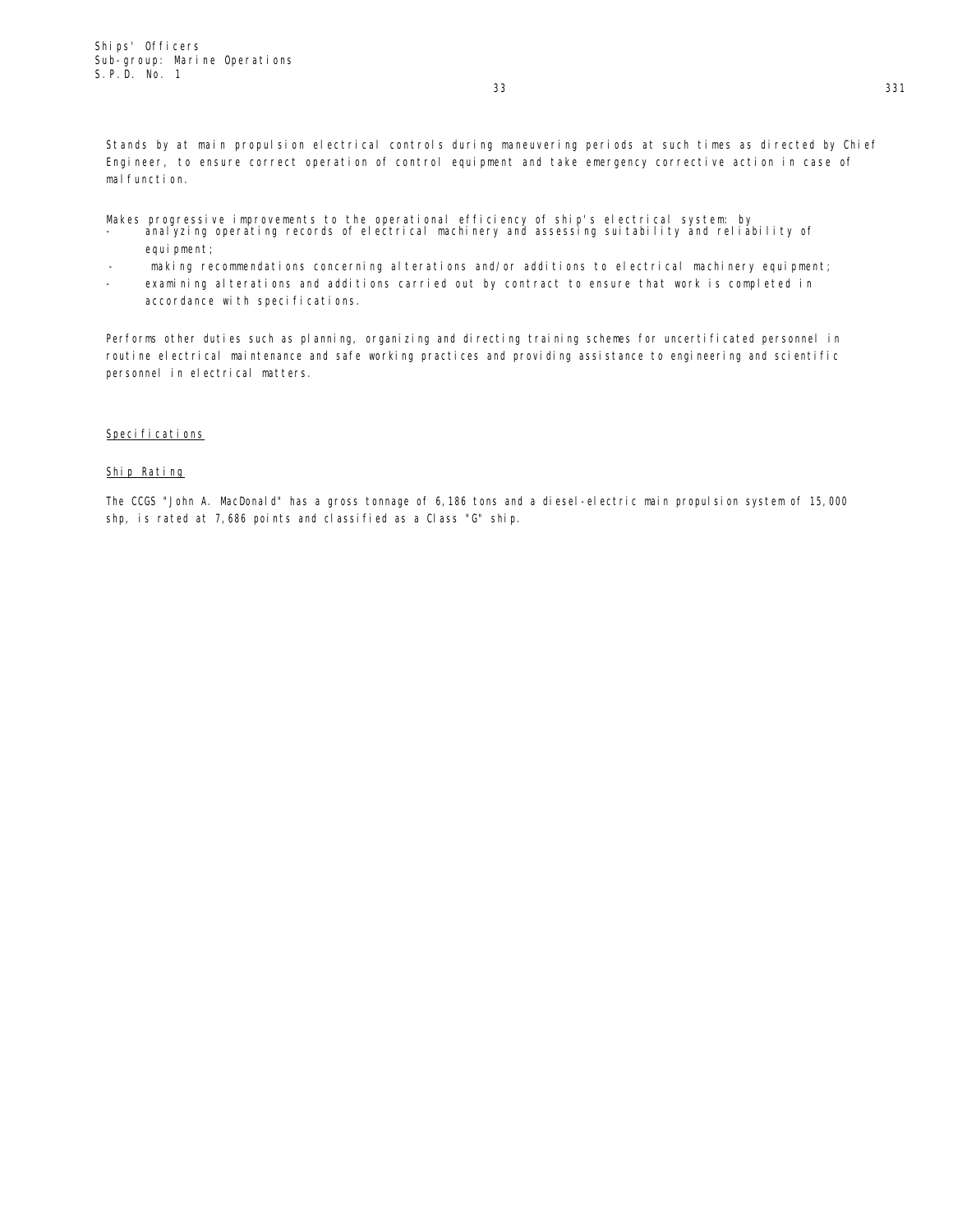Stands by at main propulsion electrical controls during maneuvering periods at such times as directed by Chief Engineer, to ensure correct operation of control equipment and take emergency corrective action in case of mal function.

- Makes progressive improvements to the operational efficiency of ship's electrical system: by<br>- analyzing operating records of electrical machinery and assessing suitability and reliability of equi pment;
- making recommendations concerning alterations and/or additions to electrical machinery equipment;
- examining alterations and additions carried out by contract to ensure that work is completed in accordance with specifications.

Performs other duties such as planning, organizing and directing training schemes for uncertificated personnel in routine electrical maintenance and safe working practices and providing assistance to engineering and scientific personnel in electrical matters.

## Specifications

## Ship Rating

The CCGS "John A. MacDonald" has a gross tonnage of 6,186 tons and a diesel-electric main propulsion system of 15,000 shp, is rated at 7,686 points and classified as a Class "G" ship.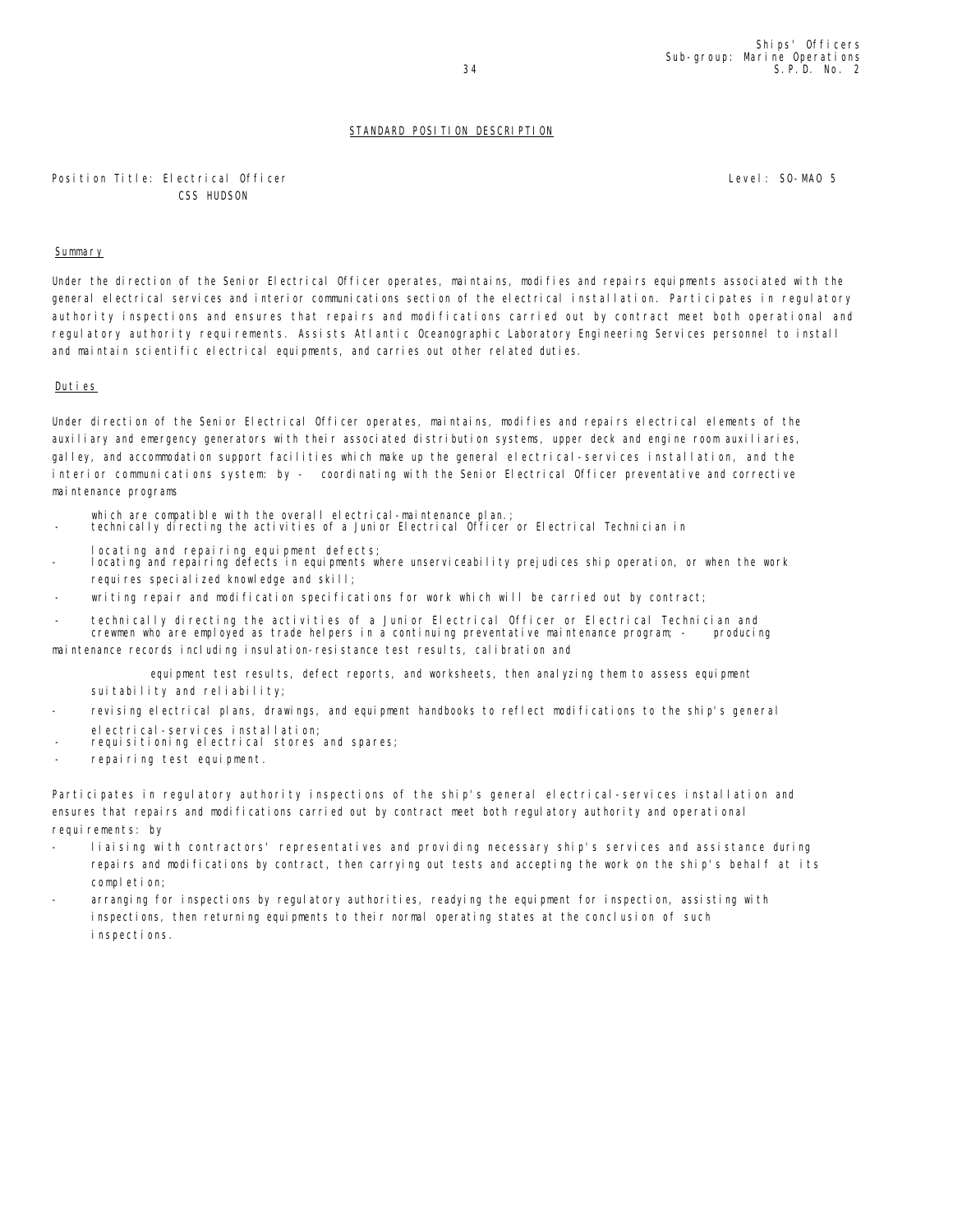## Position Title: Electrical Officer CSS HUDSON

Level: SO-MAO 5

## Summary

Under the direction of the Senior Electrical Officer operates, maintains, modifies and repairs equipments associated with the general electrical services and interior communications section of the electrical installation. Participates in regulatory authority inspections and ensures that repairs and modifications carried out by contract meet both operational and regulatory authority requirements. Assists Atlantic Oceanographic Laboratory Engineering Services personnel to install and maintain scientific electrical equipments, and carries out other related duties.

## Duties

Under direction of the Senior Electrical Officer operates, maintains, modifies and repairs electrical elements of the auxiliary and emergency generators with their associated distribution systems, upper deck and engine room auxiliaries, galley, and accommodation support facilities which make up the general electrical-services installation, and the interior communications system: by - coordinating with the Senior Electrical Officer preventative and corrective maintenance programs

- which are compatible with the overall electrical-maintenance plan.;
- technically directing the activities of a Junior Electrical Officer or Electrical Technician in
- locating and repairing equipment defects;
- locating and repairing defects in equipments where unserviceability prejudices ship operation, or when the work requires specialized knowledge and skill;
- writing repair and modification specifications for work which will be carried out by contract;
- technically directing the activities of a Junior Electrical Officer or Electrical Technician and<br>crewmen who are employed as trade helpers in a continuing preventative maintenance program; producing crewmen who are employed as trade helpers in a continuing preventative maintenance program; maintenance records including insulation-resistance test results, calibration and

equipment test results, defect reports, and worksheets, then analyzing them to assess equipment suitability and reliability;

- revising electrical plans, drawings, and equipment handbooks to reflect modifications to the ship's general electrical-services installation;
- requisitioning electrical stores and spares;
- repairing test equipment.

Participates in regulatory authority inspections of the ship's general electrical-services installation and ensures that repairs and modifications carried out by contract meet both regulatory authority and operational requirements: by

- liaising with contractors' representatives and providing necessary ship's services and assistance during repairs and modifications by contract, then carrying out tests and accepting the work on the ship's behalf at its completion;
- arranging for inspections by regulatory authorities, readying the equipment for inspection, assisting with inspections, then returning equipments to their normal operating states at the conclusion of such inspections.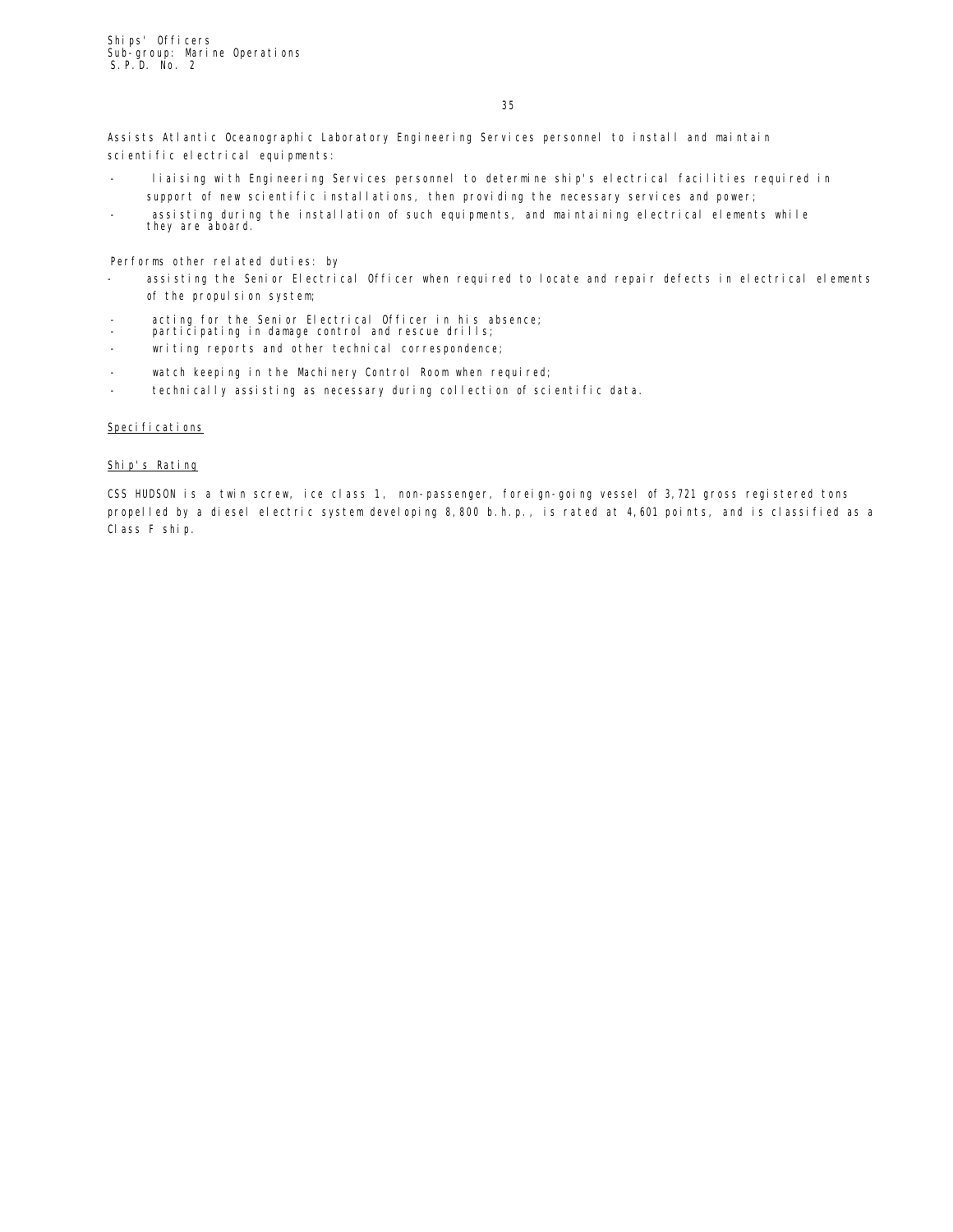35

Assists Atlantic Oceanographic Laboratory Engineering Services personnel to install and maintain scientific electrical equipments:

- liaising with Engineering Services personnel to determine ship's electrical facilities required in support of new scientific installations, then providing the necessary services and power;
- assisting during the installation of such equipments, and maintaining electrical elements while they are aboard.

Performs other related duties: by

- assisting the Senior Electrical Officer when required to locate and repair defects in electrical elements of the propulsion system;
- acting for the Senior Electrical Officer in his absence;
- participating in damage control and rescue drills;
- writing reports and other technical correspondence;
- watch keeping in the Machinery Control Room when required;
- technically assisting as necessary during collection of scientific data.

## Specifications

#### Ship's Rating

CSS HUDSON is a twin screw, ice class 1, non-passenger, foreign-going vessel of 3,721 gross registered tons propelled by a diesel electric system developing 8,800 b.h.p., is rated at 4,601 points, and is classified as a Class F ship.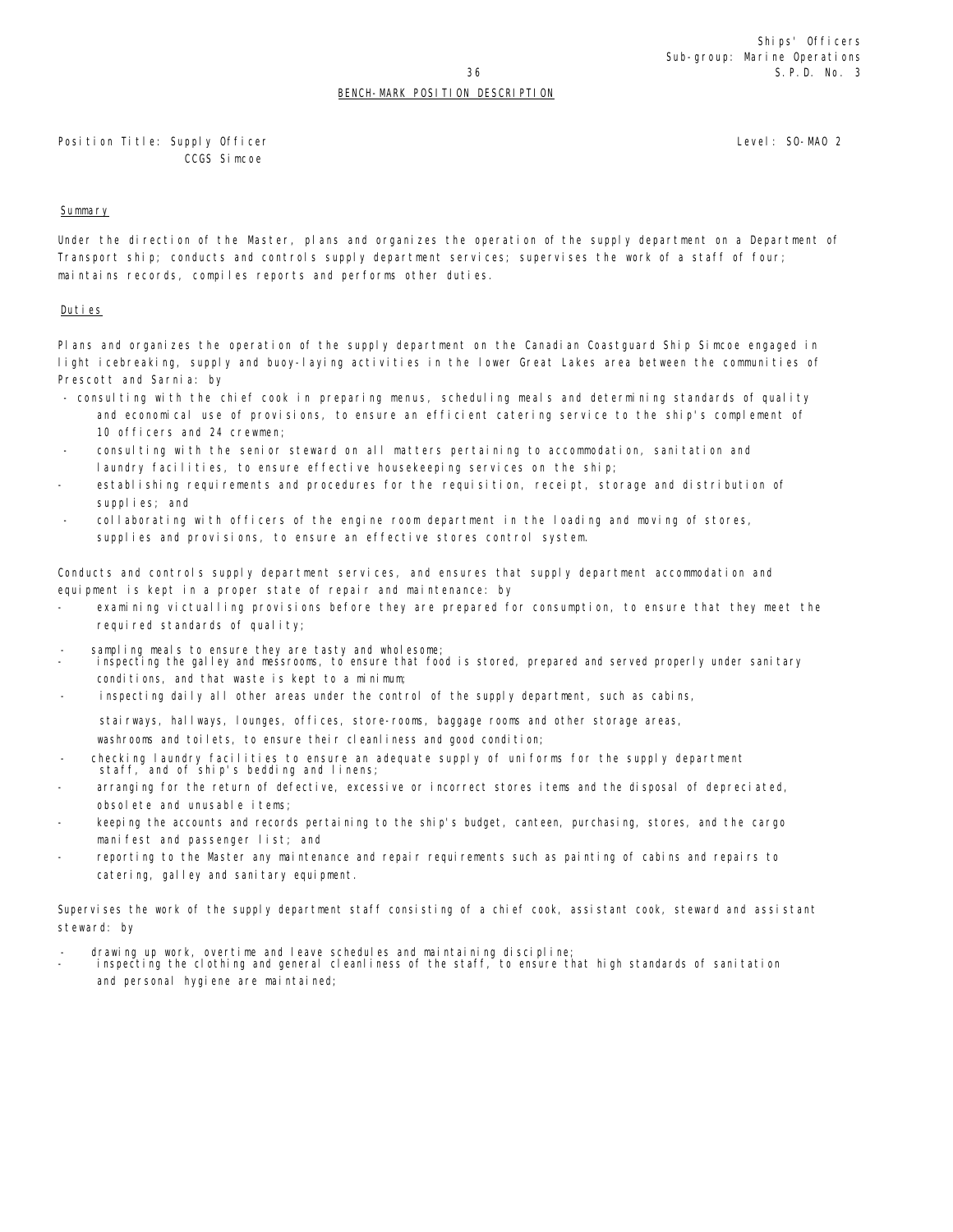## BENCH-MARK POSITION DESCRIPTION

Position Title: Supply Officer CCGS Simcoe

## Summary

Under the direction of the Master, plans and organizes the operation of the supply department on a Department of Transport ship; conducts and controls supply department services; supervises the work of a staff of four; maintains records, compiles reports and performs other duties.

## Duties

Plans and organizes the operation of the supply department on the Canadian Coastguard Ship Simcoe engaged in light icebreaking, supply and buoy-laying activities in the lower Great Lakes area between the communities of Prescott and Sarnia: by

- consulting with the chief cook in preparing menus, scheduling meals and determining standards of quality and economical use of provisions, to ensure an efficient catering service to the ship's complement of 10 officers and 24 crewmen;
- consulting with the senior steward on all matters pertaining to accommodation, sanitation and laundry facilities, to ensure effective housekeeping services on the ship;
- establishing requirements and procedures for the requisition, receipt, storage and distribution of supplies; and
- collaborating with officers of the engine room department in the loading and moving of stores, supplies and provisions, to ensure an effective stores control system.

Conducts and controls supply department services, and ensures that supply department accommodation and equipment is kept in a proper state of repair and maintenance: by

- examining victualling provisions before they are prepared for consumption, to ensure that they meet the required standards of quality;
- sampling meals to ensure they are tasty and wholesome;
- inspecting the galley and messrooms, to ensure that food is stored, prepared and served properly under sanitary conditions, and that waste is kept to a minimum;
- inspecting daily all other areas under the control of the supply department, such as cabins,

stairways, hallways, lounges, offices, store-rooms, baggage rooms and other storage areas,

washrooms and toilets, to ensure their cleanliness and good condition;

- checking laundry facilities to ensure an adequate supply of uniforms for the supply department staff, and of ship's bedding and linens;
- arranging for the return of defective, excessive or incorrect stores items and the disposal of depreciated, obsolete and unusable items;
- keeping the accounts and records pertaining to the ship's budget, canteen, purchasing, stores, and the cargo manifest and passenger list; and
- reporting to the Master any maintenance and repair requirements such as painting of cabins and repairs to catering, galley and sanitary equipment.

Supervises the work of the supply department staff consisting of a chief cook, assistant cook, steward and assistant steward: by

- drawing up work, overtime and leave schedules and maintaining discipline;
- inspecting the clothing and general cleanliness of the staff, to ensure that high standards of sanitation and personal hygiene are maintained;

Level: SO-MAO 2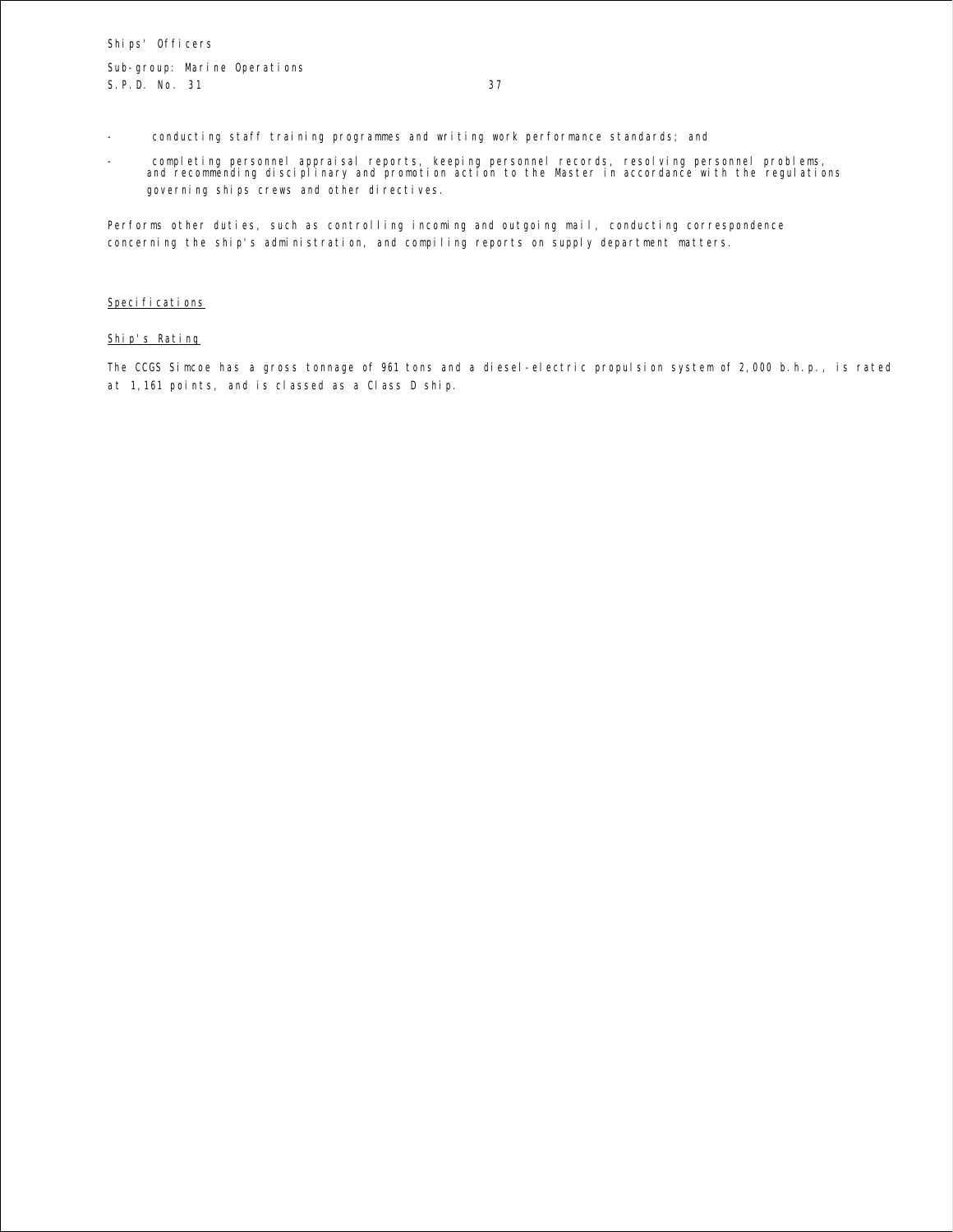- conducting staff training programmes and writing work performance standards; and
- completing personnel appraisal reports, keeping personnel records, resolving personnel problems, and recommending disciplinary and promotion action to the Master in accordance with the regulations governing ships crews and other directives.

Performs other duties, such as controlling incoming and outgoing mail, conducting correspondence concerning the ship's administration, and compiling reports on supply department matters.

#### Specifications

## Ship's Rating

The CCGS Simcoe has a gross tonnage of 961 tons and a diesel-electric propulsion system of 2,000 b.h.p., is rated at 1,161 points, and is classed as a Class D ship.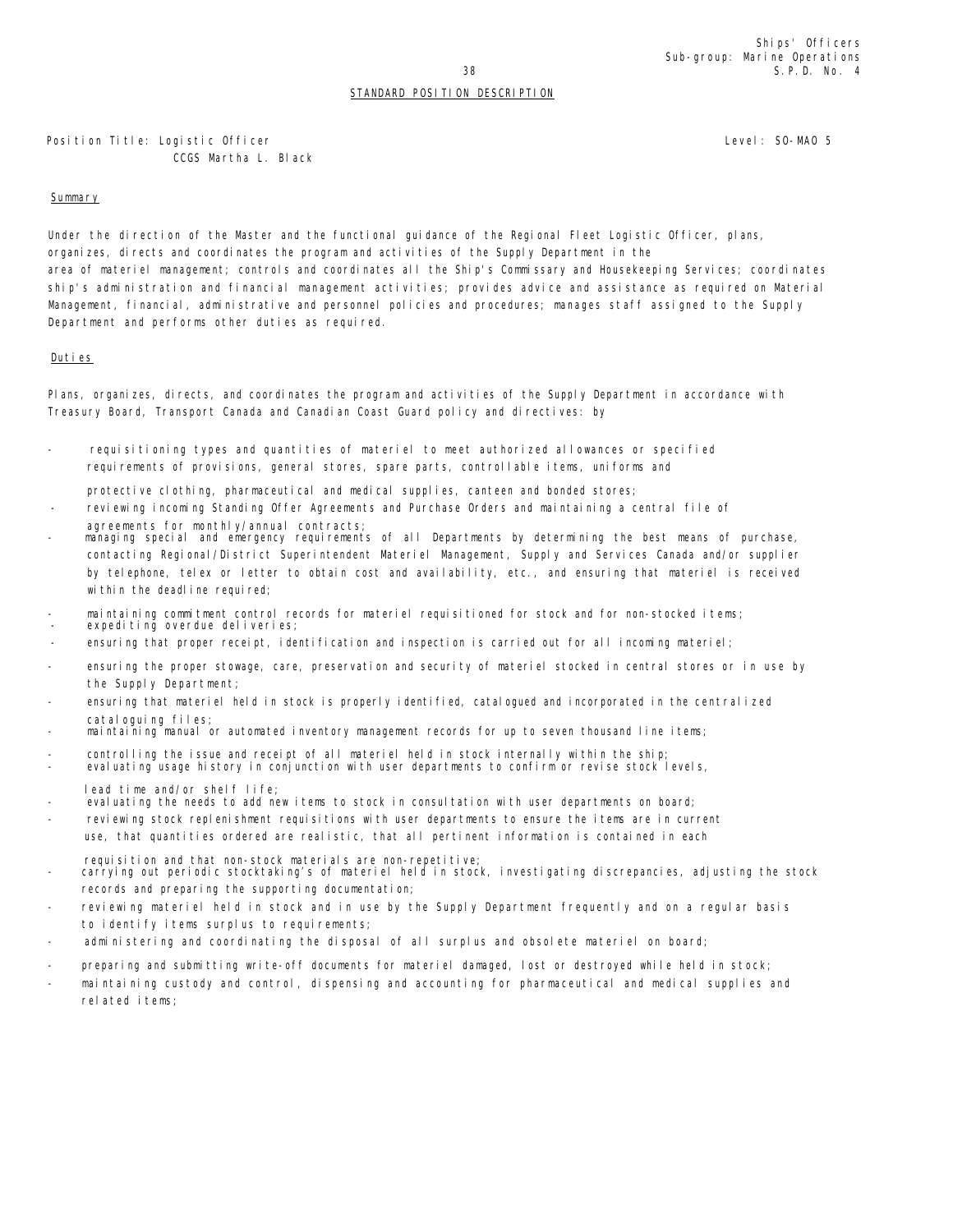Position Title: Logistic Officer CCGS Martha L. Black Level: SO-MAO 5

## Summary

Under the direction of the Master and the functional guidance of the Regional Fleet Logistic Officer, plans, organizes, directs and coordinates the program and activities of the Supply Department in the area of materiel management; controls and coordinates all the Ship's Commissary and Housekeeping Services; coordinates ship's administration and financial management activities; provides advice and assistance as required on Material Management, financial, administrative and personnel policies and procedures; manages staff assigned to the Supply Department and performs other duties as required.

## Duties

Plans, organizes, directs, and coordinates the program and activities of the Supply Department in accordance with Treasury Board, Transport Canada and Canadian Coast Guard policy and directives: by

requisitioning types and quantities of materiel to meet authorized allowances or specified requirements of provisions, general stores, spare parts, controllable items, uniforms and

protective clothing, pharmaceutical and medical supplies, canteen and bonded stores;

- reviewing incoming Standing Offer Agreements and Purchase Orders and maintaining a central file of agreements for monthly/annual contracts;
- managing special and emergency requirements of all Departments by determining the best means of purchase, contacting Regional/District Superintendent Materiel Management, Supply and Services Canada and/or supplier by telephone, telex or letter to obtain cost and availability, etc., and ensuring that materiel is received within the deadline required;
- maintaining commitment control records for materiel requisitioned for stock and for non-stocked items;
- expediting overdue deliveries;
- ensuring that proper receipt, identification and inspection is carried out for all incoming materiel;
- ensuring the proper stowage, care, preservation and security of materiel stocked in central stores or in use by the Supply Department;
- ensuring that materiel held in stock is properly identified, catalogued and incorporated in the centralized cataloguing files;
- maintaining manual or automated inventory management records for up to seven thousand line items;
- controlling the issue and receipt of all materiel held in stock internally within the ship;
- evaluating usage history in conjunction with user departments to confirm or revise stock levels,
- lead time and/or shelf life;
- evaluating the needs to add new items to stock in consultation with user departments on board;
- reviewing stock replenishment requisitions with user departments to ensure the items are in current use, that quantities ordered are realistic, that all pertinent information is contained in each
	- requisition and that non-stock materials are non-repetitive;
- carrying out periodic stocktaking's of materiel held in stock, investigating discrepancies, adjusting the stock records and preparing the supporting documentation;
- reviewing materiel held in stock and in use by the Supply Department frequently and on a regular basis to identify items surplus to requirements;
- administering and coordinating the disposal of all surplus and obsolete materiel on board;
- preparing and submitting write-off documents for materiel damaged, lost or destroyed while held in stock;
- maintaining custody and control, dispensing and accounting for pharmaceutical and medical supplies and related items;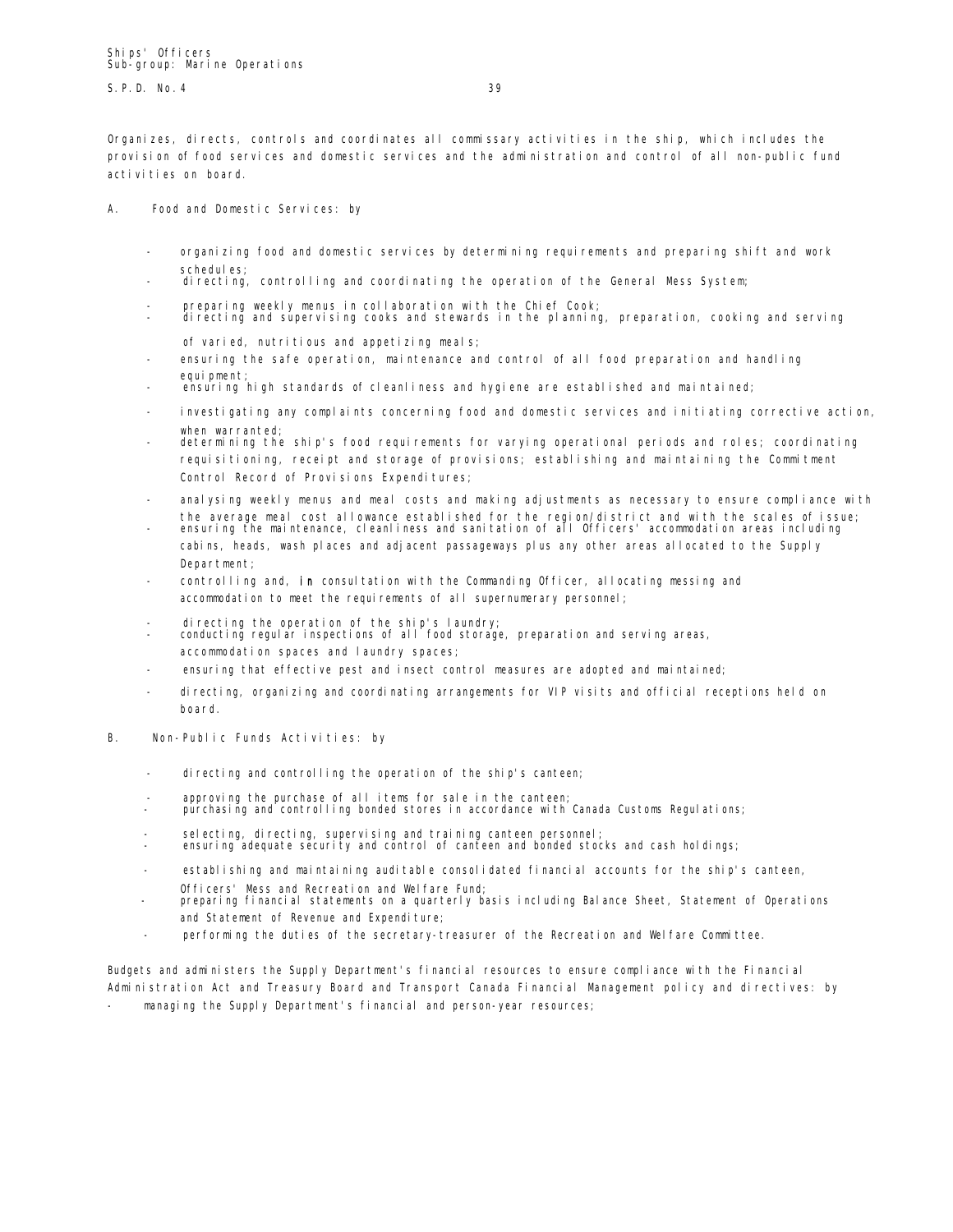$S \text{P} \text{D}$  No. 4 39

Organizes, directs, controls and coordinates all commissary activities in the ship, which includes the provision of food services and domestic services and the administration and control of all non-public fund activities on board.

A. Food and Domestic Services: by

- organizing food and domestic services by determining requirements and preparing shift and work schedules;
- directing, controlling and coordinating the operation of the General Mess System;
- 
- preparing weekly menus in collaboration with the Chief Cook; directing and supervising cooks and stewards in the planning, preparation, cooking and serving of varied, nutritious and appetizing meals;
- ensuring the safe operation, maintenance and control of all food preparation and handling equi pment;
- ensuring high standards of cleanliness and hygiene are established and maintained;
- investigating any complaints concerning food and domestic services and initiating corrective action, when warranted;
- determining the ship's food requirements for varying operational periods and roles; coordinating requisitioning, receipt and storage of provisions; establishing and maintaining the Commitment Control Record of Provisions Expenditures;
- analysing weekly menus and meal costs and making adjustments as necessary to ensure compliance with
- the average meal cost allowance established for the region/district and with the scales of issue; ensuring the maintenance, cleanliness and sanitation of all Officers' accommodation areas including cabins, heads, wash places and adjacent passageways plus any other areas allocated to the Supply Department;
- controlling and, in consultation with the Commanding Officer, allocating messing and accommodation to meet the requirements of all supernumerary personnel;
- 
- directing the operation of the ship's laundry; conducting regular inspections of all food storage, preparation and serving areas, accommodation spaces and laundry spaces;
- ensuring that effective pest and insect control measures are adopted and maintained;
- directing, organizing and coordinating arrangements for VIP visits and official receptions held on board.
- B. Non-Public Funds Activities: by
	- directing and controlling the operation of the ship's canteen;
	- approving the purchase of all items for sale in the canteen;
	- purchasing and controlling bonded stores in accordance with Canada Customs Regulations;
	- selecting, directing, supervising and training canteen personnel;
	- ensuring adequate security and control of canteen and bonded stocks and cash holdings;
	- establishing and maintaining auditable consolidated financial accounts for the ship's canteen, Officers' Mess and Recreation and Welfare Fund;
	- preparing financial statements on a quarterly basis including Balance Sheet, Statement of Operations and Statement of Revenue and Expenditure;
	- performing the duties of the secretary-treasurer of the Recreation and Welfare Committee.

Budgets and administers the Supply Department's financial resources to ensure compliance with the Financial Administration Act and Treasury Board and Transport Canada Financial Management policy and directives: by

managing the Supply Department's financial and person-year resources;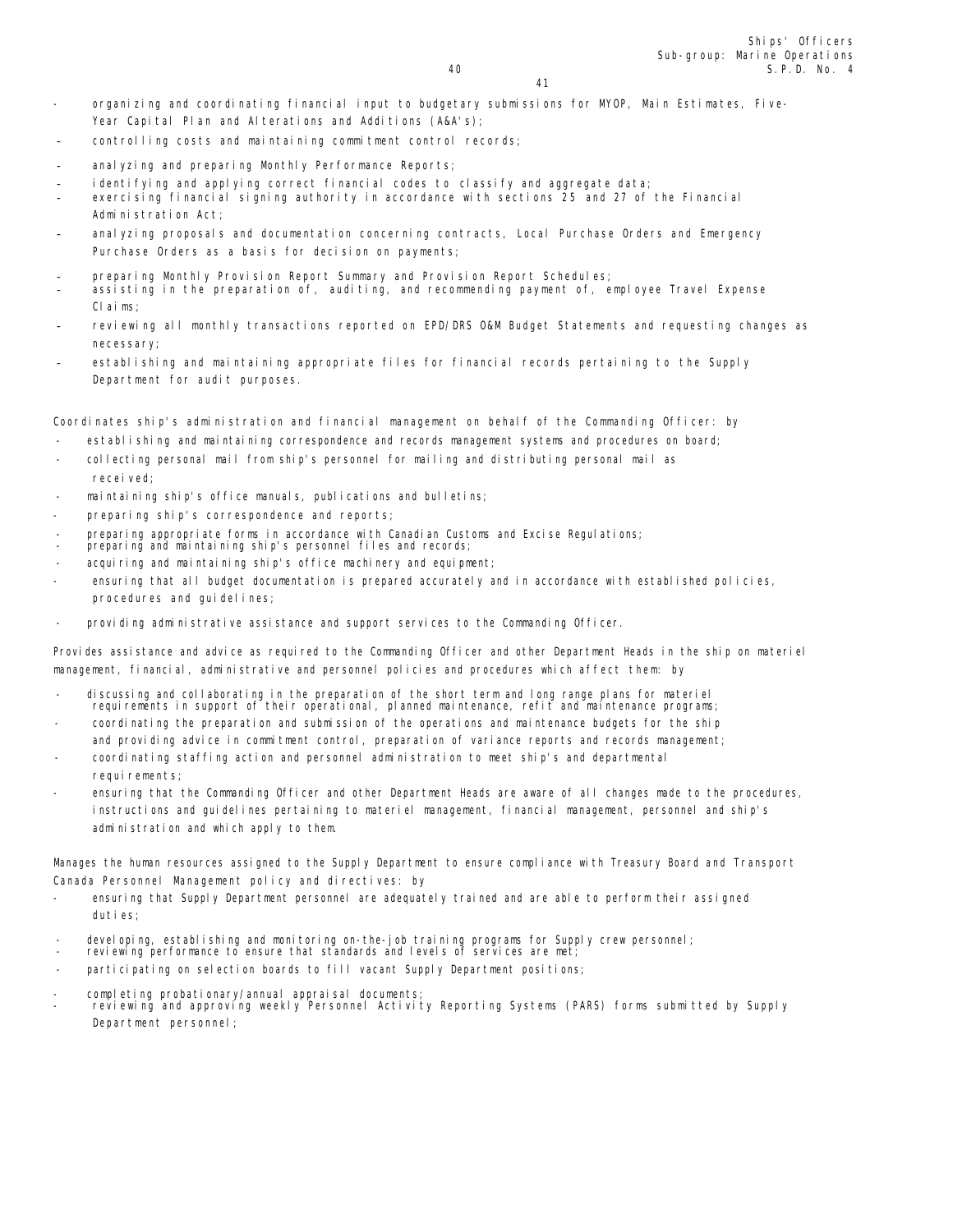41

- organizing and coordinating financial input to budgetary submissions for MYOP, Main Estimates, Five-Year Capital Plan and Alterations and Additions (A&A's);
- controlling costs and maintaining commitment control records;
- anal yzing and preparing Monthly Performance Reports;
- identifying and applying correct financial codes to classify and aggregate data;
- exercising financial signing authority in accordance with sections 25 and 27 of the Financial Administration Act;
- analyzing proposals and documentation concerning contracts, Local Purchase Orders and Emergency Purchase Orders as a basis for decision on payments;
- preparing Monthly Provision Report Summary and Provision Report Schedules;
- assisting in the preparation of, auditing, and recommending payment of, employee Travel Expense Claims;
- reviewing all monthly transactions reported on EPD/DRS 0&M Budget Statements and requesting changes as necessary;
- establishing and maintaining appropriate files for financial records pertaining to the Supply Department for audit purposes.

Coordinates ship's administration and financial management on behalf of the Commanding Officer: by

- establishing and maintaining correspondence and records management systems and procedures on board;
- collecting personal mail from ship's personnel for mailing and distributing personal mail as received;
- maintaining ship's office manuals, publications and bulletins;
- preparing ship's correspondence and reports;
- preparing appropriate forms in accordance with Canadian Customs and Excise Regulations;
- preparing and maintaining ship's personnel files and records;
- acquiring and maintaining ship's office machinery and equipment;
- ensuring that all budget documentation is prepared accurately and in accordance with established policies, procedures and quidelines;
- providing administrative assistance and support services to the Commanding Officer.

Provides assistance and advice as required to the Commanding Officer and other Department Heads in the ship on materiel management, financial, administrative and personnel policies and procedures which affect them: by

- discussing and collaborating in the preparation of the short term and long range plans for materiel requirements in support of their operational, planned maintenance, refit and maintenance programs;
- coordinating the preparation and submission of the operations and maintenance budgets for the ship and providing advice in commitment control, preparation of variance reports and records management;
- coordinating staffing action and personnel administration to meet ship's and departmental requirements;
- ensuring that the Commanding Officer and other Department Heads are aware of all changes made to the procedures, instructions and guidelines pertaining to materiel management, financial management, personnel and ship's administration and which apply to them.

Manages the human resources assigned to the Supply Department to ensure compliance with Treasury Board and Transport Canada Personnel Management policy and directives: by

- ensuring that Supply Department personnel are adequately trained and are able to perform their assigned duties;
- developing, establishing and monitoring on-the-job training programs for Supply crew personnel; reviewing performance to ensure that standards and levels of services are met;
- 
- participating on selection boards to fill vacant Supply Department positions;
- completing probationary/annual appraisal documents;
- reviewing and approving weekly Personnel Activity Reporting Systems (PARS) forms submitted by Supply Department personnel;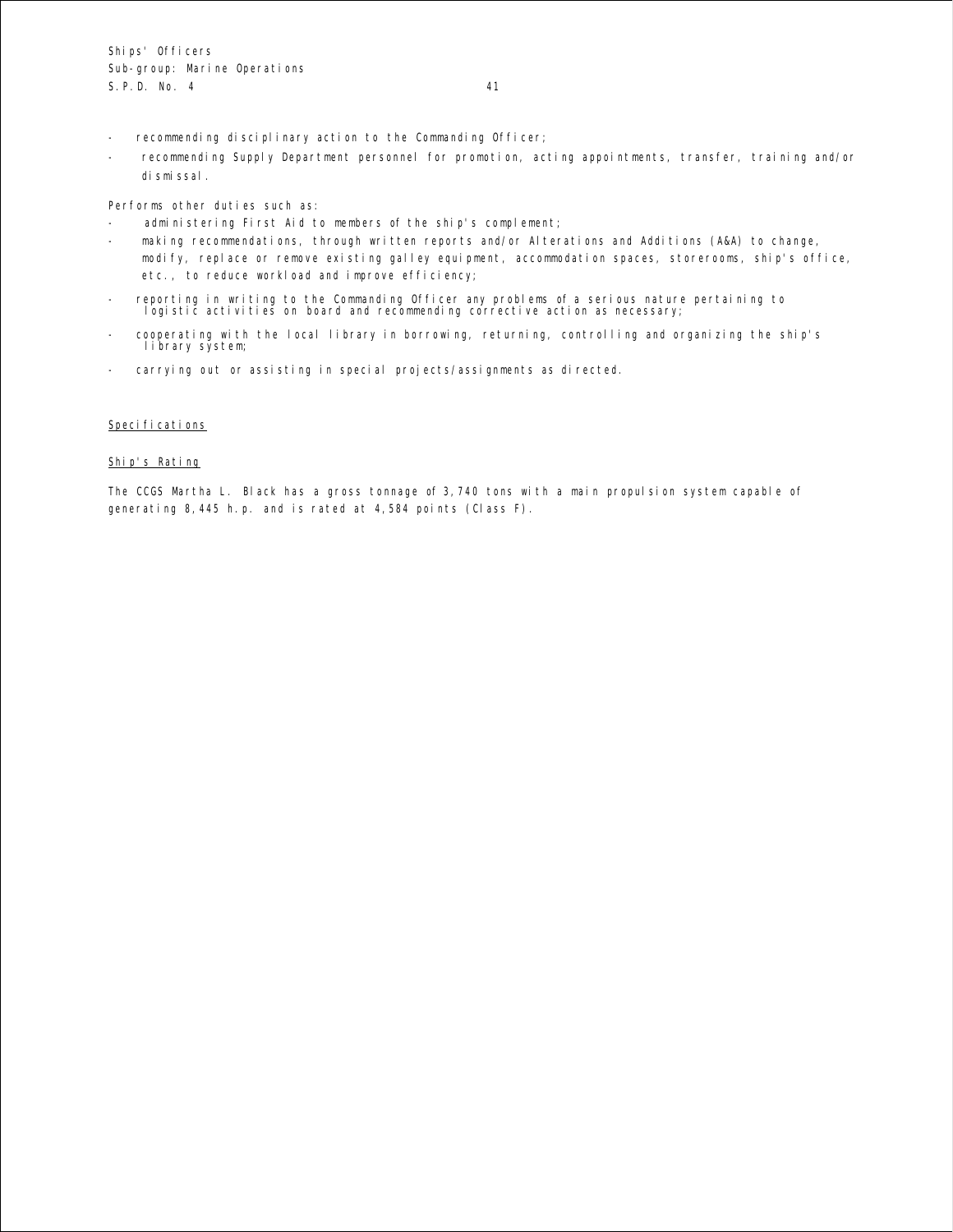- recommending disciplinary action to the Commanding Officer;
- recommending Supply Department personnel for promotion, acting appointments, transfer, training and/or dismissal.

Performs other duties such as:

- administering First Aid to members of the ship's complement;
- making recommendations, through written reports and/or Alterations and Additions (A&A) to change,
- modify, replace or remove existing galley equipment, accommodation spaces, storerooms, ship's office, etc., to reduce workload and improve efficiency;
- reporting in writing to the Commanding Officer any problems of a serious nature pertaining to logistic activities on board and recommending corrective action as necessary;
- cooperating with the local library in borrowing, returning, controlling and organizing the ship's library system;
- carrying out or assisting in special projects/assignments as directed.

## Specifications

## Ship's Rating

The CCGS Martha L. Black has a gross tonnage of 3,740 tons with a main propulsion system capable of generating 8,445 h.p. and is rated at 4,584 points (Class F).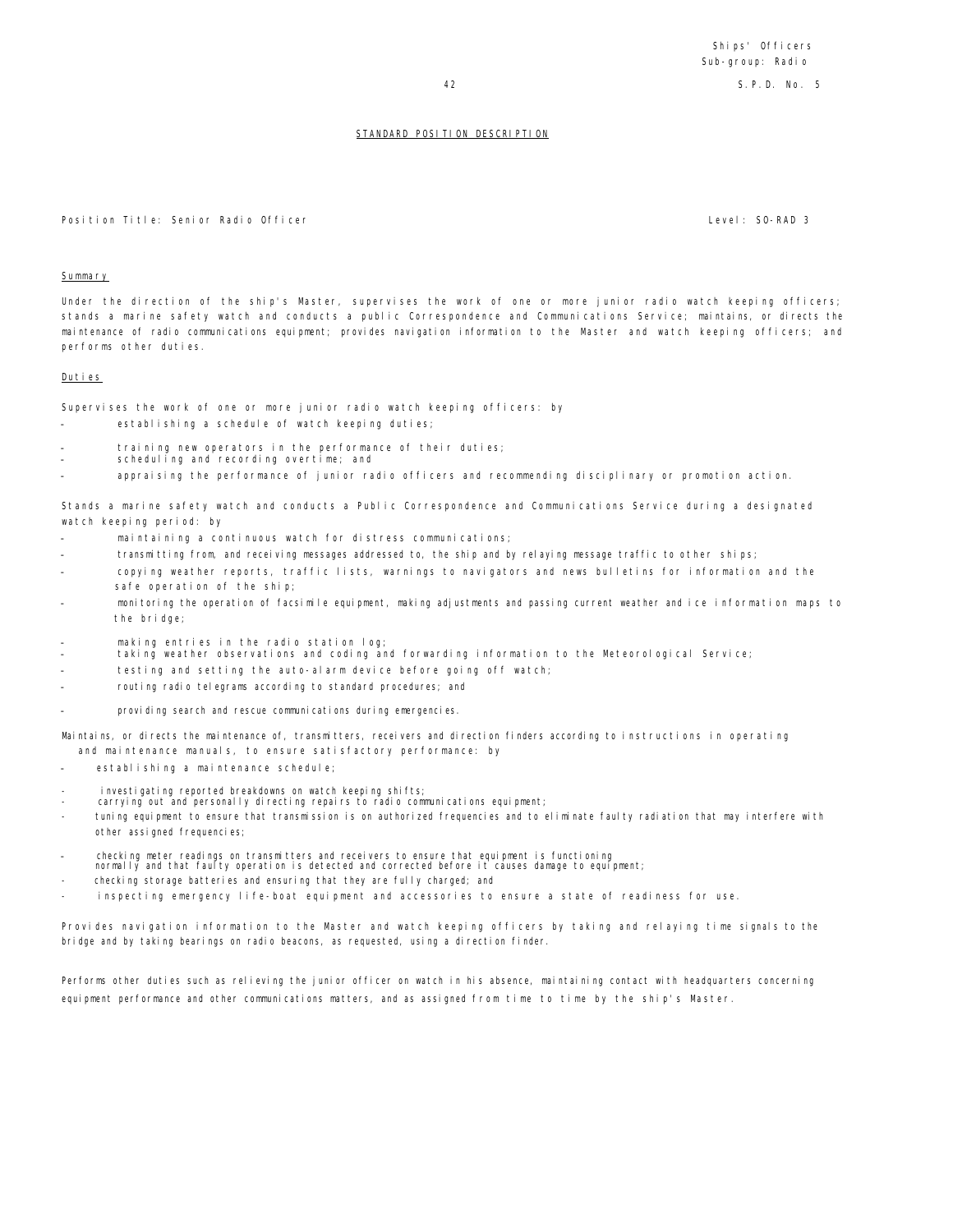Position Title: Senior Radio Officer Level: SO-RAD 3

#### Summary

Under the direction of the ship's Master, supervises the work of one or more junior radio watch keeping officers; stands a marine safety watch and conducts a public Correspondence and Communications Service; maintains, or directs the maintenance of radio communications equipment; provides navigation information to the Master and watch keeping officers; and performs other duties.

#### Duties

Supervises the work of one or more junior radio watch keeping officers: by

- establishing a schedule of watch keeping duties;
- training new operators in the performance of their duties;
- scheduling and recording overtime; and
- appraising the performance of junior radio officers and recommending disciplinary or promotion action.

Stands a marine safety watch and conducts a Public Correspondence and Communications Service during a designated watch keeping period: by

- maintaining a continuous watch for distress communications;
- transmitting from, and receiving messages addressed to, the ship and by relaying message traffic to other ships;
- copying weather reports, traffic lists, warnings to navigators and news bulletins for information and the safe operation of the ship;
- monitoring the operation of facsimile equipment, making adjustments and passing current weather and ice information maps to the bridge;
- making entries in the radio station log;
- taking weather observations and coding and forwarding information to the Meteorological Service;
- testing and setting the auto-alarm device before going off watch;
- routing radio telegrams according to standard procedures; and
- providing search and rescue communications during emergencies.

Maintains, or directs the maintenance of, transmitters, receivers and direction finders according to instructions in operating and maintenance manuals, to ensure satisfactory performance: by

- establishing a maintenance schedule;
- investigating reported breakdowns on watch keeping shifts;
- carrying out and personally directing repairs to radio communications equipment;
- tuning equipment to ensure that transmission is on authorized frequencies and to eliminate faulty radiation that may interfere with other assigned frequencies;
- checking meter readings on transmitters and receivers to ensure that equipment is functioning
- normally and that faulty operation is detected and corrected before it causes damage to equipment;
- checking storage batteries and ensuring that they are fully charged; and
- inspecting emergency life-boat equipment and accessories to ensure a state of readiness for use.

Provides navigation information to the Master and watch keeping officers by taking and relaying time signals to the bridge and by taking bearings on radio beacons, as requested, using a direction finder.

Performs other duties such as relieving the junior officer on watch in his absence, maintaining contact with headquarters concerning equipment performance and other communications matters, and as assigned from time to time by the ship's Master.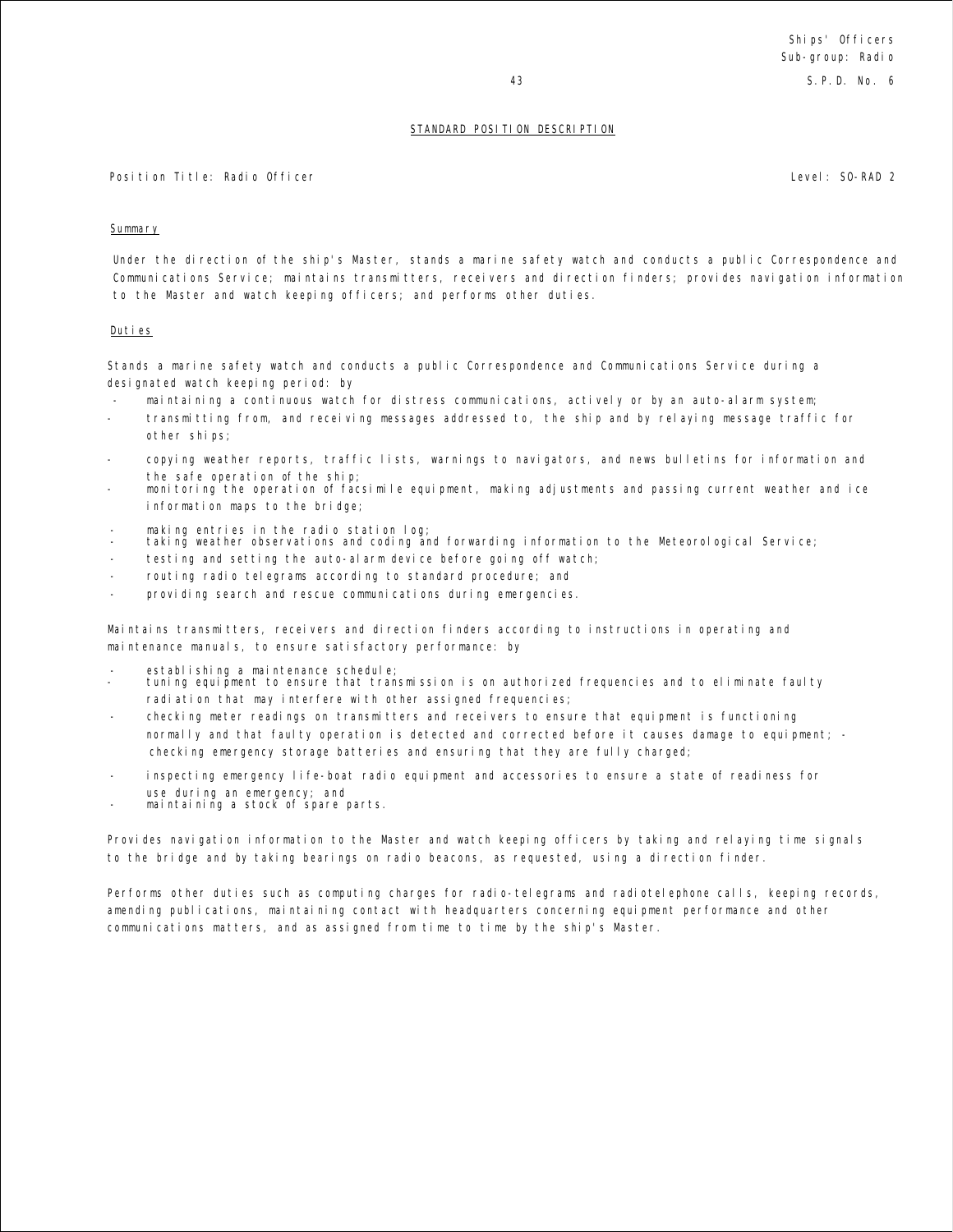Position Title: Radio Officer Level: SO-RAD 2

## Summary

Under the direction of the ship's Master, stands a marine safety watch and conducts a public Correspondence and Communications Service; maintains transmitters, receivers and direction finders; provides navigation information to the Master and watch keeping officers; and performs other duties.

## Duties

Stands a marine safety watch and conducts a public Correspondence and Communications Service during a designated watch keeping period: by

- maintaining a continuous watch for distress communications, actively or by an auto-alarm system;
- transmitting from, and receiving messages addressed to, the ship and by relaying message traffic for other ships;
- copying weather reports, traffic lists, warnings to navigators, and news bulletins for information and the safe operation of the ship;
- monitoring the operation of facsimile equipment, making adjustments and passing current weather and ice information maps to the bridge;
- making entries in the radio station log;
- taking weather observations and coding and forwarding information to the Meteorological Service;
- testing and setting the auto-alarm device before going off watch;
- routing radio telegrams according to standard procedure; and
- providing search and rescue communications during emergencies.

Maintains transmitters, receivers and direction finders according to instructions in operating and maintenance manuals, to ensure satisfactory performance: by

- establishing a maintenance schedule;
- tuning equipment to ensure that transmission is on authorized frequencies and to eliminate faulty radiation that may interfere with other assigned frequencies;
- checking meter readings on transmitters and receivers to ensure that equipment is functioning normally and that faulty operation is detected and corrected before it causes damage to equipment; checking emergency storage batteries and ensuring that they are fully charged;
- inspecting emergency life-boat radio equipment and accessories to ensure a state of readiness for use during an emergency; and
- maintaining a stock of spare parts.

Provides navigation information to the Master and watch keeping officers by taking and relaying time signals to the bridge and by taking bearings on radio beacons, as requested, using a direction finder.

Performs other duties such as computing charges for radio-telegrams and radiotelephone calls, keeping records, amending publications, maintaining contact with headquarters concerning equipment performance and other communications matters, and as assigned from time to time by the ship's Master.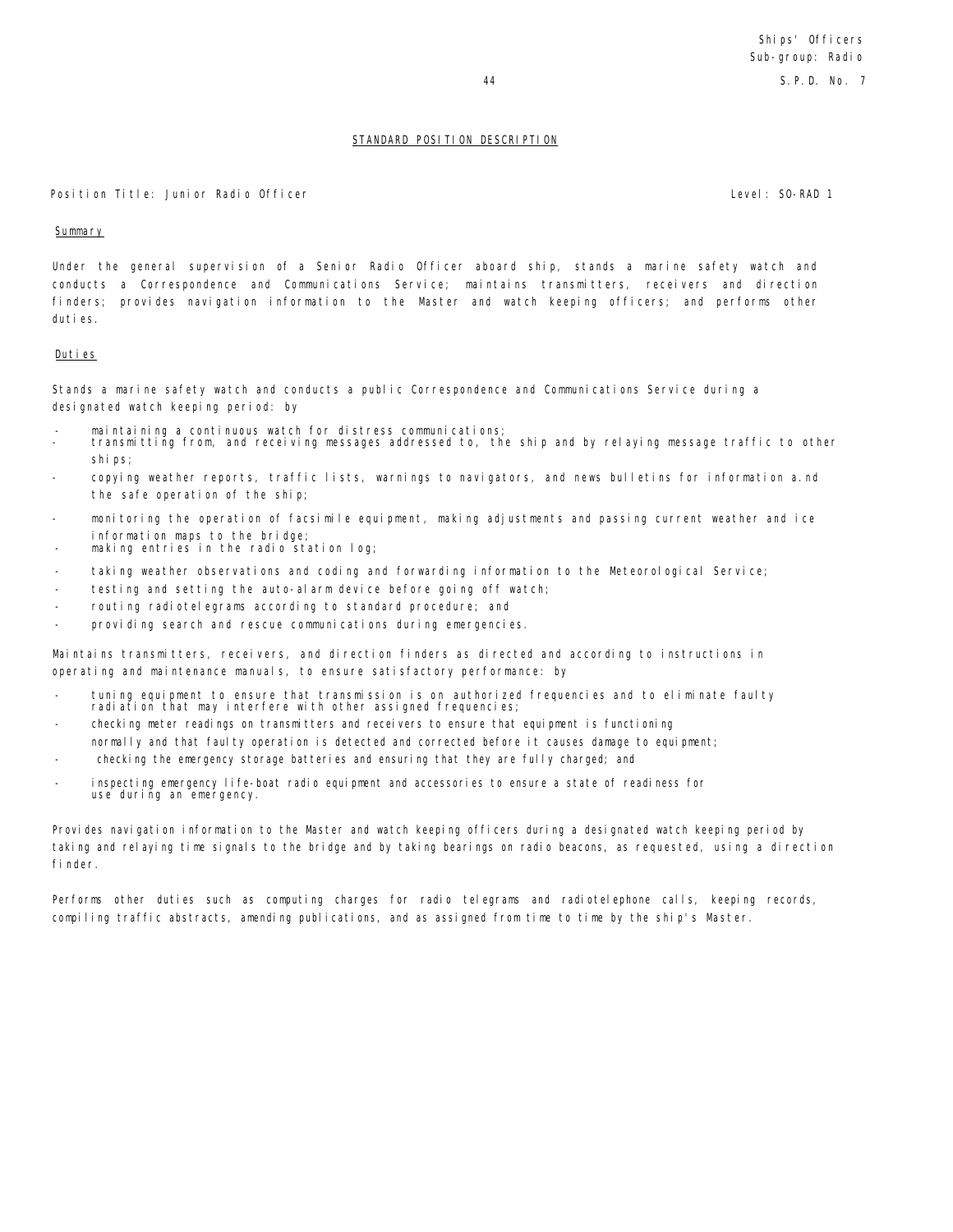#### Position Title: Junior Radio Officer Level: SO-RAD 1

#### **Summary**

Under the general supervision of a Senior Radio Officer aboard ship, stands a marine safety watch and conducts a Correspondence and Communications Service; maintains transmitters, receivers and direction finders; provides navigation information to the Master and watch keeping officers; and performs other duties.

#### Duties

Stands a marine safety watch and conducts a public Correspondence and Communications Service during a designated watch keeping period: by

- maintaining a continuous watch for distress communications;
- transmitting from, and receiving messages addressed to, the ship and by relaying message traffic to other ships;
- copying weather reports, traffic lists, warnings to navigators, and news bulletins for information a.nd the safe operation of the ship;
- monitoring the operation of facsimile equipment, making adjustments and passing current weather and ice information maps to the bridge;
- making entries in the radio station log;
- taking weather observations and coding and forwarding information to the Meteorological Service;
- testing and setting the auto-alarm device before going off watch;
- routing radiotelegrams according to standard procedure; and
- providing search and rescue communications during emergencies.

Maintains transmitters, receivers, and direction finders as directed and according to instructions in operating and maintenance manuals, to ensure satisfactory performance: by

- tuning equipment to ensure that transmission is on authorized frequencies and to eliminate faulty radiation that may interfere with other assigned frequencies;
- checking meter readings on transmitters and receivers to ensure that equipment is functioning normally and that faulty operation is detected and corrected before it causes damage to equipment;
- checking the emergency storage batteries and ensuring that they are fully charged; and
- inspecting emergency life-boat radio equipment and accessories to ensure a state of readiness for use during an emergency.

Provides navigation information to the Master and watch keeping officers during a designated watch keeping period by taking and relaying time signals to the bridge and by taking bearings on radio beacons, as requested, using a direction finder.

Performs other duties such as computing charges for radio telegrams and radiotelephone calls, keeping records, compiling traffic abstracts, amending publications, and as assigned from time to time by the ship's Master.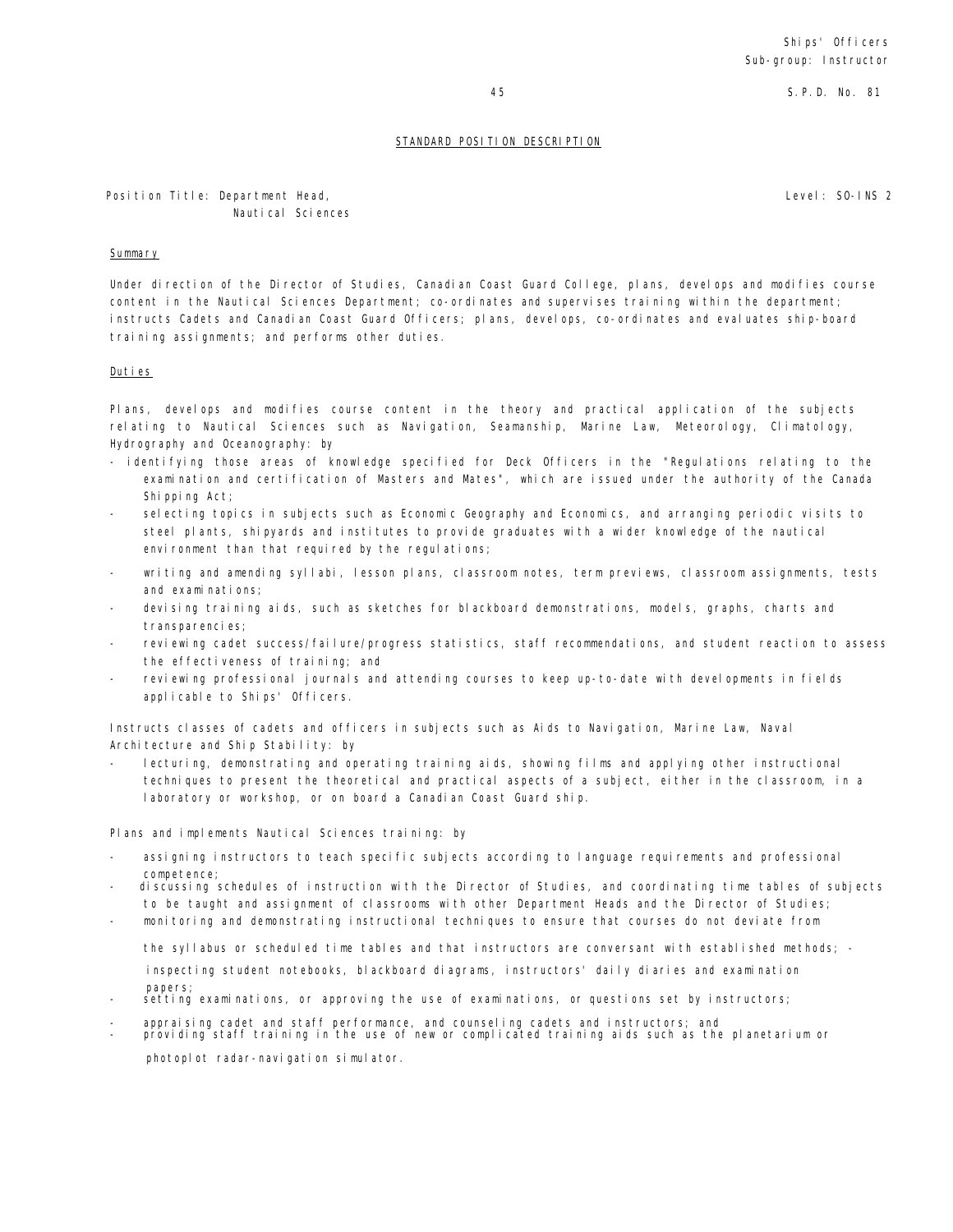45 S.P.D. No. 81

## STANDARD POSITION DESCRIPTION

Level: SO-INS 2

Position Title: Department Head, Nautical Sciences

#### Summary

Under direction of the Director of Studies, Canadian Coast Guard College, plans, develops and modifies course content in the Nautical Sciences Department; co-ordinates and supervises training within the department; instructs Cadets and Canadian Coast Guard Officers; plans, develops, co-ordinates and evaluates ship-board training assignments; and performs other duties.

#### Duties

Plans, develops and modifies course content in the theory and practical application of the subjects relating to Nautical Sciences such as Navigation, Seamanship, Marine Law, Meteorology, Climatology, Hydrography and Oceanography: by

- identifying those areas of knowledge specified for Deck Officers in the "Regulations relating to the examination and certification of Masters and Mates", which are issued under the authority of the Canada Shipping Act;
- selecting topics in subjects such as Economic Geography and Economics, and arranging periodic visits to steel plants, shipyards and institutes to provide graduates with a wider knowledge of the nautical environment than that required by the regulations;
- writing and amending syllabi, lesson plans, classroom notes, term previews, classroom assignments, tests and examinations;
- devising training aids, such as sketches for blackboard demonstrations, models, graphs, charts and transparencies;
- reviewing cadet success/failure/progress statistics, staff recommendations, and student reaction to assess the effectiveness of training; and
- reviewing professional journals and attending courses to keep up-to-date with developments in fields applicable to Ships' Officers.

Instructs classes of cadets and officers in subjects such as Aids to Navigation, Marine Law, Naval Architecture and Ship Stability: by

- lecturing, demonstrating and operating training aids, showing films and applying other instructional techniques to present the theoretical and practical aspects of a subject, either in the classroom, in a laboratory or workshop, or on board a Canadian Coast Guard ship.

Plans and implements Nautical Sciences training: by

- assigning instructors to teach specific subjects according to language requirements and professional competence;
- discussing schedules of instruction with the Director of Studies, and coordinating time tables of subjects to be taught and assignment of classrooms with other Department Heads and the Director of Studies;
- monitoring and demonstrating instructional techniques to ensure that courses do not deviate from

the syllabus or scheduled time tables and that instructors are conversant with established methods; inspecting student notebooks, blackboard diagrams, instructors' daily diaries and examination papers;

- setting examinations, or approving the use of examinations, or questions set by instructors;
- appraising cadet and staff performance, and counseling cadets and instructors; and
- providing staff training in the use of new or complicated training aids such as the planetarium or photoplot radar-navigation simulator.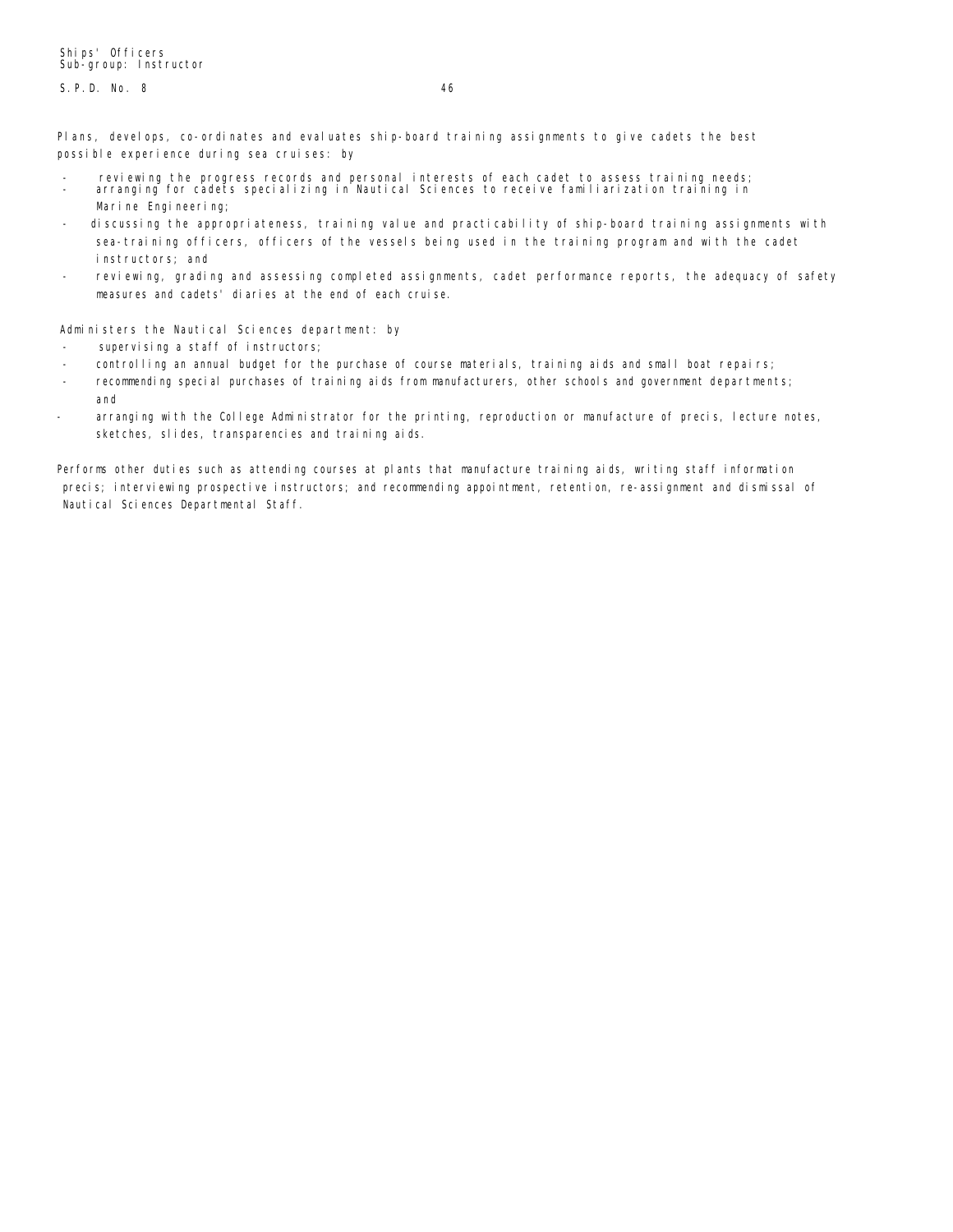S.P.D. No. 8 46

Plans, develops, co-ordinates and evaluates ship-board training assignments to give cadets the best possible experience during sea cruises: by

- reviewing the progress records and personal interests of each cadet to assess training needs; arranging for cadets specializing in Nautical Sciences to receive familiarization training in Marine Engineering;
- discussing the appropriateness, training value and practicability of ship-board training assignments with sea-training officers, officers of the vessels being used in the training program and with the cadet instructors; and
- reviewing, grading and assessing completed assignments, cadet performance reports, the adequacy of safety measures and cadets' diaries at the end of each cruise.

Administers the Nautical Sciences department: by

- supervising a staff of instructors;
- controlling an annual budget for the purchase of course materials, training aids and small boat repairs;
- recommending special purchases of training aids from manufacturers, other schools and government departments; and
- arranging with the College Administrator for the printing, reproduction or manufacture of precis, lecture notes, sketches, slides, transparencies and training aids.

Performs other duties such as attending courses at plants that manufacture training aids, writing staff information precis; interviewing prospective instructors; and recommending appointment, retention, re-assignment and dismissal of Nautical Sciences Departmental Staff.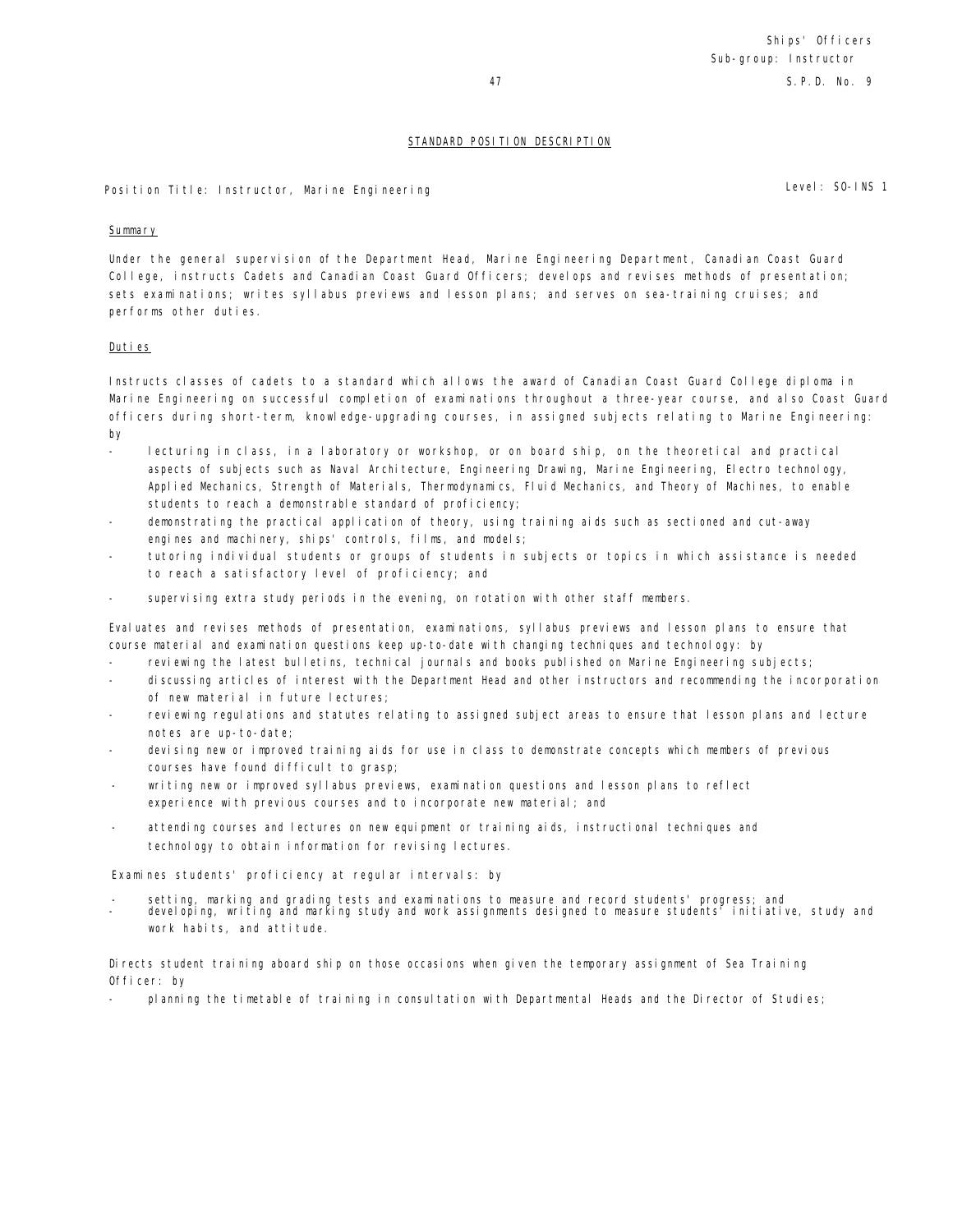47 S.P.D. No. 9

## STANDARD POSITION DESCRIPTION

Position Title: Instructor, Marine Engineering Level: SO-INS 1

## **Summary**

Under the general supervision of the Department Head, Marine Engineering Department, Canadian Coast Guard College, instructs Cadets and Canadian Coast Guard Officers; develops and revises methods of presentation; sets examinations; writes syllabus previews and lesson plans; and serves on sea-training cruises; and performs other duties.

## Duties

Instructs classes of cadets to a standard which allows the award of Canadian Coast Guard College diploma in Marine Engineering on successful completion of examinations throughout a three-year course, and also Coast Guard officers during short-term, knowledge-upgrading courses, in assigned subjects relating to Marine Engineering: by

- lecturing in class, in a laboratory or workshop, or on board ship, on the theoretical and practical aspects of subjects such as Naval Architecture, Engineering Drawing, Marine Engineering, Electro technology, Applied Mechanics, Strength of Materials, Thermodynamics, Fluid Mechanics, and Theory of Machines, to enable students to reach a demonstrable standard of proficiency;
- demonstrating the practical application of theory, using training aids such as sectioned and cut-away engines and machinery, ships' controls, films, and models;
- tutoring individual students or groups of students in subjects or topics in which assistance is needed to reach a satisfactory level of proficiency; and
- supervising extra study periods in the evening, on rotation with other staff members.

Evaluates and revises methods of presentation, examinations, syllabus previews and lesson plans to ensure that course material and examination questions keep up-to-date with changing techniques and technology: by

- reviewing the latest bulletins, technical journals and books published on Marine Engineering subjects;
- discussing articles of interest with the Department Head and other instructors and recommending the incorporation of new material in future lectures;
- reviewing regulations and statutes relating to assigned subject areas to ensure that lesson plans and lecture notes are up-to-date;
- devising new or improved training aids for use in class to demonstrate concepts which members of previous courses have found difficult to grasp;
- writing new or improved syllabus previews, examination questions and lesson plans to reflect experience with previous courses and to incorporate new material; and
- attending courses and lectures on new equipment or training aids, instructional techniques and technology to obtain information for revising lectures.

Examines students' proficiency at regular intervals: by

- setting, marking and grading tests and examinations to measure and record students' progress; and developing, writing and marking study and work assignments designed to measure students' initiative, study and
- work habits, and attitude.

Directs student training aboard ship on those occasions when given the temporary assignment of Sea Training Officer: by

planning the timetable of training in consultation with Departmental Heads and the Director of Studies;